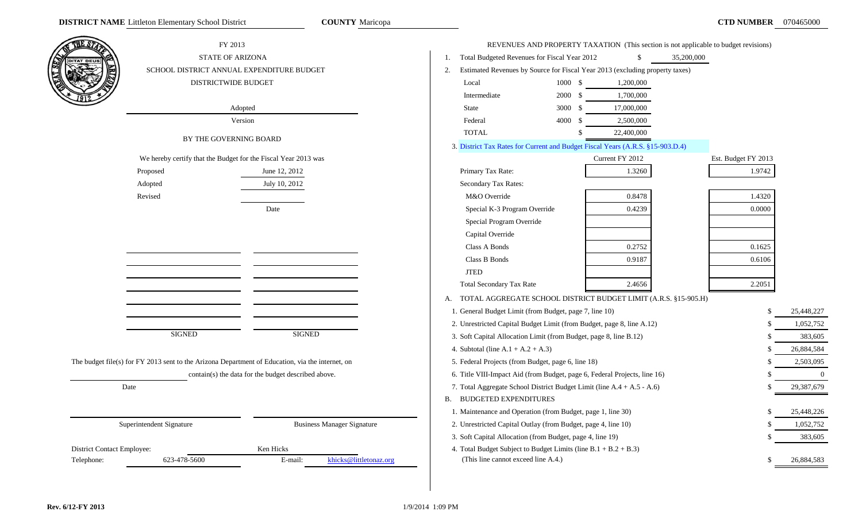|                            | FY 2013<br>STATE OF ARIZONA                                    |                                                                                                  | Total Budgeted Revenues for Fiscal Year 2012                                   |                    | $\mathbb{S}$                                                                 | REVENUES AND PROPERTY TAXATION (This section is not applicable to budget revisions)<br>35,200,000 |                     |                |
|----------------------------|----------------------------------------------------------------|--------------------------------------------------------------------------------------------------|--------------------------------------------------------------------------------|--------------------|------------------------------------------------------------------------------|---------------------------------------------------------------------------------------------------|---------------------|----------------|
|                            | SCHOOL DISTRICT ANNUAL EXPENDITURE BUDGET                      |                                                                                                  | 2.                                                                             |                    | Estimated Revenues by Source for Fiscal Year 2013 (excluding property taxes) |                                                                                                   |                     |                |
|                            | DISTRICTWIDE BUDGET                                            |                                                                                                  | Local                                                                          | 1000 \$            | 1,200,000                                                                    |                                                                                                   |                     |                |
|                            |                                                                |                                                                                                  | Intermediate                                                                   | 2000 \$            | 1,700,000                                                                    |                                                                                                   |                     |                |
|                            |                                                                | Adopted                                                                                          | State                                                                          | 3000 \$            | 17,000,000                                                                   |                                                                                                   |                     |                |
|                            |                                                                | Version                                                                                          | Federal                                                                        | 4000 \$            | 2,500,000                                                                    |                                                                                                   |                     |                |
|                            | BY THE GOVERNING BOARD                                         |                                                                                                  | <b>TOTAL</b>                                                                   | $\mathbf{\hat{S}}$ | 22,400,000                                                                   |                                                                                                   |                     |                |
|                            |                                                                |                                                                                                  | 3. District Tax Rates for Current and Budget Fiscal Years (A.R.S. §15-903.D.4) |                    |                                                                              |                                                                                                   |                     |                |
|                            | We hereby certify that the Budget for the Fiscal Year 2013 was |                                                                                                  |                                                                                |                    | Current FY 2012                                                              |                                                                                                   | Est. Budget FY 2013 |                |
|                            | Proposed                                                       | June 12, 2012                                                                                    | Primary Tax Rate:                                                              |                    | 1.3260                                                                       |                                                                                                   | 1.9742              |                |
|                            | Adopted                                                        | July 10, 2012                                                                                    | Secondary Tax Rates:                                                           |                    |                                                                              |                                                                                                   |                     |                |
|                            | Revised                                                        |                                                                                                  | M&O Override                                                                   |                    | 0.8478                                                                       |                                                                                                   | 1.4320              |                |
|                            |                                                                | Date                                                                                             | Special K-3 Program Override                                                   |                    | 0.4239                                                                       |                                                                                                   | 0.0000              |                |
|                            |                                                                |                                                                                                  | Special Program Override                                                       |                    |                                                                              |                                                                                                   |                     |                |
|                            |                                                                |                                                                                                  | Capital Override                                                               |                    |                                                                              |                                                                                                   |                     |                |
|                            |                                                                |                                                                                                  | Class A Bonds                                                                  |                    | 0.2752                                                                       |                                                                                                   | 0.1625              |                |
|                            |                                                                |                                                                                                  | Class B Bonds                                                                  |                    | 0.9187                                                                       |                                                                                                   | 0.6106              |                |
|                            |                                                                |                                                                                                  | <b>JTED</b>                                                                    |                    |                                                                              |                                                                                                   |                     |                |
|                            |                                                                |                                                                                                  | <b>Total Secondary Tax Rate</b>                                                |                    | 2.4656                                                                       |                                                                                                   | 2.2051              |                |
|                            |                                                                |                                                                                                  | TOTAL AGGREGATE SCHOOL DISTRICT BUDGET LIMIT (A.R.S. §15-905.H)<br>A.          |                    |                                                                              |                                                                                                   |                     |                |
|                            |                                                                |                                                                                                  | 1. General Budget Limit (from Budget, page 7, line 10)                         |                    |                                                                              |                                                                                                   |                     | 25,448,227     |
|                            |                                                                |                                                                                                  | 2. Unrestricted Capital Budget Limit (from Budget, page 8, line A.12)          |                    |                                                                              |                                                                                                   | £.                  | 1,052,752      |
|                            | <b>SIGNED</b>                                                  | <b>SIGNED</b>                                                                                    | 3. Soft Capital Allocation Limit (from Budget, page 8, line B.12)              |                    |                                                                              |                                                                                                   | £.                  | 383,605        |
|                            |                                                                |                                                                                                  | 4. Subtotal (line $A.1 + A.2 + A.3$ )                                          |                    |                                                                              |                                                                                                   | £.                  | 26,884,584     |
|                            |                                                                | The budget file(s) for FY 2013 sent to the Arizona Department of Education, via the internet, on | 5. Federal Projects (from Budget, page 6, line 18)                             |                    |                                                                              |                                                                                                   | £.                  | 2,503,095      |
|                            |                                                                | contain(s) the data for the budget described above.                                              | 6. Title VIII-Impact Aid (from Budget, page 6, Federal Projects, line 16)      |                    |                                                                              |                                                                                                   |                     | $\overline{0}$ |
|                            | Date                                                           |                                                                                                  | 7. Total Aggregate School District Budget Limit (line A.4 + A.5 - A.6)         |                    |                                                                              |                                                                                                   | £.                  | 29,387,679     |
|                            |                                                                |                                                                                                  | <b>B. BUDGETED EXPENDITURES</b>                                                |                    |                                                                              |                                                                                                   |                     |                |
|                            |                                                                |                                                                                                  | 1. Maintenance and Operation (from Budget, page 1, line 30)                    |                    |                                                                              |                                                                                                   |                     | 25,448,226     |
|                            | Superintendent Signature                                       | <b>Business Manager Signature</b>                                                                | 2. Unrestricted Capital Outlay (from Budget, page 4, line 10)                  |                    |                                                                              |                                                                                                   |                     | 1,052,752      |
|                            |                                                                |                                                                                                  | 3. Soft Capital Allocation (from Budget, page 4, line 19)                      |                    |                                                                              |                                                                                                   |                     | 383,605        |
| District Contact Employee: |                                                                | Ken Hicks                                                                                        | 4. Total Budget Subject to Budget Limits (line $B.1 + B.2 + B.3$ )             |                    |                                                                              |                                                                                                   |                     |                |
| Telephone:                 | 623-478-5600                                                   | khicks@littletonaz.org<br>E-mail:                                                                | (This line cannot exceed line A.4.)                                            |                    |                                                                              |                                                                                                   |                     | 26,884,583     |
|                            |                                                                |                                                                                                  |                                                                                |                    |                                                                              |                                                                                                   |                     |                |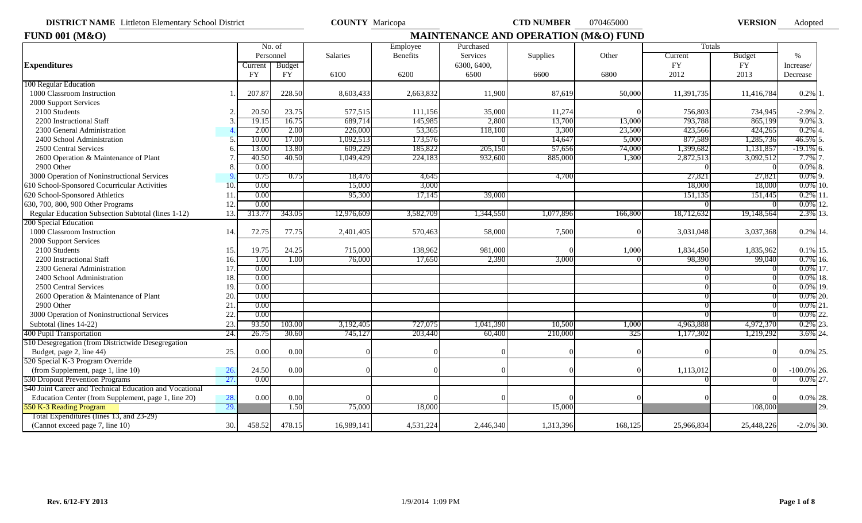**DISTRICT NAME** Littleton Elementary School District **COUNTY** Maricopa **CTD NUMBER** 070465000 **VERSION** 

VERSION Adopted

| <b>FUND 001 (M&amp;O)</b>                               |     |                      |           |            |           |                         | <b>MAINTENANCE AND OPERATION (M&amp;O) FUND</b> |         |               |                     |                   |
|---------------------------------------------------------|-----|----------------------|-----------|------------|-----------|-------------------------|-------------------------------------------------|---------|---------------|---------------------|-------------------|
|                                                         |     |                      | No. of    |            | Employee  | Purchased               |                                                 |         | Totals        |                     |                   |
| <b>Expenditures</b>                                     |     | Personnel<br>Current | Budget    | Salaries   | Benefits  | Services<br>6300, 6400, | Supplies                                        | Other   | Current<br>FY | Budget<br><b>FY</b> | $\%$<br>Increase/ |
|                                                         |     | <b>FY</b>            | <b>FY</b> | 6100       | 6200      | 6500                    | 6600                                            | 6800    | 2012          | 2013                | Decrease          |
| 100 Regular Education                                   |     |                      |           |            |           |                         |                                                 |         |               |                     |                   |
| 1000 Classroom Instruction                              |     | 207.87               | 228.50    | 8,603,433  | 2,663,832 | 11,900                  | 87,619                                          | 50,000  | 11,391,735    | 11,416,784          | 0.2%              |
| 2000 Support Services                                   |     |                      |           |            |           |                         |                                                 |         |               |                     |                   |
| 2100 Students                                           |     | 20.50                | 23.75     | 577,515    | 111,156   | 35,000                  | 11,274                                          |         | 756,803       | 734,945             | $-2.9\%$ 2.       |
| 2200 Instructional Staff                                |     | 19.15                | 16.75     | 689,714    | 145,985   | 2,800                   | 13,700                                          | 13,000  | 793,788       | 865,199             | 9.0%              |
| 2300 General Administration                             |     | 2.00                 | 2.00      | 226,000    | 53,365    | 118,100                 | 3,300                                           | 23,500  | 423,566       | 424,265             | 0.2%              |
| 2400 School Administration                              |     | 10.00                | 17.00     | 1,092,513  | 173,576   |                         | $14,64^\circ$                                   | 5,000   | 877,589       | 1,285,736           | 46.5%             |
| 2500 Central Services                                   |     | 13.00                | 13.80     | 609,229    | 185,822   | 205,150                 | 57,656                                          | 74,000  | 1,399,682     | 1,131,857           | $-19.1\%$ 6.      |
| 2600 Operation & Maintenance of Plant                   |     | 40.50                | 40.50     | 1,049,429  | 224,183   | 932,600                 | 885,000                                         | 1,300   | 2,872,513     | 3,092,512           | 7.7%              |
| 2900 Other                                              |     | 0.00                 |           |            |           |                         |                                                 |         |               |                     | $0.0\%$           |
| 3000 Operation of Noninstructional Services             |     | 0.75                 | 0.75      | 18,476     | 4,645     |                         | 4,700                                           |         | 27,821        | 27.821              | $0.0\%$ 9.        |
| 610 School-Sponsored Cocurricular Activities            | 10  | 0.00                 |           | 15,000     | 3,000     |                         |                                                 |         | 18,000        | 18,000              | $0.0\%$ 10.       |
| 620 School-Sponsored Athletics                          |     | 0.00                 |           | 95,300     | 17,145    | 39,000                  |                                                 |         | 151,135       | 151,445             | $0.2\%$ 11        |
| 630, 700, 800, 900 Other Programs                       | 12  | 0.00                 |           |            |           |                         |                                                 |         |               |                     | $0.0\%$ 12.       |
| Regular Education Subsection Subtotal (lines 1-12)      | 13. | 313.7                | 343.05    | 12,976,609 | 3,582,709 | 1,344,550               | 1,077,896                                       | 166,800 | 18,712,632    | 19,148,564          | 2.3% 13.          |
| 200 Special Education                                   |     |                      |           |            |           |                         |                                                 |         |               |                     |                   |
| 1000 Classroom Instruction                              | 14. | 72.75                | 77.75     | 2,401,405  | 570,463   | 58,000                  | 7,500                                           |         | 3,031,048     | 3,037,368           | 0.2% 14.          |
| 2000 Support Services                                   |     |                      |           |            |           |                         |                                                 |         |               |                     |                   |
| 2100 Students                                           | 15  | 19.75                | 24.25     | 715,000    | 138,962   | 981,000                 |                                                 | 1,000   | 1,834,450     | 1,835,962           | $0.1\%$ 15.       |
| 2200 Instructional Staff                                | 16. | 1.00                 | 1.00      | 76,000     | 17,650    | 2,390                   | 3,000                                           |         | 98,390        | 99,040              | $0.7\%$ 16.       |
| 2300 General Administration                             | 17  | 0.00                 |           |            |           |                         |                                                 |         |               |                     | $0.0\%$ 17.       |
| 2400 School Administration                              | 18  | 0.00                 |           |            |           |                         |                                                 |         |               |                     | $0.0\%$ 18.       |
| 2500 Central Services                                   | 19  | 0.00                 |           |            |           |                         |                                                 |         |               |                     | $0.0\%$ 19.       |
| 2600 Operation & Maintenance of Plant                   | 20  | 0.00                 |           |            |           |                         |                                                 |         |               |                     | $0.0\%$ 20.       |
| 2900 Other                                              | 21  | 0.00                 |           |            |           |                         |                                                 |         |               |                     | $0.0\%$ 21.       |
| 3000 Operation of Noninstructional Services             | 22  | 0.00                 |           |            |           |                         |                                                 |         |               |                     | $0.0\%$<br>22.    |
| Subtotal (lines 14-22)                                  | 23  | 93.50                | 103.00    | 3,192,405  | 727,075   | 1,041,390               | 10,500                                          | 1,000   | 4,963,888     | 4,972,370           | $0.2\%$ 23.       |
| 400 Pupil Transportation                                | 24. | 26.75                | 30.60     | 745,12     | 203,440   | 60,400                  | 210,000                                         | 325     | 1,177,302     | 1,219,292           | 3.6% 24.          |
| 510 Desegregation (from Districtwide Desegregation      |     |                      |           |            |           |                         |                                                 |         |               |                     |                   |
| Budget, page 2, line 44)                                | 25. | 0.00                 | 0.00      |            |           |                         |                                                 |         |               |                     | 0.0% 25.          |
| 520 Special K-3 Program Override                        |     |                      |           |            |           |                         |                                                 |         |               |                     |                   |
| (from Supplement, page 1, line 10)                      | 26. | 24.50                | 0.00      |            |           |                         |                                                 |         | 1,113,012     |                     | $-100.0\%$ 26.    |
| 530 Dropout Prevention Programs                         | 27. | 0.00                 |           |            |           |                         |                                                 |         |               |                     | $0.0\%$ 27.       |
| 540 Joint Career and Technical Education and Vocational |     |                      |           |            |           |                         |                                                 |         |               |                     |                   |
| Education Center (from Supplement, page 1, line 20)     | 28. | 0.00                 | 0.00      |            |           |                         |                                                 |         |               |                     | $0.0\%$ 28.       |
| 550 K-3 Reading Program                                 | 29. |                      | 1.50      | 75,000     | 18,000    |                         | 15,000                                          |         |               | 108,000             | 29.               |
| Total Expenditures (lines 13, and 23-29)                |     |                      |           |            |           |                         |                                                 |         |               |                     |                   |
| (Cannot exceed page 7, line 10)                         | 30. | 458.52               | 478.15    | 16,989,141 | 4,531,224 | 2,446,340               | 1,313,396                                       | 168,125 | 25,966,834    | 25,448,226          | $-2.0\%$ 30.      |
|                                                         |     |                      |           |            |           |                         |                                                 |         |               |                     |                   |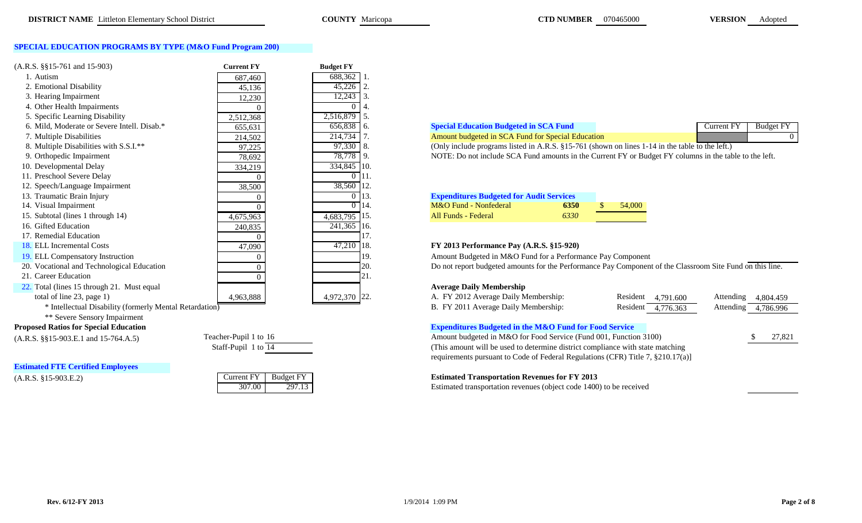#### **SPECIAL EDUCATION PROGRAMS BY TYPE (M&O Fund Program 200)**

| $(A.R.S. \S\S15-761 \text{ and } 15-903)$   | <b>Current FY</b> | <b>Budget FY</b> |                                                                                                           |
|---------------------------------------------|-------------------|------------------|-----------------------------------------------------------------------------------------------------------|
|                                             |                   |                  |                                                                                                           |
| 1. Autism                                   | 687,460           | 688,362          |                                                                                                           |
| 2. Emotional Disability                     | 45,136            | $45,226$ 2       |                                                                                                           |
| 3. Hearing Impairment                       | 12,230            | $12,243$ 3.      |                                                                                                           |
| 4. Other Health Impairments                 |                   |                  |                                                                                                           |
| 5. Specific Learning Disability             | 2,512,368         | 2,516,879 5.     |                                                                                                           |
| 6. Mild, Moderate or Severe Intell. Disab.* | 655,631           | $656,838$ 6.     | <b>Special Education Budgeted in SCA Fund</b><br><b>Budget FY</b><br>Current FY                           |
| 7. Multiple Disabilities                    | 214,502           | 214,734          | Amount budgeted in SCA Fund for Special Education                                                         |
| 8. Multiple Disabilities with S.S.I.**      | 97,225            | 97,330 8.        | (Only include programs listed in A.R.S. §15-761 (shown on lines 1-14 in the table to the left.)           |
| 9. Orthopedic Impairment                    | 78,692            | 78,778 9.        | NOTE: Do not include SCA Fund amounts in the Current FY or Budget FY columns in the table to the left.    |
| 10. Developmental Delay                     | 334,219           | 334,845 10.      |                                                                                                           |
| 11. Preschool Severe Delay                  |                   |                  |                                                                                                           |
| 12. Speech/Language Impairment              | 38,500            | 38,560 12.       |                                                                                                           |
| 13. Traumatic Brain Injury                  |                   |                  | <b>Expenditures Budgeted for Audit Services</b>                                                           |
| 14. Visual Impairment                       |                   |                  | M&O Fund - Nonfederal<br>6350<br>54,000                                                                   |
| 15. Subtotal (lines 1 through 14)           | 4,675,963         | $4,683,795$ 15.  | All Funds - Federal<br>6330                                                                               |
| 16. Gifted Education                        | 240,835           | 241,365 16.      |                                                                                                           |
| 17. Remedial Education                      |                   |                  |                                                                                                           |
| 18. ELL Incremental Costs                   | 47,090            | 47,210 18.       | FY 2013 Performance Pay (A.R.S. §15-920)                                                                  |
| 19. ELL Compensatory Instruction            |                   | 19.              | Amount Budgeted in M&O Fund for a Performance Pay Component                                               |
| 20. Vocational and Technological Education  |                   | 20.              | Do not report budgeted amounts for the Performance Pay Component of the Classroom Site Fund on this line. |
| 21. Career Education                        |                   |                  |                                                                                                           |
| 22. Total (lines 15 through 21. Must equal  |                   |                  | <b>Average Daily Membership</b>                                                                           |
| total of line 23, page 1)                   | 4,963,888         | 4,972,370 22.    | A. FY 2012 Average Daily Membership:<br>Resident 4,791.600<br>Attending<br>4,804.459                      |

#### **Proposed Ratios for Special Education**

**Estimated FTE Certified Employees**

| Current FY | <b>Budget FY</b> |
|------------|------------------|
|            |                  |

| Mild.<br>. Moderate or Severe Intell. Disab.*                   | $- - -$<br>$\sim$ $\sim$ $\sim$<br>555641<br><u>000.001</u>                     | റാറ                                     |   |          | шиа                                  | Current FV | Budge. |  |
|-----------------------------------------------------------------|---------------------------------------------------------------------------------|-----------------------------------------|---|----------|--------------------------------------|------------|--------|--|
| Multiple<br><br>Disabilities                                    | 214,502                                                                         | $\blacksquare$<br>14.1                  | . | ed in St | -Fund for Specia<br><b>Education</b> |            |        |  |
| $1 \cap \cap T$ shall<br>$\cdots$ $\cdots$ $\cdots$<br>$\cdots$ | the contract of the contract of the contract of the contract of the contract of | $\sim$ 0.00 $\sim$ 1.1<br>$\sim$ $\sim$ |   |          | 01777<br>$\mathbf{r}$ $\alpha$       |            |        |  |

| <b>Expenditures Budgeted for Audit Services</b> |      |        |
|-------------------------------------------------|------|--------|
| M&O Fund - Nonfederal                           | 6350 | 54,000 |
| All Funds - Federal                             | 6330 |        |

#### 18. ELL Incremental Costs 47,090 47,210 18. **FY 2013 Performance Pay (A.R.S. §15-920)**

#### **Average Daily Membership**

| total of line 23, page 1)                               | 4,963,888 | 4,972,370 22. | A. FY 2012 Average Daily Membership:                              | Resident 4,791.600 | Attending 4,804.459 |           |
|---------------------------------------------------------|-----------|---------------|-------------------------------------------------------------------|--------------------|---------------------|-----------|
| * Intellectual Disability (formerly Mental Retardation) |           |               | B. FY 2011 Average Daily Membership:                              | Resident 4,776.363 | Attending           | 4,786.996 |
| ** Severe Sensory Impairment                            |           |               |                                                                   |                    |                     |           |
| sed Ratios for Special Education                        |           |               | <b>Expenditures Budgeted in the M&amp;O Fund for Food Service</b> |                    |                     |           |

(A.R.S. §§15-903.E.1 and 15-764.A.5) Teacher-Pupil 1 to 16 Amount budgeted in M&O for Food Service (Fund 001, Function 3100) \$ 27,821 (This amount will be used to determine district compliance with state matching requirements pursuant to Code of Federal Regulations (CFR) Title 7, §210.17(a)]

### (A.R.S. §15-903.E.2) Current FY Budget FY **Estimated Transportation Revenues for FY 2013**

307.00 297.13 Estimated transportation revenues (object code 1400) to be received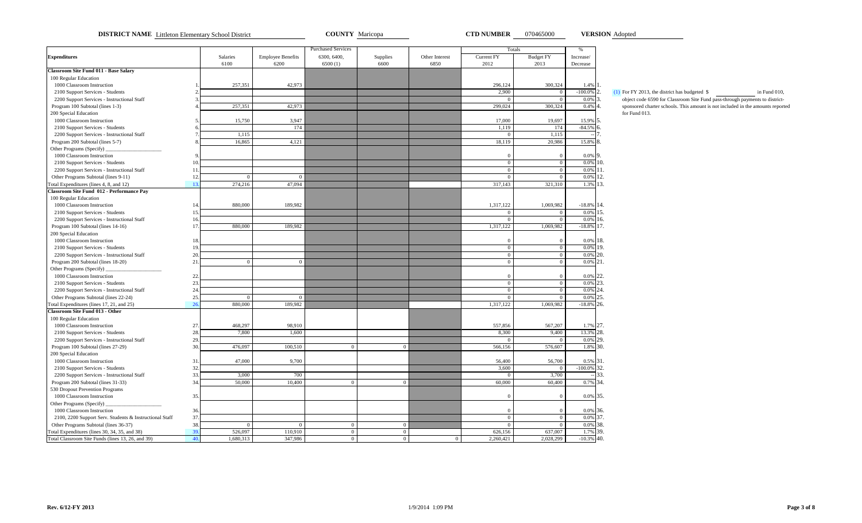**DISTRICT NAME** Littleton Elementary School District **COUNTY** Maricopa **CTD NUMBER** 070465000 **VERSION** Adopted

**VERSION**

|                                                                                    |            |                  |                                  | <b>Purchased Services</b> |                  |                        | Totals             |                          | $\%$                       |                                                                             |
|------------------------------------------------------------------------------------|------------|------------------|----------------------------------|---------------------------|------------------|------------------------|--------------------|--------------------------|----------------------------|-----------------------------------------------------------------------------|
| <b>Expenditures</b>                                                                |            | Salaries<br>6100 | <b>Employee Benefits</b><br>6200 | 6300, 6400,<br>6500(1)    | Supplies<br>6600 | Other Interest<br>6850 | Current FY<br>2012 | <b>Budget FY</b><br>2013 | Increase/<br>Decrease      |                                                                             |
| <b>Classroom Site Fund 011 - Base Salary</b>                                       |            |                  |                                  |                           |                  |                        |                    |                          |                            |                                                                             |
| 100 Regular Education                                                              |            |                  |                                  |                           |                  |                        |                    |                          |                            |                                                                             |
| 1000 Classroom Instruction                                                         |            | 257,351          | 42,973                           |                           |                  |                        | 296,124            | 300,324                  | $1.4%$ 1.                  |                                                                             |
| 2100 Support Services - Students                                                   |            |                  |                                  |                           |                  |                        | 2,900              | $\overline{0}$           | $-100.0\%$ 2.              | $(1)$ For FY 2013, the district has budgeted \$<br>in Fund 010.             |
| 2200 Support Services - Instructional Staff                                        |            |                  |                                  |                           |                  |                        | $\Omega$           |                          | $0.0\%$ 3.                 | object code 6590 for Classroom Site Fund pass-through payments to district- |
| Program 100 Subtotal (lines 1-3)                                                   |            | 257,351          | 42,973                           |                           |                  |                        | 299,024            | 300.324                  | $0.4\%$ 4.                 | sponsored charter schools. This amount is not included in the amounts repor |
| 200 Special Education                                                              |            |                  |                                  |                           |                  |                        |                    |                          |                            | for Fund 013.                                                               |
| 1000 Classroom Instruction                                                         |            | 15,750           | 3,947                            |                           |                  |                        | 17,000             | 19,697                   | 15.9% 5.                   |                                                                             |
| 2100 Support Services - Students                                                   |            |                  | 174                              |                           |                  |                        | 1,119              | 174                      | $-84.5\%$ 6.               |                                                                             |
| 2200 Support Services - Instructional Staff                                        |            | 1,115            |                                  |                           |                  |                        | $\mathbf{0}$       | 1,115                    |                            |                                                                             |
| Program 200 Subtotal (lines 5-7)                                                   |            | 16,865           | 4,121                            |                           |                  |                        | 18,119             | 20.986                   | 15.8% 8.                   |                                                                             |
| Other Programs (Specify)                                                           |            |                  |                                  |                           |                  |                        |                    |                          |                            |                                                                             |
| 1000 Classroom Instruction                                                         |            |                  |                                  |                           |                  |                        | $\overline{0}$     | $\overline{0}$           | 0.0% 9.                    |                                                                             |
| 2100 Support Services - Students                                                   | 10.        |                  |                                  |                           |                  |                        | $\overline{0}$     | $\overline{0}$           | $0.0\%$ 10.                |                                                                             |
| 2200 Support Services - Instructional Staff                                        | 11         |                  |                                  |                           |                  |                        | $\overline{0}$     | $\Omega$                 | 0.0% 11.                   |                                                                             |
| Other Programs Subtotal (lines 9-11)                                               | 12.        | $\overline{0}$   | $\overline{0}$                   |                           |                  |                        | $\overline{0}$     | $\overline{0}$           | $0.0\%$ 12.                |                                                                             |
| Total Expenditures (lines 4, 8, and 12)                                            | 13.        | 274,216          | 47,094                           |                           |                  |                        | 317,143            | 321,310                  | 1.3% 13.                   |                                                                             |
| Classroom Site Fund 012 - Performance Pay                                          |            |                  |                                  |                           |                  |                        |                    |                          |                            |                                                                             |
| 100 Regular Education                                                              |            |                  |                                  |                           |                  |                        |                    |                          |                            |                                                                             |
| 1000 Classroom Instruction                                                         | 14.        | 880.000          | 189.982                          |                           |                  |                        | 1,317,122          | 1,069,982                | $-18.8\%$ 14.              |                                                                             |
| 2100 Support Services - Students                                                   | 15.        |                  |                                  |                           |                  |                        | $\Omega$           | $\Omega$                 | $0.0\%$ 15.                |                                                                             |
| 2200 Support Services - Instructional Staff                                        | 16.        |                  |                                  |                           |                  |                        | $\overline{0}$     | $\overline{0}$           | $0.0\%$ 16.                |                                                                             |
| Program 100 Subtotal (lines 14-16)                                                 | 17.        | 880,000          | 189,982                          |                           |                  |                        | 1,317,122          | 1,069,982                | $-18.8\%$ 17.              |                                                                             |
| 200 Special Education                                                              |            |                  |                                  |                           |                  |                        |                    |                          |                            |                                                                             |
| 1000 Classroom Instruction                                                         | 18.        |                  |                                  |                           |                  |                        | $\Omega$           | $\overline{0}$           | $0.0\%$ 18.                |                                                                             |
| 2100 Support Services - Students                                                   | 19.        |                  |                                  |                           |                  |                        | $\overline{0}$     | $\overline{0}$           | $0.0\%$ 19.                |                                                                             |
| 2200 Support Services - Instructional Staff                                        | 20.        |                  |                                  |                           |                  |                        | $\overline{0}$     | $\mathbf{0}$             | $0.0\%$ 20.                |                                                                             |
| Program 200 Subtotal (lines 18-20)                                                 | 21.        | $\overline{0}$   | $\mathbf{0}$                     |                           |                  |                        | $\overline{0}$     | $\overline{0}$           | $0.0\%$ 21.                |                                                                             |
| Other Programs (Specify)                                                           |            |                  |                                  |                           |                  |                        |                    |                          |                            |                                                                             |
| 1000 Classroom Instruction                                                         | 22.        |                  |                                  |                           |                  |                        | $\Omega$           | $\Omega$                 | 0.0% 22.                   |                                                                             |
| 2100 Support Services - Students                                                   | 23.        |                  |                                  |                           |                  |                        | $\overline{0}$     | $\overline{0}$           | $0.0\%$ 23.                |                                                                             |
|                                                                                    | 24.        |                  |                                  |                           |                  |                        | $\overline{0}$     | $\overline{0}$           | 0.0% 24.                   |                                                                             |
| 2200 Support Services - Instructional Staff                                        | 25.        | $\Omega$         | $\Omega$                         |                           |                  |                        | $\Omega$           | $\Omega$                 | 0.0% 25.                   |                                                                             |
| Other Programs Subtotal (lines 22-24)<br>Total Expenditures (lines 17, 21, and 25) | 26         | 880,000          | 189,982                          |                           |                  |                        | 1,317,122          | 1,069,982                | $-18.8\%$ 26.              |                                                                             |
| <b>Classroom Site Fund 013 - Other</b>                                             |            |                  |                                  |                           |                  |                        |                    |                          |                            |                                                                             |
| 100 Regular Education                                                              |            |                  |                                  |                           |                  |                        |                    |                          |                            |                                                                             |
| 1000 Classroom Instruction                                                         | 27.        | 468,297          | 98,910                           |                           |                  |                        | 557,856            | 567,207                  | 1.7% 27.                   |                                                                             |
| 2100 Support Services - Students                                                   | 28.        | 7,800            | 1.600                            |                           |                  |                        | 8,300              | 9,400                    | 13.3% 28.                  |                                                                             |
| 2200 Support Services - Instructional Staff                                        | 29.        |                  |                                  |                           |                  |                        | $\Omega$           |                          | $0.0\%$ 29.                |                                                                             |
|                                                                                    | 30.        | 476,097          | 100,510                          | $\overline{0}$            |                  |                        | 566,156            | 576,607                  | 1.8% 30.                   |                                                                             |
| Program 100 Subtotal (lines 27-29)                                                 |            |                  |                                  |                           | $\overline{0}$   |                        |                    |                          |                            |                                                                             |
| 200 Special Education                                                              |            |                  |                                  |                           |                  |                        |                    |                          |                            |                                                                             |
| 1000 Classroom Instruction                                                         | 31.        | 47,000           | 9,700                            |                           |                  |                        | 56,400             | 56,700                   | 0.5% 31.<br>$-100.0\%$ 32. |                                                                             |
| 2100 Support Services - Students                                                   | 32.        | 3,000            | 700                              |                           |                  |                        | 3,600              | $\overline{0}$           |                            | 33.                                                                         |
| 2200 Support Services - Instructional Staff                                        | 33.<br>34. | 50,000           |                                  | $\Omega$                  |                  |                        | $\Omega$           | 3,700                    |                            |                                                                             |
| Program 200 Subtotal (lines 31-33)                                                 |            |                  | 10,400                           |                           | $\overline{0}$   |                        | 60,000             | 60,400                   | 0.7% 34.                   |                                                                             |
| 530 Dropout Prevention Programs                                                    |            |                  |                                  |                           |                  |                        |                    |                          |                            |                                                                             |
| 1000 Classroom Instruction                                                         | 35.        |                  |                                  |                           |                  |                        | $\Omega$           | $\Omega$                 | 0.0% 35.                   |                                                                             |
| Other Programs (Specify)                                                           |            |                  |                                  |                           |                  |                        |                    |                          |                            |                                                                             |
| 1000 Classroom Instruction                                                         | 36.        |                  |                                  |                           |                  |                        | $\Omega$           | $\overline{0}$           | 0.0% 36.                   |                                                                             |
| 2100, 2200 Support Serv. Students & Instructional Staff                            | 37.        |                  |                                  |                           |                  |                        | $\overline{0}$     | $\overline{0}$           | $0.0\%$ 37.                |                                                                             |
| Other Programs Subtotal (lines 36-37)                                              | 38.        | $\overline{0}$   | $\Omega$                         | $\overline{0}$            | $\overline{0}$   |                        | $\overline{0}$     | $\overline{0}$           | 0.0% 38.                   |                                                                             |
| Total Expenditures (lines 30, 34, 35, and 38)                                      | 39         | 526,097          | 110,910                          | $\overline{0}$            | $\mathbf{0}$     |                        | 626,156            | 637,007                  | 1.7% 39.                   |                                                                             |
| Total Classroom Site Funds (lines 13, 26, and 39)                                  | 40.        | 1,680,313        | 347,986                          | $\overline{0}$            | $\mathbf{0}$     | $\Omega$               | 2,260,421          | 2,028,299                | $-10.3\%$ 40.              |                                                                             |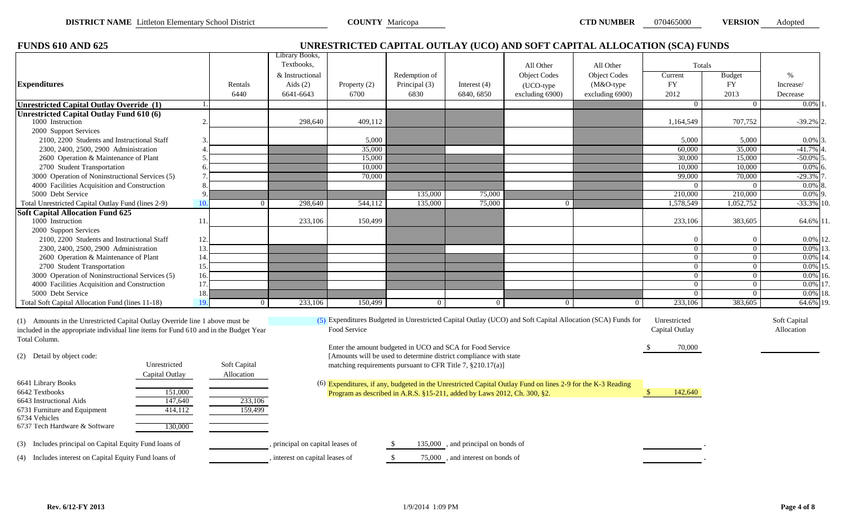| <b>VERSION</b><br><b>D NUMBER</b><br>070465000 |  |  |
|------------------------------------------------|--|--|
|------------------------------------------------|--|--|

| <b>FUNDS 610 AND 625</b>                                                                                                                                              |              |                                  |                  |                                                                                                                                |                                     |                                                                                                             | UNRESTRICTED CAPITAL OUTLAY (UCO) AND SOFT CAPITAL ALLOCATION (SCA) FUNDS                                  |                                |                 |                            |
|-----------------------------------------------------------------------------------------------------------------------------------------------------------------------|--------------|----------------------------------|------------------|--------------------------------------------------------------------------------------------------------------------------------|-------------------------------------|-------------------------------------------------------------------------------------------------------------|------------------------------------------------------------------------------------------------------------|--------------------------------|-----------------|----------------------------|
|                                                                                                                                                                       |              | Library Books,                   |                  |                                                                                                                                |                                     |                                                                                                             |                                                                                                            |                                |                 |                            |
|                                                                                                                                                                       |              | Textbooks,                       |                  |                                                                                                                                |                                     | All Other                                                                                                   | All Other                                                                                                  | Totals                         |                 |                            |
|                                                                                                                                                                       |              | & Instructional                  |                  | Redemption of                                                                                                                  |                                     | <b>Object Codes</b>                                                                                         | <b>Object Codes</b>                                                                                        | Current                        | <b>Budget</b>   | $\%$                       |
| <b>Expenditures</b>                                                                                                                                                   | Rentals      | Aids $(2)$                       | Property $(2)$   | Principal (3)                                                                                                                  | Interest $(4)$                      | (UCO-type                                                                                                   | (M&O-type                                                                                                  | <b>FY</b>                      | <b>FY</b>       | Increase/                  |
|                                                                                                                                                                       |              | 6440<br>6641-6643                | 6700             | 6830                                                                                                                           | 6840, 6850                          | excluding 6900)                                                                                             | excluding 6900)                                                                                            | 2012                           | 2013            | Decrease                   |
| <b>Unrestricted Capital Outlay Override (1)</b>                                                                                                                       |              |                                  |                  |                                                                                                                                |                                     |                                                                                                             |                                                                                                            | $\overline{0}$                 | $\overline{0}$  | 0.0%                       |
| <b>Unrestricted Capital Outlay Fund 610 (6)</b>                                                                                                                       |              |                                  |                  |                                                                                                                                |                                     |                                                                                                             |                                                                                                            |                                |                 |                            |
| 1000 Instruction                                                                                                                                                      |              | 298,640                          | 409,112          |                                                                                                                                |                                     |                                                                                                             |                                                                                                            | 1,164,549                      | 707,752         | $-39.2\%$ 2                |
| 2000 Support Services                                                                                                                                                 |              |                                  |                  |                                                                                                                                |                                     |                                                                                                             |                                                                                                            |                                |                 |                            |
| 2100, 2200 Students and Instructional Staff                                                                                                                           |              |                                  | 5,000            |                                                                                                                                |                                     |                                                                                                             |                                                                                                            | 5,000<br>60,000                | 5,000<br>35,000 | $0.0\%$ 3.                 |
| 2300, 2400, 2500, 2900 Administration<br>2600 Operation & Maintenance of Plant                                                                                        |              |                                  | 35,000<br>15,000 |                                                                                                                                |                                     |                                                                                                             |                                                                                                            | 30,000                         | 15,000          | $-41.7%$<br>$-50.0\%$ 5    |
| 2700 Student Transportation                                                                                                                                           |              |                                  | 10,000           |                                                                                                                                |                                     |                                                                                                             |                                                                                                            | 10.000                         |                 |                            |
| 3000 Operation of Noninstructional Services (5)                                                                                                                       |              |                                  |                  |                                                                                                                                |                                     |                                                                                                             |                                                                                                            |                                | 10,000          | $0.0\%$ 6                  |
| 4000 Facilities Acquisition and Construction                                                                                                                          |              |                                  | 70,000           |                                                                                                                                |                                     |                                                                                                             |                                                                                                            | 99,000<br>$\Omega$             | 70,000          | $-29.3%$<br>$0.0\%$ 8      |
| 5000 Debt Service                                                                                                                                                     |              |                                  |                  | 135,000                                                                                                                        | 75,000                              |                                                                                                             |                                                                                                            | 210,000                        | 210,000         | $0.0\%$ 9                  |
| Total Unrestricted Capital Outlay Fund (lines 2-9)                                                                                                                    | 10           | 298,640<br>$\theta$              | 544,112          | 135,000                                                                                                                        | 75,000                              | $\Omega$                                                                                                    |                                                                                                            | 1,578,549                      | 1,052,752       | $-33.3\%$ 10.              |
|                                                                                                                                                                       |              |                                  |                  |                                                                                                                                |                                     |                                                                                                             |                                                                                                            |                                |                 |                            |
| <b>Soft Capital Allocation Fund 625</b><br>1000 Instruction                                                                                                           | 11           | 233,106                          | 150,499          |                                                                                                                                |                                     |                                                                                                             |                                                                                                            | 233,106                        | 383,605         |                            |
|                                                                                                                                                                       |              |                                  |                  |                                                                                                                                |                                     |                                                                                                             |                                                                                                            |                                |                 | 64.6% 11.                  |
| 2000 Support Services<br>2100, 2200 Students and Instructional Staff                                                                                                  | 12.          |                                  |                  |                                                                                                                                |                                     |                                                                                                             |                                                                                                            | $\Omega$                       | 0               | 0.0% 12.                   |
| 2300, 2400, 2500, 2900 Administration                                                                                                                                 | 13.          |                                  |                  |                                                                                                                                |                                     |                                                                                                             |                                                                                                            | $\overline{0}$                 | $\Omega$        | $0.0\%$ 13.                |
| 2600 Operation & Maintenance of Plant                                                                                                                                 | 14.          |                                  |                  |                                                                                                                                |                                     |                                                                                                             |                                                                                                            | $\overline{0}$                 | $\Omega$        | 0.0% 14.                   |
| 2700 Student Transportation                                                                                                                                           | 15.          |                                  |                  |                                                                                                                                |                                     |                                                                                                             |                                                                                                            | $\overline{0}$                 | $\overline{0}$  | $0.0\%$ 15.                |
| 3000 Operation of Noninstructional Services (5)                                                                                                                       | 16.          |                                  |                  |                                                                                                                                |                                     |                                                                                                             |                                                                                                            | $\overline{0}$                 | $\overline{0}$  | $0.0\%$ 16.                |
| 4000 Facilities Acquisition and Construction                                                                                                                          | 17.          |                                  |                  |                                                                                                                                |                                     |                                                                                                             |                                                                                                            | $\overline{0}$                 | $\overline{0}$  | 0.0% 17.                   |
| 5000 Debt Service                                                                                                                                                     | 18.          |                                  |                  |                                                                                                                                |                                     |                                                                                                             |                                                                                                            | $\overline{0}$                 | $\Omega$        | $0.0\%$ 18.                |
| Total Soft Capital Allocation Fund (lines 11-18)                                                                                                                      | 19.          | 233,106<br>$\Omega$              | 150,499          | $\overline{0}$                                                                                                                 | $\overline{0}$                      | $\Omega$                                                                                                    |                                                                                                            | 233,106                        | 383,605         | 64.6% 19.                  |
| (1) Amounts in the Unrestricted Capital Outlay Override line 1 above must be<br>included in the appropriate individual line items for Fund 610 and in the Budget Year |              |                                  | Food Service     |                                                                                                                                |                                     |                                                                                                             | (5) Expenditures Budgeted in Unrestricted Capital Outlay (UCO) and Soft Capital Allocation (SCA) Funds for | Unrestricted<br>Capital Outlay |                 | Soft Capital<br>Allocation |
| Total Column.                                                                                                                                                         |              |                                  |                  |                                                                                                                                |                                     |                                                                                                             |                                                                                                            |                                |                 |                            |
|                                                                                                                                                                       |              |                                  |                  | Enter the amount budgeted in UCO and SCA for Food Service<br>[Amounts will be used to determine district compliance with state |                                     |                                                                                                             |                                                                                                            | 70,000                         |                 |                            |
| (2) Detail by object code:<br>Unrestricted                                                                                                                            | Soft Capital |                                  |                  | matching requirements pursuant to CFR Title 7, §210.17(a)]                                                                     |                                     |                                                                                                             |                                                                                                            |                                |                 |                            |
| Capital Outlay                                                                                                                                                        |              |                                  |                  |                                                                                                                                |                                     |                                                                                                             |                                                                                                            |                                |                 |                            |
| 6641 Library Books                                                                                                                                                    | Allocation   |                                  |                  |                                                                                                                                |                                     |                                                                                                             |                                                                                                            |                                |                 |                            |
| 6642 Textbooks<br>151,000                                                                                                                                             |              |                                  |                  |                                                                                                                                |                                     | (6) Expenditures, if any, budgeted in the Unrestricted Capital Outlay Fund on lines 2-9 for the K-3 Reading |                                                                                                            | -\$<br>142,640                 |                 |                            |
| 147,640<br>6643 Instructional Aids                                                                                                                                    |              | 233,106                          |                  | Program as described in A.R.S. §15-211, added by Laws 2012, Ch. 300, §2.                                                       |                                     |                                                                                                             |                                                                                                            |                                |                 |                            |
| 6731 Furniture and Equipment<br>414,112                                                                                                                               |              | 159,499                          |                  |                                                                                                                                |                                     |                                                                                                             |                                                                                                            |                                |                 |                            |
| 6734 Vehicles                                                                                                                                                         |              |                                  |                  |                                                                                                                                |                                     |                                                                                                             |                                                                                                            |                                |                 |                            |
| 6737 Tech Hardware & Software<br>130,000                                                                                                                              |              |                                  |                  |                                                                                                                                |                                     |                                                                                                             |                                                                                                            |                                |                 |                            |
| (3) Includes principal on Capital Equity Fund loans of                                                                                                                |              | , principal on capital leases of |                  |                                                                                                                                | 135,000 , and principal on bonds of |                                                                                                             |                                                                                                            |                                |                 |                            |
| (4) Includes interest on Capital Equity Fund loans of                                                                                                                 |              | interest on capital leases of    |                  | -S                                                                                                                             | 75,000, and interest on bonds of    |                                                                                                             |                                                                                                            |                                |                 |                            |
|                                                                                                                                                                       |              |                                  |                  |                                                                                                                                |                                     |                                                                                                             |                                                                                                            |                                |                 |                            |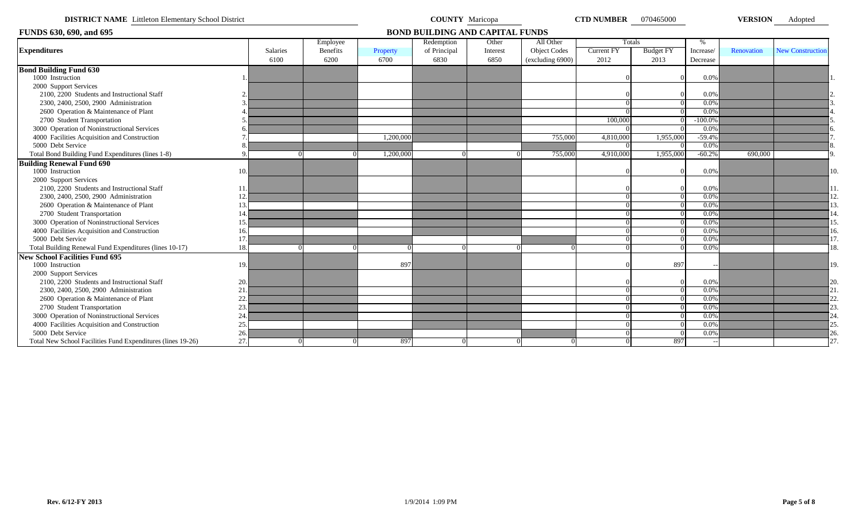| <b>DISTRICT NAME</b> Littleton Elementary School District   |     |          |                 |           | <b>COUNTY</b> Maricopa                 |          |                     | <b>CTD NUMBER</b> 070465000 |                  |           | <b>VERSION</b> | Adopted                 |      |
|-------------------------------------------------------------|-----|----------|-----------------|-----------|----------------------------------------|----------|---------------------|-----------------------------|------------------|-----------|----------------|-------------------------|------|
| <b>FUNDS 630, 690, and 695</b>                              |     |          |                 |           | <b>BOND BUILDING AND CAPITAL FUNDS</b> |          |                     |                             |                  |           |                |                         |      |
|                                                             |     |          | Employee        |           | Redemption                             | Other    | All Other           | Totals                      |                  | %         |                |                         |      |
| <b>Expenditures</b>                                         |     | Salaries | <b>Benefits</b> | Property  | of Principal                           | Interest | <b>Object Codes</b> | <b>Current FY</b>           | <b>Budget FY</b> | Increase/ | Renovation     | <b>New Construction</b> |      |
|                                                             |     | 6100     | 6200            | 6700      | 6830                                   | 6850     | (excluding 6900)    | 2012                        | 2013             | Decrease  |                |                         |      |
| <b>Bond Building Fund 630</b>                               |     |          |                 |           |                                        |          |                     |                             |                  |           |                |                         |      |
| 1000 Instruction                                            |     |          |                 |           |                                        |          |                     |                             |                  | 0.0%      |                |                         |      |
| 2000 Support Services                                       |     |          |                 |           |                                        |          |                     |                             |                  |           |                |                         |      |
| 2100, 2200 Students and Instructional Staff                 |     |          |                 |           |                                        |          |                     |                             |                  | 0.0%      |                |                         |      |
| 2300, 2400, 2500, 2900 Administration                       |     |          |                 |           |                                        |          |                     |                             |                  | $0.0\%$   |                |                         |      |
| 2600 Operation & Maintenance of Plant                       |     |          |                 |           |                                        |          |                     |                             |                  | $0.0\%$   |                |                         |      |
| 2700 Student Transportation                                 |     |          |                 |           |                                        |          |                     | 100,000                     |                  | $-100.0%$ |                |                         |      |
| 3000 Operation of Noninstructional Services                 |     |          |                 |           |                                        |          |                     |                             |                  | $0.0\%$   |                |                         |      |
| 4000 Facilities Acquisition and Construction                |     |          |                 | 1.200.000 |                                        |          | 755,000             | 4,810,000                   | 1,955,000        | $-59.4%$  |                |                         |      |
| 5000 Debt Service                                           |     |          |                 |           |                                        |          |                     |                             |                  | 0.0%      |                |                         |      |
| Total Bond Building Fund Expenditures (lines 1-8)           |     |          |                 | 1,200,000 |                                        |          | 755,000             | 4,910,000                   | 1,955,000        | $-60.2%$  | 690,000        |                         |      |
| <b>Building Renewal Fund 690</b>                            |     |          |                 |           |                                        |          |                     |                             |                  |           |                |                         |      |
| 1000 Instruction                                            | 10  |          |                 |           |                                        |          |                     |                             |                  | 0.0%      |                |                         | 10.  |
| 2000 Support Services                                       |     |          |                 |           |                                        |          |                     |                             |                  |           |                |                         |      |
| 2100, 2200 Students and Instructional Staff                 | 11  |          |                 |           |                                        |          |                     |                             |                  | 0.0%      |                |                         |      |
| 2300, 2400, 2500, 2900 Administration                       | 12  |          |                 |           |                                        |          |                     |                             |                  | 0.0%      |                |                         | 12.  |
| 2600 Operation & Maintenance of Plant                       | 13  |          |                 |           |                                        |          |                     |                             |                  | $0.0\%$   |                |                         | l3.  |
| 2700 Student Transportation                                 | 14  |          |                 |           |                                        |          |                     |                             |                  | 0.0%      |                |                         |      |
| 3000 Operation of Noninstructional Services                 | 15  |          |                 |           |                                        |          |                     |                             |                  | $0.0\%$   |                |                         | l 5. |
| 4000 Facilities Acquisition and Construction                | 16  |          |                 |           |                                        |          |                     |                             |                  | $0.0\%$   |                |                         | 16.  |
| 5000 Debt Service                                           | 11  |          |                 |           |                                        |          |                     |                             |                  | 0.0%      |                |                         |      |
| Total Building Renewal Fund Expenditures (lines 10-17)      | 18  |          |                 |           |                                        |          |                     |                             |                  | $0.0\%$   |                |                         | 18.  |
| <b>New School Facilities Fund 695</b>                       |     |          |                 |           |                                        |          |                     |                             |                  |           |                |                         |      |
| 1000 Instruction                                            | 19. |          |                 | 897       |                                        |          |                     |                             | 897              |           |                |                         | 19.  |
| 2000 Support Services                                       |     |          |                 |           |                                        |          |                     |                             |                  |           |                |                         |      |
| 2100, 2200 Students and Instructional Staff                 | 20. |          |                 |           |                                        |          |                     |                             |                  | 0.0%      |                |                         | 20.  |
| 2300, 2400, 2500, 2900 Administration                       | 21  |          |                 |           |                                        |          |                     |                             |                  | 0.0%      |                |                         | 21.  |
| 2600 Operation & Maintenance of Plant                       | 22  |          |                 |           |                                        |          |                     |                             |                  | $0.0\%$   |                |                         | 22   |
| 2700 Student Transportation                                 | 23  |          |                 |           |                                        |          |                     |                             |                  | $0.0\%$   |                |                         | 23.  |
| 3000 Operation of Noninstructional Services                 | 24  |          |                 |           |                                        |          |                     |                             |                  | $0.0\%$   |                |                         |      |
| 4000 Facilities Acquisition and Construction                | 25  |          |                 |           |                                        |          |                     |                             |                  | 0.0%      |                |                         |      |
| 5000 Debt Service                                           | 26  |          |                 |           |                                        |          |                     |                             |                  | 0.0%      |                |                         | 26.  |
| Total New School Facilities Fund Expenditures (lines 19-26) | 27  |          |                 | 897       |                                        |          |                     | $\Omega$                    | 897              |           |                |                         |      |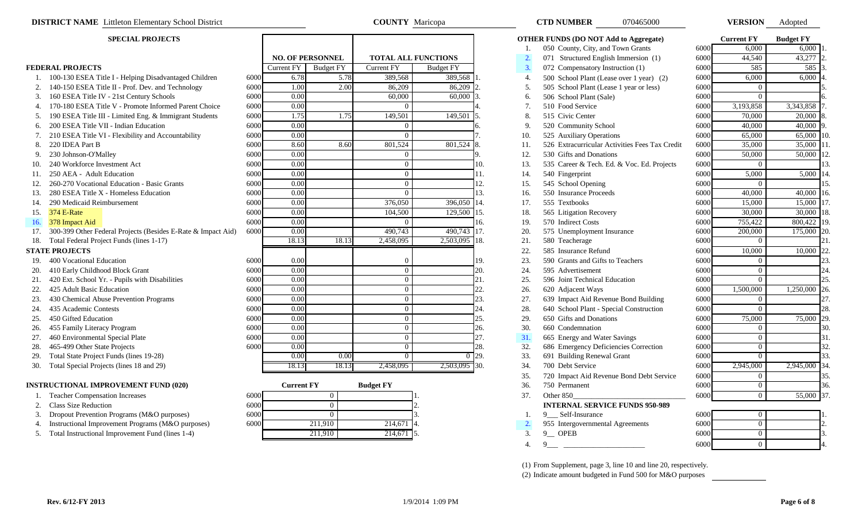- 
- 2. 140-150 ESEA Title II Prof. Dev. and Technology
- 3. 160 ESEA Title IV 21st Century Schools
- 
- 
- 
- 
- 
- 
- 
- 
- 
- 
- 
- 
- 
- 
- 

- 
- 
- 
- 
- 
- 
- 
- 
- 
- 
- 
- 

#### **INSTRUCTIONAL IMPROVEMENT FUND (020)**

- 
- 2. Class Size Reduction
- 3. Dropout Prevention Programs (M&O purposes)
- 4. Instructional Improvement Programs (M&O purposes)
- 5. Total Instructional Improvement Fund (lines 1-4)

|                   | <b>NO. OF PERSONNEL</b> | <b>TOTAL ALL FUNCTIONS</b> |                  |
|-------------------|-------------------------|----------------------------|------------------|
| <b>Current FY</b> | <b>Budget FY</b>        | <b>Current FY</b>          | <b>Budget FY</b> |
| 6.78              | 5.78                    | 389,568                    | 389,568          |
| 1.00              | 2.00                    | 86,209                     | 86,209           |
| 0.00              |                         | 60,000                     | 60,000           |
| 0.00              |                         | 0                          |                  |
| 1.75              | 1.75                    | 149,501                    | 149,501          |
| 0.00              |                         | $\theta$                   |                  |
| 0.00              |                         | $\theta$                   |                  |
| 8.60              | 8.60                    | 801,524                    | 801,524          |
| 0.00              |                         | 0                          |                  |
| 0.00              |                         | 0                          |                  |
| 0.00              |                         | $\overline{0}$             |                  |
| 0.00              |                         | $\overline{0}$             |                  |
| 0.00              |                         | $\theta$                   |                  |
| 0.00              |                         | 376,050                    | 396,050          |
| 0.00              |                         | 104,500                    | 129,500          |
| 0.00              |                         | 0                          |                  |
| 0.00              |                         | 490,743                    | 490,743          |
| 18.13             | 18.13                   | 2,458,095                  | 2,503,095        |
| 0.00              |                         | $\overline{0}$             |                  |
| 0.00              |                         | $\overline{0}$             |                  |
| 0.00              |                         | $\overline{0}$             |                  |
| 0.00              |                         | 0                          |                  |
| 0.00              |                         | $\overline{0}$             |                  |
| 0.00              |                         | $\overline{0}$             |                  |
| 0.00              |                         | $\overline{0}$             |                  |
| 0.00              |                         | $\overline{0}$             |                  |
| 0.00              |                         | $\boldsymbol{0}$           |                  |
| 0.00              |                         | $\overline{0}$             |                  |
| 0.00              | 0.00                    | $\overline{0}$             | $\overline{0}$   |
| 18.13             | 18.13                   | 2,458,095                  | 2,503,095        |

**COUNTY** Maricopa

|     | <b>Current FY</b> | <b>Budget FY</b> |     |
|-----|-------------------|------------------|-----|
| 000 |                   |                  |     |
| 000 |                   |                  |     |
| 000 |                   |                  | 3.  |
| 000 | 211,910           | 214,671          | -4. |
|     | 211,910           | 214,671          |     |

|     | <b>SPECIAL PROJECTS</b>                                          |      |                   |                         |                            |                  |                    |     | <b>OTHER FUNDS (DO NOT Add to Aggregate)</b>   |      | <b>Current FY</b> | <b>Budget FY</b> |               |
|-----|------------------------------------------------------------------|------|-------------------|-------------------------|----------------------------|------------------|--------------------|-----|------------------------------------------------|------|-------------------|------------------|---------------|
|     |                                                                  |      |                   |                         |                            |                  |                    | 1.  | 050 County, City, and Town Grants              | 6000 | 6,000             | 6,000            |               |
|     |                                                                  |      |                   | <b>NO. OF PERSONNEL</b> | <b>TOTAL ALL FUNCTIONS</b> |                  |                    | 2.  | 071 Structured English Immersion (1)           | 6000 | 44,540            | 43,277           |               |
|     | <b>FEDERAL PROJECTS</b>                                          |      | <b>Current FY</b> | <b>Budget FY</b>        | <b>Current FY</b>          | <b>Budget FY</b> |                    | 3.  | 072 Compensatory Instruction (1)               | 6000 | 585               | 585 3            |               |
|     | 100-130 ESEA Title I - Helping Disadvantaged Children            | 6000 | 6.78              | 5.78                    | 389,568                    | 389,568          |                    | 4.  | 500 School Plant (Lease over 1 year) (2)       | 6000 | 6,000             | 6,000            |               |
|     | 140-150 ESEA Title II - Prof. Dev. and Technology                | 6000 | 1.00              | 2.00                    | 86,209                     | 86,209           |                    | 5.  | 505 School Plant (Lease 1 year or less)        | 6000 | $\Omega$          |                  |               |
|     | 3. 160 ESEA Title IV - 21st Century Schools                      | 6000 | 0.00              |                         | 60,000                     | 60,000           |                    | 6.  | 506 School Plant (Sale)                        | 6000 | $\Omega$          |                  |               |
|     | 4. 170-180 ESEA Title V - Promote Informed Parent Choice         | 6000 | 0.00              |                         | $\Omega$                   |                  |                    | 7.  | 510 Food Service                               | 6000 | 3,193,858         | 3,343,858 7      |               |
| 5.  | 190 ESEA Title III - Limited Eng. & Immigrant Students           | 6000 | 1.75              | 1.75                    | 149,501                    | 149,501          |                    | 8.  | 515 Civic Center                               | 6000 | 70,000            | 20,000           |               |
| 6.  | 200 ESEA Title VII - Indian Education                            | 6000 | 0.00              |                         | $\overline{0}$             |                  |                    | 9.  | 520 Community School                           | 6000 | 40,000            | 40,000           |               |
|     | 7. 210 ESEA Title VI - Flexibility and Accountability            | 6000 | 0.00              |                         | $\overline{0}$             |                  |                    | 10. | 525 Auxiliary Operations                       | 6000 | 65,000            | 65,000           |               |
| 8.  | 220 IDEA Part B                                                  | 6000 | 8.60              | 8.60                    | 801,524                    | 801,524          | 18.                | 11. | 526 Extracurricular Activities Fees Tax Credit | 6000 | 35,000            | 35,000 11        |               |
| 9.  | 230 Johnson-O'Malley                                             | 6000 | 0.00              |                         | $\overline{0}$             |                  | $\mathbf Q$        | 12. | 530 Gifts and Donations                        | 6000 | 50,000            | 50,000           |               |
| 10. | 240 Workforce Investment Act                                     | 6000 | 0.00              |                         | $\theta$                   |                  | 10.                | 13. | 535 Career & Tech. Ed. & Voc. Ed. Projects     | 6000 | $\theta$          |                  |               |
|     | 11. 250 AEA - Adult Education                                    | 6000 | 0.00              |                         | $\overline{0}$             |                  | 11.                | 14. | 540 Fingerprint                                | 6000 | 5,000             | $5,000$ 14.      |               |
| 12. | 260-270 Vocational Education - Basic Grants                      | 6000 | 0.00              |                         | $\Omega$                   |                  | 12.                | 15. | 545 School Opening                             | 6000 | $\Omega$          |                  | 15            |
| 13. | 280 ESEA Title X - Homeless Education                            | 6000 | 0.00              |                         | $\Omega$                   |                  | 13.                | 16. | 550 Insurance Proceeds                         | 6000 | 40,000            | 40,000           | <sup>16</sup> |
| 14. | 290 Medicaid Reimbursement                                       | 6000 | 0.00              |                         | 376,050                    | 396,050          | 14.                | 17. | 555 Textbooks                                  | 6000 | 15,000            | 15,000           |               |
| 15. | <b>374 E-Rate</b>                                                | 6000 | 0.00              |                         | 104,500                    | 129,500          | 15.                | 18. | 565 Litigation Recovery                        | 6000 | 30,000            | 30,000 18.       |               |
|     | 16. 378 Impact Aid                                               | 6000 | 0.00              |                         | $\overline{0}$             |                  | 16.                | 19. | 570 Indirect Costs                             | 6000 | 755,422           | 800,422 19.      |               |
|     | 17. 300-399 Other Federal Projects (Besides E-Rate & Impact Aid) | 6000 | 0.00              |                         | 490,743                    | 490,743          | 17.                | 20. | 575 Unemployment Insurance                     | 6000 | 200,000           | 175,000          | <b>20</b>     |
|     | 18. Total Federal Project Funds (lines 1-17)                     |      | 18.13             | 18.13                   | 2,458,095                  | 2,503,095        | 18.                | 21. | 580 Teacherage                                 | 6000 | $\overline{0}$    |                  | 21            |
|     | <b>STATE PROJECTS</b>                                            |      |                   |                         |                            |                  |                    | 22. | 585 Insurance Refund                           | 6000 | 10,000            | 10,000 22.       |               |
|     | 19. 400 Vocational Education                                     | 6000 | 0.00              |                         | $\overline{0}$             |                  | 19.                | 23. | 590 Grants and Gifts to Teachers               | 6000 | $\overline{0}$    |                  | 23.           |
|     | 20. 410 Early Childhood Block Grant                              | 6000 | 0.00              |                         | $\overline{0}$             |                  | 20.                | 24. | 595 Advertisement                              | 6000 | $\overline{0}$    |                  | 24.           |
| 21. | 420 Ext. School Yr. - Pupils with Disabilities                   | 6000 | 0.00              |                         | $\Omega$                   |                  | 21.                | 25. | 596 Joint Technical Education                  | 6000 | $\theta$          |                  | 25.           |
| 22. | 425 Adult Basic Education                                        | 6000 | 0.00              |                         | $\theta$                   |                  | 22.                | 26. | 620 Adjacent Ways                              | 6000 | 1,500,000         | 1,250,000 26.    |               |
| 23. | 430 Chemical Abuse Prevention Programs                           | 6000 | 0.00              |                         | $\overline{0}$             |                  | 23.                | 27. | 639 Impact Aid Revenue Bond Building           | 6000 | $\overline{0}$    |                  | 27.           |
| 24. | 435 Academic Contests                                            | 6000 | 0.00              |                         | $\overline{0}$             |                  | 24.                | 28. | 640 School Plant - Special Construction        | 6000 | $\theta$          |                  | 28.           |
| 25. | 450 Gifted Education                                             | 6000 | 0.00              |                         | $\overline{0}$             |                  | 25.                | 29. | 650 Gifts and Donations                        | 6000 | 75,000            | 75,000 29.       |               |
| 26. | 455 Family Literacy Program                                      | 6000 | 0.00              |                         | $\overline{0}$             |                  | 26.                | 30. | 660 Condemnation                               | 6000 | $\overline{0}$    |                  | 30.           |
| 27. | 460 Environmental Special Plate                                  | 6000 | 0.00              |                         | $\overline{0}$             |                  | 27.                | 31. | 665 Energy and Water Savings                   | 6000 | $\overline{0}$    |                  | 31.           |
| 28. | 465-499 Other State Projects                                     | 6000 | 0.00              |                         | $\overline{0}$             |                  | 28.                | 32. | 686 Emergency Deficiencies Correction          | 6000 | $\overline{0}$    |                  | 32.           |
| 29. | Total State Project Funds (lines 19-28)                          |      | 0.00              | 0.00                    | $\overline{0}$             |                  | $\overline{0}$ 29. | 33. | 691 Building Renewal Grant                     | 6000 | $\overline{0}$    |                  | 33.           |
| 30. | Total Special Projects (lines 18 and 29)                         |      | 18.13             | 18.13                   | 2,458,095                  | 2,503,095 30.    |                    | 34. | 700 Debt Service                               | 6000 | 2,945,000         | 2,945,000 34.    |               |
|     |                                                                  |      |                   |                         |                            |                  |                    | 35. | 720 Impact Aid Revenue Bond Debt Service       | 6000 | $\overline{0}$    |                  | 35.           |
|     | <b>INSTRUCTIONAL IMPROVEMENT FUND (020)</b>                      |      | <b>Current FY</b> |                         | <b>Budget FY</b>           |                  |                    | 36. | 750 Permanent                                  | 6000 | $\bf{0}$          |                  | 36.           |
|     | <b>Teacher Compensation Increases</b>                            | 6000 |                   | $\overline{0}$          |                            |                  |                    | 37. | Other 850                                      | 6000 | $\overline{0}$    | 55,000 37.       |               |
| 2.  | Class Size Reduction                                             | 6000 |                   | $\overline{0}$          |                            |                  |                    |     | <b>INTERNAL SERVICE FUNDS 950-989</b>          |      |                   |                  |               |
| 3.  | Dropout Prevention Programs (M&O purposes)                       | 6000 |                   | $\Omega$                |                            |                  |                    | -1. | 9 Self-Insurance                               | 6000 | $\overline{0}$    |                  |               |
| 4.  | Instructional Improvement Programs (M&O purposes)                | 6000 |                   | 211,910                 | 214,671                    |                  |                    | 2.  | 955 Intergovernmental Agreements               | 6000 | $\overline{0}$    |                  |               |
|     | 5. Total Instructional Improvement Fund (lines 1-4)              |      |                   | 211,910                 | 214,671                    |                  |                    | 3.  | $9$ OPEB                                       | 6000 | $\overline{0}$    |                  |               |
|     |                                                                  |      |                   |                         |                            |                  |                    | 4.  | 9                                              | 6000 | $\Omega$          |                  |               |
|     |                                                                  |      |                   |                         |                            |                  |                    |     |                                                |      |                   |                  |               |

070465000

(1) From Supplement, page 3, line 10 and line 20, respectively. (2) Indicate amount budgeted in Fund 500 for M&O purposes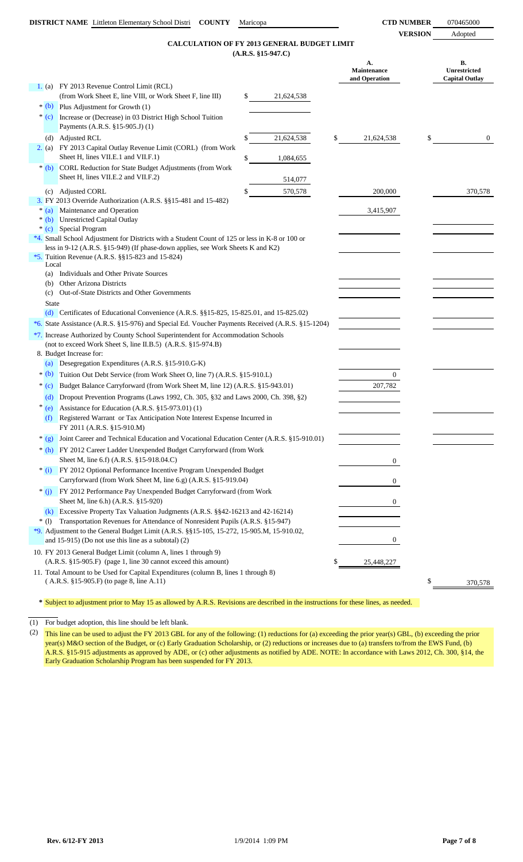**VERSION** Adopted

### **(A.R.S. §15-947.C) CALCULATION OF FY 2013 GENERAL BUDGET LIMIT**

|              | CALCULATION OF F1 2013 GENERAL BUDGET LIMIT                                                                                              | $(A.R.S. §15-947.C)$ |                                    |                                             |
|--------------|------------------------------------------------------------------------------------------------------------------------------------------|----------------------|------------------------------------|---------------------------------------------|
|              |                                                                                                                                          |                      | А.<br>Maintenance<br>and Operation | В.<br>Unrestricted<br><b>Capital Outlay</b> |
|              | 1. (a) FY 2013 Revenue Control Limit (RCL)                                                                                               |                      |                                    |                                             |
|              | (from Work Sheet E, line VIII, or Work Sheet F, line III)                                                                                | \$<br>21,624,538     |                                    |                                             |
|              | $*(b)$ Plus Adjustment for Growth (1)                                                                                                    |                      |                                    |                                             |
|              | * (c) Increase or (Decrease) in 03 District High School Tuition<br>Payments (A.R.S. §15-905.J) (1)                                       |                      |                                    |                                             |
|              |                                                                                                                                          |                      |                                    |                                             |
|              | (d) Adjusted RCL<br>2. (a) FY 2013 Capital Outlay Revenue Limit (CORL) (from Work                                                        | \$<br>21,624,538     | \$<br>21,624,538                   | \$<br>$\mathbf{0}$                          |
|              | Sheet H, lines VII.E.1 and VII.F.1)                                                                                                      | \$<br>1,084,655      |                                    |                                             |
| $*(b)$       | CORL Reduction for State Budget Adjustments (from Work<br>Sheet H, lines VII.E.2 and VII.F.2)                                            | 514,077              |                                    |                                             |
| (c)          | Adjusted CORL                                                                                                                            | \$<br>570,578        | 200,000                            | 370,578                                     |
|              | 3. FY 2013 Override Authorization (A.R.S. §§15-481 and 15-482)                                                                           |                      |                                    |                                             |
| $*(a)$       | Maintenance and Operation                                                                                                                |                      | 3,415,907                          |                                             |
| $*(b)$       | Unrestricted Capital Outlay                                                                                                              |                      |                                    |                                             |
|              | * (c) Special Program                                                                                                                    |                      |                                    |                                             |
|              | *4. Small School Adjustment for Districts with a Student Count of 125 or less in K-8 or 100 or                                           |                      |                                    |                                             |
|              | less in 9-12 (A.R.S. §15-949) (If phase-down applies, see Work Sheets K and K2)<br>*5. Tuition Revenue (A.R.S. $\S$ \$15-823 and 15-824) |                      |                                    |                                             |
| Local        |                                                                                                                                          |                      |                                    |                                             |
|              | (a) Individuals and Other Private Sources                                                                                                |                      |                                    |                                             |
| (b)          | Other Arizona Districts                                                                                                                  |                      |                                    |                                             |
| (c)          | Out-of-State Districts and Other Governments                                                                                             |                      |                                    |                                             |
| <b>State</b> |                                                                                                                                          |                      |                                    |                                             |
|              | (d) Certificates of Educational Convenience $(A.R.S. \$ § 15-825, 15-825.01, and 15-825.02)                                              |                      |                                    |                                             |
|              | *6. State Assistance (A.R.S. §15-976) and Special Ed. Voucher Payments Received (A.R.S. §15-1204)                                        |                      |                                    |                                             |
|              | *7. Increase Authorized by County School Superintendent for Accommodation Schools                                                        |                      |                                    |                                             |
|              | (not to exceed Work Sheet S, line II.B.5) (A.R.S. §15-974.B)                                                                             |                      |                                    |                                             |
|              | 8. Budget Increase for:                                                                                                                  |                      |                                    |                                             |
| (a)          | Desegregation Expenditures (A.R.S. §15-910.G-K)                                                                                          |                      |                                    |                                             |
| $*(b)$       | Tuition Out Debt Service (from Work Sheet O, line 7) (A.R.S. §15-910.L)                                                                  |                      | 0                                  |                                             |
| $*(c)$       | Budget Balance Carryforward (from Work Sheet M, line 12) (A.R.S. §15-943.01)                                                             |                      | 207,782                            |                                             |
| (d)          | Dropout Prevention Programs (Laws 1992, Ch. 305, §32 and Laws 2000, Ch. 398, §2)                                                         |                      |                                    |                                             |
| (e)          | Assistance for Education (A.R.S. §15-973.01) (1)                                                                                         |                      |                                    |                                             |
| (f)          | Registered Warrant or Tax Anticipation Note Interest Expense Incurred in<br>FY 2011 (A.R.S. §15-910.M)                                   |                      |                                    |                                             |
| $*(g)$       | Joint Career and Technical Education and Vocational Education Center (A.R.S. §15-910.01)                                                 |                      |                                    |                                             |
|              | * (h) FY 2012 Career Ladder Unexpended Budget Carryforward (from Work                                                                    |                      |                                    |                                             |
|              | Sheet M, line 6.f) (A.R.S. §15-918.04.C)                                                                                                 |                      | 0                                  |                                             |
| $*(i)$       | FY 2012 Optional Performance Incentive Program Unexpended Budget<br>Carryforward (from Work Sheet M, line 6.g) (A.R.S. §15-919.04)       |                      | 0                                  |                                             |
| $*$ (i)      | FY 2012 Performance Pay Unexpended Budget Carryforward (from Work                                                                        |                      |                                    |                                             |
|              | Sheet M, line 6.h) (A.R.S. §15-920)                                                                                                      |                      | 0                                  |                                             |
|              | (k) Excessive Property Tax Valuation Judgments (A.R.S. §§42-16213 and 42-16214)                                                          |                      |                                    |                                             |
| $*(1)$       | Transportation Revenues for Attendance of Nonresident Pupils (A.R.S. §15-947)                                                            |                      |                                    |                                             |
|              | *9. Adjustment to the General Budget Limit (A.R.S. §§15-105, 15-272, 15-905.M, 15-910.02,                                                |                      |                                    |                                             |
|              | and $15-915$ ) (Do not use this line as a subtotal) (2)                                                                                  |                      | 0                                  |                                             |
|              | 10. FY 2013 General Budget Limit (column A, lines 1 through 9)                                                                           |                      |                                    |                                             |
|              | (A.R.S. §15-905.F) (page 1, line 30 cannot exceed this amount)                                                                           |                      | 25,448,227                         |                                             |
|              | 11. Total Amount to be Used for Capital Expenditures (column B, lines 1 through 8)                                                       |                      |                                    |                                             |
|              | $(A.R.S. §15-905.F)$ (to page 8, line A.11)                                                                                              |                      |                                    | \$<br>370,578                               |

**\*** Subject to adjustment prior to May 15 as allowed by A.R.S. Revisions are described in the instructions for these lines, as needed.

(1) For budget adoption, this line should be left blank.

(2) This line can be used to adjust the FY 2013 GBL for any of the following: (1) reductions for (a) exceeding the prior year(s) GBL, (b) exceeding the prior year(s) M&O section of the Budget, or (c) Early Graduation Scholarship, or (2) reductions or increases due to (a) transfers to/from the EWS Fund, (b) A.R.S. §15-915 adjustments as approved by ADE, or (c) other adjustments as notified by ADE. NOTE: In accordance with Laws 2012, Ch. 300, §14, the Early Graduation Scholarship Program has been suspended for FY 2013.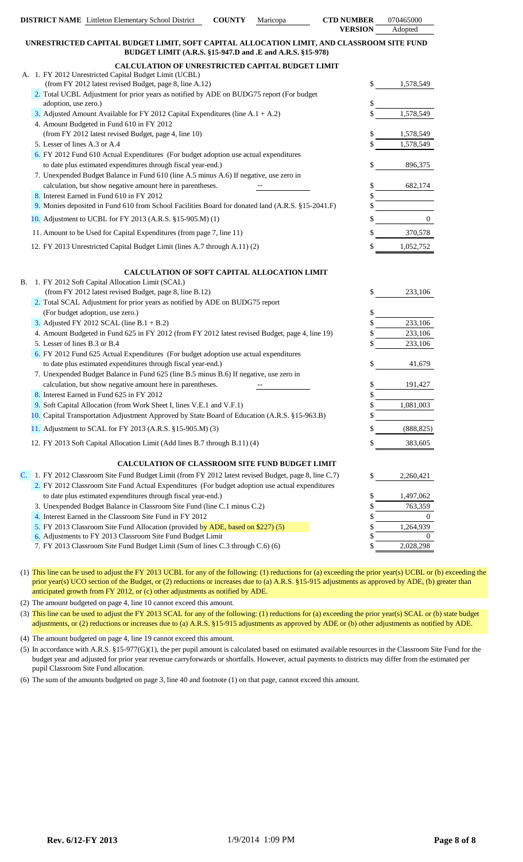|    |                               | <b>DISTRICT NAME</b> Littleton Elementary School District                                                                                              | <b>COUNTY</b> | Maricopa | <b>CTD NUMBER</b> | 070465000             |
|----|-------------------------------|--------------------------------------------------------------------------------------------------------------------------------------------------------|---------------|----------|-------------------|-----------------------|
|    |                               |                                                                                                                                                        |               |          | <b>VERSION</b>    | Adopted               |
|    |                               | UNRESTRICTED CAPITAL BUDGET LIMIT, SOFT CAPITAL ALLOCATION LIMIT, AND CLASSROOM SITE FUND<br>BUDGET LIMIT (A.R.S. §15-947.D and .E and A.R.S. §15-978) |               |          |                   |                       |
|    |                               | CALCULATION OF UNRESTRICTED CAPITAL BUDGET LIMIT                                                                                                       |               |          |                   |                       |
|    |                               | A. 1. FY 2012 Unrestricted Capital Budget Limit (UCBL)                                                                                                 |               |          |                   |                       |
|    |                               | (from FY 2012 latest revised Budget, page 8, line A.12)                                                                                                |               |          | \$                | 1,578,549             |
|    | adoption, use zero.)          | 2. Total UCBL Adjustment for prior years as notified by ADE on BUDG75 report (For budget                                                               |               |          |                   |                       |
|    |                               | 3. Adjusted Amount Available for FY 2012 Capital Expenditures (line $A.1 + A.2$ )                                                                      |               |          |                   | 1,578,549             |
|    |                               | 4. Amount Budgeted in Fund 610 in FY 2012                                                                                                              |               |          |                   |                       |
|    |                               | (from FY 2012 latest revised Budget, page 4, line 10)                                                                                                  |               |          |                   | 1,578,549             |
|    | 5. Lesser of lines A.3 or A.4 |                                                                                                                                                        |               |          |                   | 1,578,549             |
|    |                               | 6. FY 2012 Fund 610 Actual Expenditures (For budget adoption use actual expenditures                                                                   |               |          |                   |                       |
|    |                               | to date plus estimated expenditures through fiscal year-end.)                                                                                          |               |          |                   | 896,375               |
|    |                               | 7. Unexpended Budget Balance in Fund 610 (line A.5 minus A.6) If negative, use zero in                                                                 |               |          |                   |                       |
|    |                               | calculation, but show negative amount here in parentheses.<br>8. Interest Earned in Fund 610 in FY 2012                                                |               |          |                   | 682,174               |
|    |                               | 9. Monies deposited in Fund 610 from School Facilities Board for donated land (A.R.S. §15-2041.F)                                                      |               |          |                   |                       |
|    |                               | 10. Adjustment to UCBL for FY 2013 (A.R.S. §15-905.M) (1)                                                                                              |               |          |                   | $\mathbf{0}$          |
|    |                               | 11. Amount to be Used for Capital Expenditures (from page 7, line 11)                                                                                  |               |          |                   | 370,578               |
|    |                               | 12. FY 2013 Unrestricted Capital Budget Limit (lines A.7 through A.11) (2)                                                                             |               |          |                   | 1,052,752             |
|    |                               |                                                                                                                                                        |               |          |                   |                       |
|    |                               | CALCULATION OF SOFT CAPITAL ALLOCATION LIMIT                                                                                                           |               |          |                   |                       |
| В. |                               | 1. FY 2012 Soft Capital Allocation Limit (SCAL)                                                                                                        |               |          |                   |                       |
|    |                               | (from FY 2012 latest revised Budget, page 8, line B.12)                                                                                                |               |          | \$                | 233,106               |
|    |                               | 2. Total SCAL Adjustment for prior years as notified by ADE on BUDG75 report                                                                           |               |          |                   |                       |
|    |                               | (For budget adoption, use zero.)                                                                                                                       |               |          | \$                |                       |
|    |                               | 3. Adjusted FY 2012 SCAL (line B.1 + B.2)<br>4. Amount Budgeted in Fund 625 in FY 2012 (from FY 2012 latest revised Budget, page 4, line 19)           |               |          |                   | 233,106<br>233,106    |
|    | 5. Lesser of lines B.3 or B.4 |                                                                                                                                                        |               |          |                   | 233,106               |
|    |                               | 6. FY 2012 Fund 625 Actual Expenditures (For budget adoption use actual expenditures                                                                   |               |          |                   |                       |
|    |                               | to date plus estimated expenditures through fiscal year-end.)                                                                                          |               |          |                   | 41,679                |
|    |                               | 7. Unexpended Budget Balance in Fund 625 (line B.5 minus B.6) If negative, use zero in                                                                 |               |          |                   |                       |
|    |                               | calculation, but show negative amount here in parentheses.                                                                                             |               |          |                   | 191,427               |
|    |                               | 8. Interest Earned in Fund 625 in FY 2012                                                                                                              |               |          | S                 |                       |
|    |                               | 9. Soft Capital Allocation (from Work Sheet I, lines V.E.1 and V.F.1)                                                                                  |               |          | \$                | 1,081,003             |
|    |                               | 10. Capital Transportation Adjustment Approved by State Board of Education (A.R.S. §15-963.B)                                                          |               |          |                   |                       |
|    |                               | 11. Adjustment to SCAL for FY 2013 (A.R.S. §15-905.M) (3)                                                                                              |               |          |                   | (888, 825)            |
|    |                               | 12. FY 2013 Soft Capital Allocation Limit (Add lines B.7 through B.11) (4)                                                                             |               |          |                   | 383,605               |
|    |                               | <b>CALCULATION OF CLASSROOM SITE FUND BUDGET LIMIT</b>                                                                                                 |               |          |                   |                       |
| C. |                               | 1. FY 2012 Classroom Site Fund Budget Limit (from FY 2012 latest revised Budget, page 8, line C.7)                                                     |               |          | \$                | 2,260,421             |
|    |                               | 2. FY 2012 Classroom Site Fund Actual Expenditures (For budget adoption use actual expenditures                                                        |               |          |                   |                       |
|    |                               | to date plus estimated expenditures through fiscal year-end.)                                                                                          |               |          | \$                | 1,497,062             |
|    |                               | 3. Unexpended Budget Balance in Classroom Site Fund (line C.1 minus C.2)                                                                               |               |          | \$                | 763,359               |
|    |                               | 4. Interest Earned in the Classroom Site Fund in FY 2012                                                                                               |               |          | \$                | $\mathbf{0}$          |
|    |                               | 5. FY 2013 Classroom Site Fund Allocation (provided by ADE, based on \$227) (5)<br>6. Adjustments to FY 2013 Classroom Site Fund Budget Limit          |               |          | \$<br>\$          | 1,264,939<br>$\Omega$ |
|    |                               |                                                                                                                                                        |               |          |                   |                       |

7. FY 2013 Classroom Site Fund Budget Limit (Sum of lines C.3 through C.6) (6) \$ 2,028,298

(1) This line can be used to adjust the FY 2013 UCBL for any of the following: (1) reductions for (a) exceeding the prior year(s) UCBL or (b) exceeding the prior year(s) UCO section of the Budget, or (2) reductions or increases due to (a) A.R.S. §15-915 adjustments as approved by ADE, (b) greater than anticipated growth from FY 2012, or (c) other adjustments as notified by ADE.

(2) The amount budgeted on page 4, line 10 cannot exceed this amount.

(3) This line can be used to adjust the FY 2013 SCAL for any of the following: (1) reductions for (a) exceeding the prior year(s) SCAL or (b) state budget adjustments, or (2) reductions or increases due to (a) A.R.S. §15-915 adjustments as approved by ADE or (b) other adjustments as notified by ADE.

(4) The amount budgeted on page 4, line 19 cannot exceed this amount.

(5) In accordance with A.R.S. §15-977(G)(1), the per pupil amount is calculated based on estimated available resources in the Classroom Site Fund for the budget year and adjusted for prior year revenue carryforwards or shortfalls. However, actual payments to districts may differ from the estimated per pupil Classroom Site Fund allocation.

(6) The sum of the amounts budgeted on page 3, line 40 and footnote (1) on that page, cannot exceed this amount.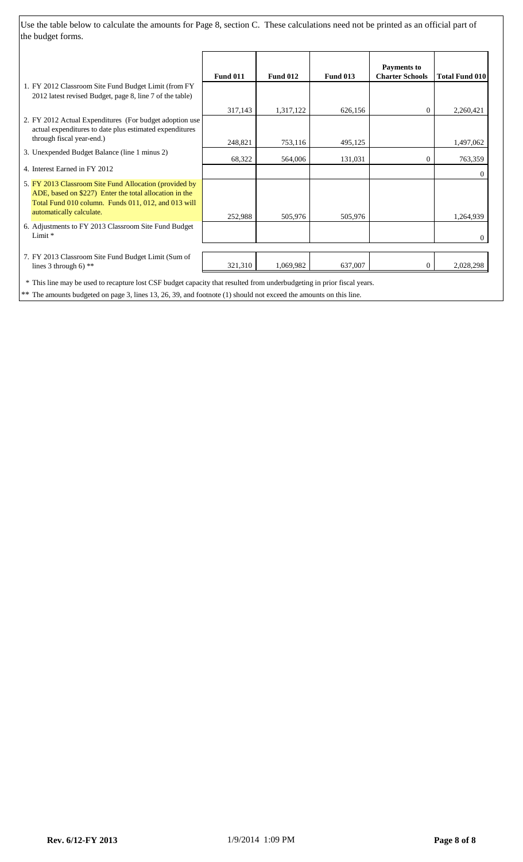Use the table below to calculate the amounts for Page 8, section C. These calculations need not be printed as an official part of the budget forms.

|                                                                                                                                                                                                     | <b>Fund 011</b> | <b>Fund 012</b> | <b>Fund 013</b> | <b>Payments to</b><br><b>Charter Schools</b> | <b>Total Fund 010</b> |
|-----------------------------------------------------------------------------------------------------------------------------------------------------------------------------------------------------|-----------------|-----------------|-----------------|----------------------------------------------|-----------------------|
| 1. FY 2012 Classroom Site Fund Budget Limit (from FY<br>2012 latest revised Budget, page 8, line 7 of the table)                                                                                    |                 |                 |                 |                                              |                       |
|                                                                                                                                                                                                     | 317,143         | 1,317,122       | 626,156         | $\overline{0}$                               | 2,260,421             |
| 2. FY 2012 Actual Expenditures (For budget adoption use<br>actual expenditures to date plus estimated expenditures                                                                                  |                 |                 |                 |                                              |                       |
| through fiscal year-end.)                                                                                                                                                                           | 248,821         | 753,116         | 495,125         |                                              | 1,497,062             |
| 3. Unexpended Budget Balance (line 1 minus 2)                                                                                                                                                       | 68,322          | 564,006         | 131,031         | 0                                            | 763,359               |
| 4. Interest Earned in FY 2012                                                                                                                                                                       |                 |                 |                 |                                              | $\Omega$              |
| 5. FY 2013 Classroom Site Fund Allocation (provided by<br>ADE, based on \$227) Enter the total allocation in the<br>Total Fund 010 column. Funds 011, 012, and 013 will<br>automatically calculate. | 252,988         | 505,976         | 505,976         |                                              | 1,264,939             |
| 6. Adjustments to FY 2013 Classroom Site Fund Budget<br>Limit *                                                                                                                                     |                 |                 |                 |                                              | 0                     |
| 7. FY 2013 Classroom Site Fund Budget Limit (Sum of<br>lines 3 through 6) $**$                                                                                                                      | 321,310         | 1,069,982       | 637,007         | $\overline{0}$                               | 2,028,298             |
| * This line may be used to recapture lost CSF budget capacity that resulted from underbudgeting in prior fiscal years.                                                                              |                 |                 |                 |                                              |                       |

\*\* The amounts budgeted on page 3, lines 13, 26, 39, and footnote (1) should not exceed the amounts on this line.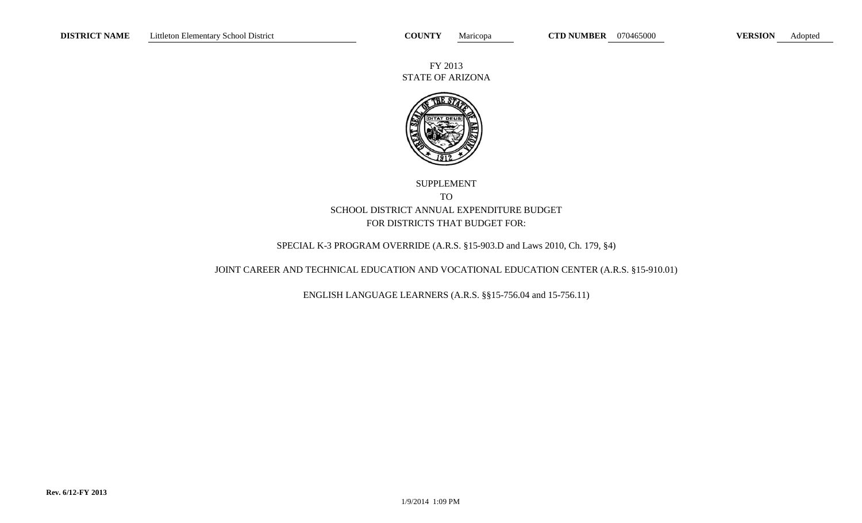FY 2013 STATE OF ARIZONA



### SUPPLEMENT TO SCHOOL DISTRICT ANNUAL EXPENDITURE BUDGET FOR DISTRICTS THAT BUDGET FOR:

### SPECIAL K-3 PROGRAM OVERRIDE (A.R.S. §15-903.D and Laws 2010, Ch. 179, §4)

### JOINT CAREER AND TECHNICAL EDUCATION AND VOCATIONAL EDUCATION CENTER (A.R.S. §15-910.01)

ENGLISH LANGUAGE LEARNERS (A.R.S. §§15-756.04 and 15-756.11)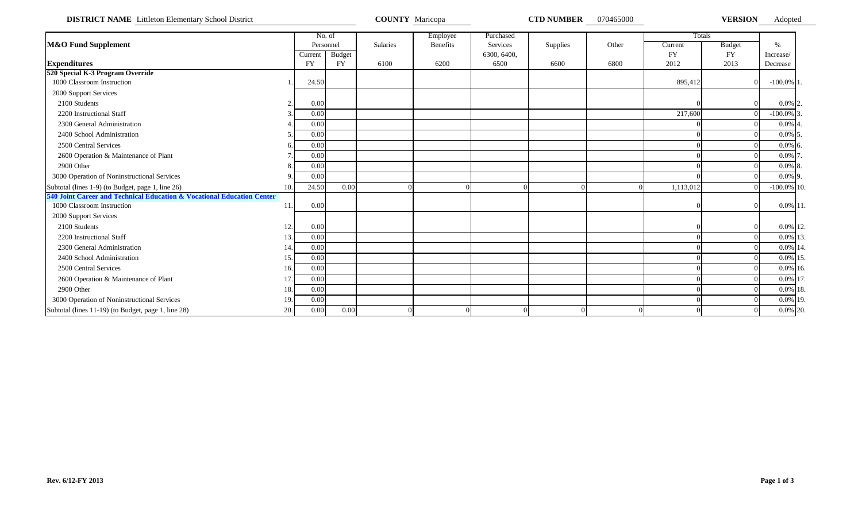**DISTRICT NAME** Littleton Elementary School District **COUNTY Maricopa COUNTY Maricopa CTD NUMBER** 070465000 **VERSION** Adopted

|                                                                        |     |           | No. of        |          | Employee        | Purchased   |          |          |           | Totals        |                |  |
|------------------------------------------------------------------------|-----|-----------|---------------|----------|-----------------|-------------|----------|----------|-----------|---------------|----------------|--|
| M&O Fund Supplement                                                    |     |           | Personnel     | Salaries | <b>Benefits</b> | Services    | Supplies | Other    | Current   | <b>Budget</b> | $\%$           |  |
|                                                                        |     | Current   | <b>Budget</b> |          |                 | 6300, 6400, |          |          | <b>FY</b> | <b>FY</b>     | Increase/      |  |
| <b>Expenditures</b>                                                    |     | <b>FY</b> | <b>FY</b>     | 6100     | 6200            | 6500        | 6600     | 6800     | 2012      | 2013          | Decrease       |  |
| 520 Special K-3 Program Override                                       |     |           |               |          |                 |             |          |          |           |               |                |  |
| 1000 Classroom Instruction                                             |     | 24.50     |               |          |                 |             |          |          | 895,412   |               | $-100.0\%$ 1.  |  |
| 2000 Support Services                                                  |     |           |               |          |                 |             |          |          |           |               |                |  |
| 2100 Students                                                          |     | 0.00      |               |          |                 |             |          |          |           |               | $0.0\%$ 2.     |  |
| 2200 Instructional Staff                                               |     | 0.00      |               |          |                 |             |          |          | 217,600   |               | $-100.0\%$ 3.  |  |
| 2300 General Administration                                            |     | 0.00      |               |          |                 |             |          |          |           |               | $0.0\%$ 4.     |  |
| 2400 School Administration                                             |     | 0.00      |               |          |                 |             |          |          |           |               | $0.0\%$ 5.     |  |
| 2500 Central Services                                                  |     | 0.00      |               |          |                 |             |          |          |           |               | $0.0\%$ 6.     |  |
| 2600 Operation & Maintenance of Plant                                  |     | 0.00      |               |          |                 |             |          |          |           |               | $0.0\%$ 7.     |  |
| 2900 Other                                                             |     | 0.00      |               |          |                 |             |          |          |           |               | $0.0\%$ 8.     |  |
| 3000 Operation of Noninstructional Services                            |     | 0.00      |               |          |                 |             |          |          |           |               | $0.0\%$ 9.     |  |
| Subtotal (lines 1-9) (to Budget, page 1, line 26)                      | 10. | 24.50     | 0.00          |          |                 |             |          |          | 1,113,012 |               | $-100.0\%$ 10. |  |
| 540 Joint Career and Technical Education & Vocational Education Center |     |           |               |          |                 |             |          |          |           |               |                |  |
| 1000 Classroom Instruction                                             | 11. | 0.00      |               |          |                 |             |          |          |           |               | $0.0\%$ 11.    |  |
| 2000 Support Services                                                  |     |           |               |          |                 |             |          |          |           |               |                |  |
| 2100 Students                                                          | 12. | 0.00      |               |          |                 |             |          |          |           |               | 0.0% 12.       |  |
| 2200 Instructional Staff                                               | 13. | 0.00      |               |          |                 |             |          |          |           |               | 0.0% 13.       |  |
| 2300 General Administration                                            | 14. | 0.00      |               |          |                 |             |          |          |           |               | 0.0% 14.       |  |
| 2400 School Administration                                             | 15. | 0.00      |               |          |                 |             |          |          |           |               | 0.0% 15.       |  |
| 2500 Central Services                                                  | 16. | 0.00      |               |          |                 |             |          |          |           |               | $0.0\%$ 16.    |  |
| 2600 Operation & Maintenance of Plant                                  | 17. | 0.00      |               |          |                 |             |          |          |           |               | 0.0% 17.       |  |
| 2900 Other                                                             | 18. | 0.00      |               |          |                 |             |          |          |           |               | 0.0% 18.       |  |
| 3000 Operation of Noninstructional Services                            | 19. | 0.00      |               |          |                 |             |          |          |           |               | 0.0% 19.       |  |
| Subtotal (lines 11-19) (to Budget, page 1, line 28)                    | 20. | 0.00      | 0.00          |          |                 |             |          | $\Omega$ |           |               | 0.0% 20.       |  |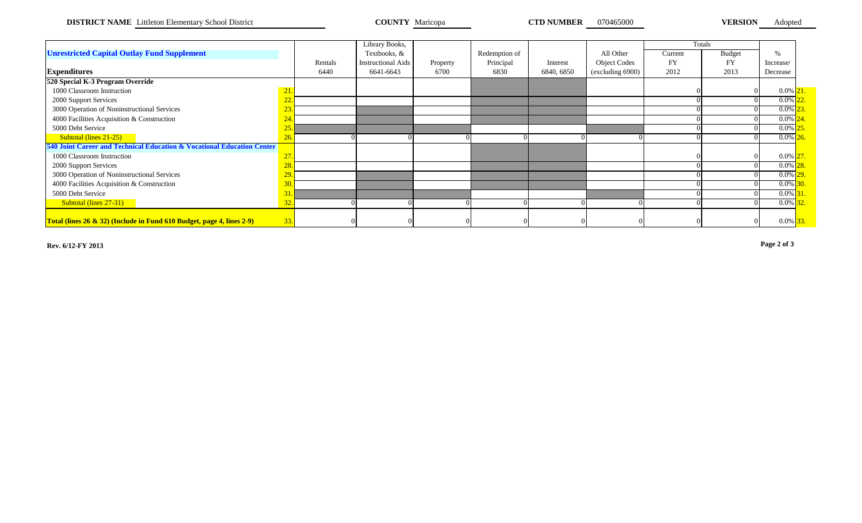**DISTRICT NAME** Littleton Elementary School District **COUNTY Maricopa COUNTY Maricopa CTD NUMBER** 070465000 **VERSION** Adopted

|                                                                        |            |         | Library Books,     |          |               |            |                     |         | Totals        |             |  |
|------------------------------------------------------------------------|------------|---------|--------------------|----------|---------------|------------|---------------------|---------|---------------|-------------|--|
| <b>Unrestricted Capital Outlay Fund Supplement</b>                     |            |         | Textbooks, &       |          | Redemption of |            | All Other           | Current | <b>Budget</b> | $\%$        |  |
|                                                                        |            | Rentals | Instructional Aids | Property | Principal     | Interest   | <b>Object Codes</b> | FY      | <b>FY</b>     | Increase/   |  |
| <b>Expenditures</b>                                                    |            | 6440    | 6641-6643          | 6700     | 6830          | 6840, 6850 | (excluding 6900)    | 2012    | 2013          | Decrease    |  |
| 520 Special K-3 Program Override                                       |            |         |                    |          |               |            |                     |         |               |             |  |
| 1000 Classroom Instruction                                             | 21         |         |                    |          |               |            |                     |         |               | $0.0\%$ 21  |  |
| 2000 Support Services                                                  | <u>LL.</u> |         |                    |          |               |            |                     |         |               | 0.0%        |  |
| 3000 Operation of Noninstructional Services                            |            |         |                    |          |               |            |                     |         |               | $0.0\%$     |  |
| 4000 Facilities Acquisition & Construction                             |            |         |                    |          |               |            |                     |         |               | $0.0\%$     |  |
| 5000 Debt Service                                                      | 25.        |         |                    |          |               |            |                     |         |               | 0.0%        |  |
| Subtotal (lines 21-25)                                                 |            |         |                    |          |               |            |                     |         |               | $0.0\%$     |  |
| 540 Joint Career and Technical Education & Vocational Education Center |            |         |                    |          |               |            |                     |         |               |             |  |
| 1000 Classroom Instruction                                             |            |         |                    |          |               |            |                     |         |               | $0.0\%$ 27  |  |
| 2000 Support Services                                                  | 28         |         |                    |          |               |            |                     |         |               | 0.0%        |  |
| 3000 Operation of Noninstructional Services                            |            |         |                    |          |               |            |                     |         |               | $0.0\%$     |  |
| 4000 Facilities Acquisition & Construction                             |            |         |                    |          |               |            |                     |         |               | 0.0%        |  |
| 5000 Debt Service                                                      |            |         |                    |          |               |            |                     |         |               | $0.0\%$     |  |
| Subtotal (lines 27-31)                                                 |            |         |                    |          |               |            |                     |         |               | $0.0\%$     |  |
|                                                                        |            |         |                    |          |               |            |                     |         |               |             |  |
| Total (lines 26 & 32) (Include in Fund 610 Budget, page 4, lines 2-9)  | 33.        |         |                    |          |               |            |                     |         |               | $0.0\%$ 33. |  |

**Rev. 6/12-FY 2013 Page 2 of 3**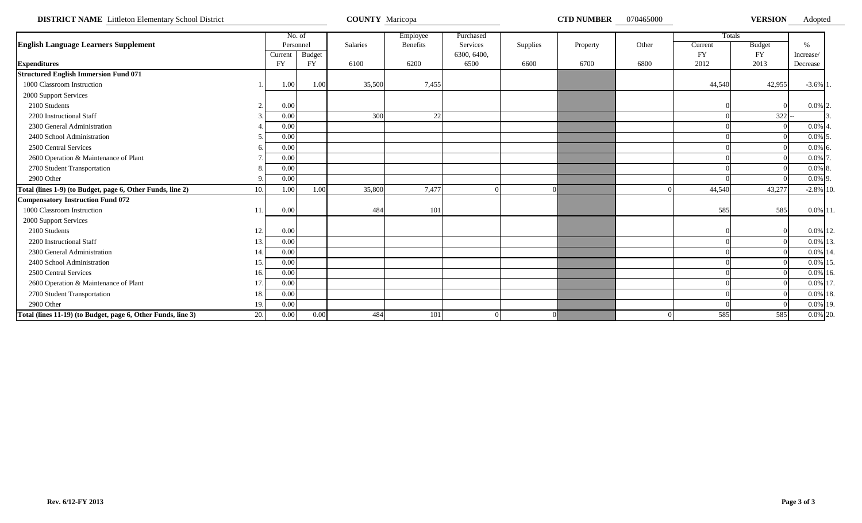**DISTRICT NAME** Littleton Elementary School District **COUNTY Maricopa COUNTY Maricopa COUNTY MARICON COUNTY MARICOPA** 

Adopted

|                                                                     |            | No. of        |          | Employee        | Purchased   |          |          |       |         | Totals    |               |  |
|---------------------------------------------------------------------|------------|---------------|----------|-----------------|-------------|----------|----------|-------|---------|-----------|---------------|--|
| <b>English Language Learners Supplement</b>                         |            | Personnel     | Salaries | <b>Benefits</b> | Services    | Supplies | Property | Other | Current | Budget    | $\frac{0}{6}$ |  |
|                                                                     | Current    | <b>Budget</b> |          |                 | 6300, 6400, |          |          |       | FY      | <b>FY</b> | Increase/     |  |
| <b>Expenditures</b>                                                 | <b>FY</b>  | <b>FY</b>     | 6100     | 6200            | 6500        | 6600     | 6700     | 6800  | 2012    | 2013      | Decrease      |  |
| <b>Structured English Immersion Fund 071</b>                        |            |               |          |                 |             |          |          |       |         |           |               |  |
| 1000 Classroom Instruction                                          | 1.00       | 1.00          | 35,500   | 7,455           |             |          |          |       | 44,540  | 42,955    | $-3.6\%$ 1.   |  |
| 2000 Support Services                                               |            |               |          |                 |             |          |          |       |         |           |               |  |
| 2100 Students                                                       | 0.00<br>2. |               |          |                 |             |          |          |       |         |           | $0.0\%$ 2.    |  |
| 2200 Instructional Staff                                            | 0.00       |               | 300      | 22              |             |          |          |       |         | $322 -$   |               |  |
| 2300 General Administration                                         | 0.00       |               |          |                 |             |          |          |       |         |           | $0.0\%$ 4.    |  |
| 2400 School Administration                                          | 0.00       |               |          |                 |             |          |          |       |         |           | $0.0\%$ 5     |  |
| 2500 Central Services                                               | 0.00       |               |          |                 |             |          |          |       |         |           | $0.0\%$ 6     |  |
| 2600 Operation & Maintenance of Plant                               | 0.00       |               |          |                 |             |          |          |       |         |           | $0.0\%$ 7     |  |
| 2700 Student Transportation                                         | 0.00       |               |          |                 |             |          |          |       |         |           | $0.0\%$ 8     |  |
| 2900 Other                                                          | 0.00       |               |          |                 |             |          |          |       |         |           | $0.0\%$ 9.    |  |
| Total (lines 1-9) (to Budget, page 6, Other Funds, line 2)<br>10.   | 1.00       | 1.00          | 35,800   | 7,477           |             |          |          |       | 44,540  | 43,277    | $-2.8\%$ 10.  |  |
| <b>Compensatory Instruction Fund 072</b>                            |            |               |          |                 |             |          |          |       |         |           |               |  |
| 1000 Classroom Instruction<br>11.                                   | 0.00       |               | 484      | 101             |             |          |          |       | 585     | 585       | 0.0% 11       |  |
| 2000 Support Services                                               |            |               |          |                 |             |          |          |       |         |           |               |  |
| 2100 Students<br>12.                                                | 0.00       |               |          |                 |             |          |          |       |         |           | 0.0% 12.      |  |
| 2200 Instructional Staff<br>13.                                     | 0.00       |               |          |                 |             |          |          |       |         |           | 0.0% 13       |  |
| 2300 General Administration<br>14.                                  | 0.00       |               |          |                 |             |          |          |       |         |           | 0.0% 14       |  |
| 2400 School Administration<br>15.                                   | 0.00       |               |          |                 |             |          |          |       |         |           | 0.0% 15       |  |
| 2500 Central Services<br>16.                                        | 0.00       |               |          |                 |             |          |          |       |         |           | 0.0% 16.      |  |
| 2600 Operation & Maintenance of Plant<br>17.                        | 0.00       |               |          |                 |             |          |          |       |         |           | 0.0% 17       |  |
| 2700 Student Transportation<br>18.                                  | 0.00       |               |          |                 |             |          |          |       |         |           | 0.0% 18.      |  |
| 2900 Other<br>19.                                                   | 0.00       |               |          |                 |             |          |          |       |         |           | 0.0% 19.      |  |
| Total (lines 11-19) (to Budget, page 6, Other Funds, line 3)<br>20. | 0.00       | 0.00          | 484      | 101             |             |          |          |       | 585     | 585       | 0.0% 20.      |  |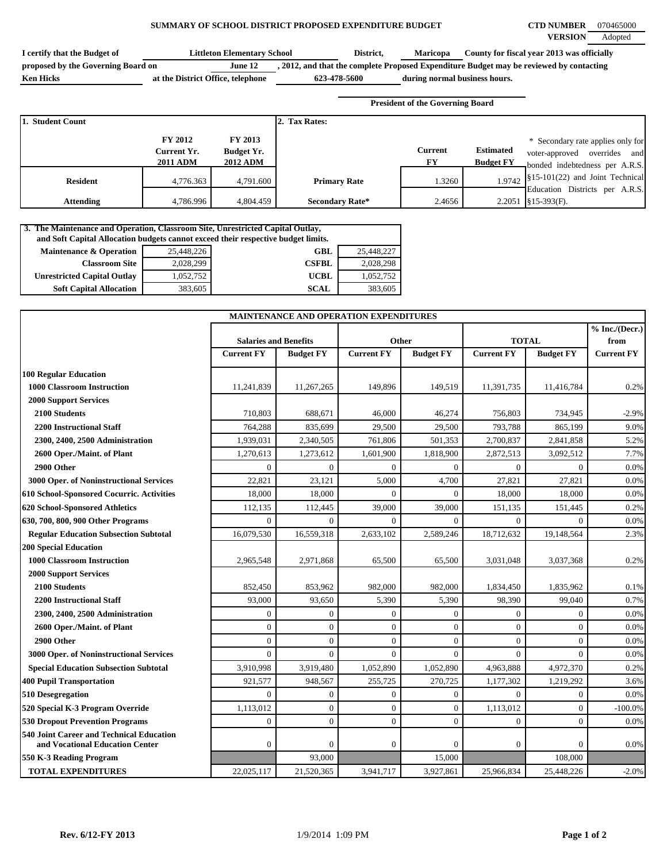#### **SUMMARY OF SCHOOL DISTRICT PROPOSED EXPENDITURE BUDGET CTD NUMBER** 070465000

| I certify that the Budget of       | <b>Littleton Elementary School</b> |              | District, | <b>Maricopa</b>               | County for fiscal year 2013 was officially                                              |
|------------------------------------|------------------------------------|--------------|-----------|-------------------------------|-----------------------------------------------------------------------------------------|
| proposed by the Governing Board on | June 12                            |              |           |                               | , 2012, and that the complete Proposed Expenditure Budget may be reviewed by contacting |
| <b>Ken Hicks</b>                   | at the District Office, telephone  | 623-478-5600 |           | during normal business hours. |                                                                                         |

**President of the Governing Board**

| 1. Student Count |                                                  |                                                 | 2. Tax Rates:          |                      |                                      |                                                                                                           |
|------------------|--------------------------------------------------|-------------------------------------------------|------------------------|----------------------|--------------------------------------|-----------------------------------------------------------------------------------------------------------|
|                  | <b>FY 2012</b><br>Current Yr.<br><b>2011 ADM</b> | FY 2013<br><b>Budget Yr.</b><br><b>2012 ADM</b> |                        | <b>Current</b><br>FY | <b>Estimated</b><br><b>Budget FY</b> | * Secondary rate applies only for<br>and<br>overrides<br>voter-approved<br>bonded indebtedness per A.R.S. |
| <b>Resident</b>  | 4,776.363                                        | 4,791.600                                       | <b>Primary Rate</b>    | 1.3260               |                                      | 1.9742 $\left  \$15\text{-}101(22) \right $ and Joint Technical<br>Education Districts per A.R.S.         |
| Attending        | 4,786.996                                        | 4,804.459                                       | <b>Secondary Rate*</b> | 2.4656               |                                      | $2.2051$ \, §15-393(F).                                                                                   |

#### **3. The Maintenance and Operation, Classroom Site, Unrestricted Capital Outlay,**

| and Soft Capital Allocation budgets cannot exceed their respective budget limits. |            |              |            |  |  |  |  |  |  |  |
|-----------------------------------------------------------------------------------|------------|--------------|------------|--|--|--|--|--|--|--|
| <b>Maintenance &amp; Operation</b>                                                | 25,448,226 | <b>GBL</b>   | 25,448,227 |  |  |  |  |  |  |  |
| <b>Classroom Site</b>                                                             | 2,028,299  | <b>CSFBL</b> | 2,028,298  |  |  |  |  |  |  |  |
| <b>Unrestricted Capital Outlay</b>                                                | 1,052,752  | <b>UCBL</b>  | 1,052,752  |  |  |  |  |  |  |  |
| <b>Soft Capital Allocation</b>                                                    | 383,605    | <b>SCAL</b>  | 383,605    |  |  |  |  |  |  |  |

|                                                                             |                              | MAINTENANCE AND OPERATION EXPENDITURES |                   |                  |                   |                  |                        |
|-----------------------------------------------------------------------------|------------------------------|----------------------------------------|-------------------|------------------|-------------------|------------------|------------------------|
|                                                                             | <b>Salaries and Benefits</b> |                                        |                   | Other            | <b>TOTAL</b>      |                  | % Inc./(Decr.)<br>from |
|                                                                             | <b>Current FY</b>            | <b>Budget FY</b>                       | <b>Current FY</b> | <b>Budget FY</b> | <b>Current FY</b> | <b>Budget FY</b> | <b>Current FY</b>      |
| <b>100 Regular Education</b>                                                |                              |                                        |                   |                  |                   |                  |                        |
| <b>1000 Classroom Instruction</b>                                           | 11,241,839                   | 11,267,265                             | 149,896           | 149,519          | 11,391,735        | 11,416,784       | 0.2%                   |
| <b>2000 Support Services</b>                                                |                              |                                        |                   |                  |                   |                  |                        |
| 2100 Students                                                               | 710,803                      | 688,671                                | 46,000            | 46,274           | 756,803           | 734,945          | $-2.9%$                |
| <b>2200 Instructional Staff</b>                                             | 764,288                      | 835,699                                | 29,500            | 29,500           | 793,788           | 865,199          | 9.0%                   |
| 2300, 2400, 2500 Administration                                             | 1,939,031                    | 2,340,505                              | 761,806           | 501,353          | 2,700,837         | 2,841,858        | 5.2%                   |
| 2600 Oper./Maint. of Plant                                                  | 1,270,613                    | 1,273,612                              | 1,601,900         | 1,818,900        | 2,872,513         | 3,092,512        | 7.7%                   |
| 2900 Other                                                                  | $\Omega$                     | $\mathbf{0}$                           | $\Omega$          | $\Omega$         | $\Omega$          | $\Omega$         | 0.0%                   |
| 3000 Oper. of Noninstructional Services                                     | 22,821                       | 23,121                                 | 5,000             | 4,700            | 27,821            | 27,821           | 0.0%                   |
| 610 School-Sponsored Cocurric. Activities                                   | 18,000                       | 18,000                                 | $\Omega$          | $\Omega$         | 18,000            | 18,000           | 0.0%                   |
| 620 School-Sponsored Athletics                                              | 112,135                      | 112,445                                | 39,000            | 39,000           | 151,135           | 151,445          | 0.2%                   |
| 630, 700, 800, 900 Other Programs                                           | $\Omega$                     | $\Omega$                               | $\Omega$          | $\Omega$         | $\Omega$          | $\Omega$         | 0.0%                   |
| <b>Regular Education Subsection Subtotal</b>                                | 16,079,530                   | 16,559,318                             | 2,633,102         | 2,589,246        | 18,712,632        | 19,148,564       | 2.3%                   |
| <b>200 Special Education</b>                                                |                              |                                        |                   |                  |                   |                  |                        |
| <b>1000 Classroom Instruction</b>                                           | 2,965,548                    | 2,971,868                              | 65,500            | 65,500           | 3,031,048         | 3,037,368        | 0.2%                   |
| <b>2000 Support Services</b>                                                |                              |                                        |                   |                  |                   |                  |                        |
| 2100 Students                                                               | 852,450                      | 853,962                                | 982,000           | 982,000          | 1,834,450         | 1,835,962        | 0.1%                   |
| <b>2200 Instructional Staff</b>                                             | 93,000                       | 93,650                                 | 5,390             | 5,390            | 98,390            | 99.040           | 0.7%                   |
| 2300, 2400, 2500 Administration                                             | $\Omega$                     | $\mathbf{0}$                           | $\Omega$          | $\Omega$         | $\theta$          | $\Omega$         | 0.0%                   |
| 2600 Oper./Maint. of Plant                                                  | $\Omega$                     | $\mathbf{0}$                           | $\mathbf{0}$      | $\mathbf{0}$     | $\theta$          | $\overline{0}$   | 0.0%                   |
| 2900 Other                                                                  | $\Omega$                     | $\mathbf{0}$                           | $\Omega$          | $\mathbf{0}$     | $\theta$          | $\mathbf{0}$     | 0.0%                   |
| 3000 Oper. of Noninstructional Services                                     | $\Omega$                     | $\Omega$                               | $\Omega$          | $\Omega$         | $\Omega$          | $\Omega$         | 0.0%                   |
| <b>Special Education Subsection Subtotal</b>                                | 3,910,998                    | 3,919,480                              | 1,052,890         | 1,052,890        | 4,963,888         | 4,972,370        | 0.2%                   |
| <b>400 Pupil Transportation</b>                                             | 921,577                      | 948,567                                | 255,725           | 270,725          | 1,177,302         | 1,219,292        | 3.6%                   |
| 510 Desegregation                                                           | $\Omega$                     | $\mathbf{0}$                           | $\Omega$          | $\mathbf{0}$     | $\Omega$          | $\overline{0}$   | 0.0%                   |
| 520 Special K-3 Program Override                                            | 1,113,012                    | $\mathbf{0}$                           | $\mathbf{0}$      | $\overline{0}$   | 1,113,012         | $\mathbf{0}$     | $-100.0%$              |
| <b>530 Dropout Prevention Programs</b>                                      | $\mathbf{0}$                 | $\Omega$                               | $\Omega$          | $\mathbf{0}$     | $\Omega$          | $\Omega$         | 0.0%                   |
| 540 Joint Career and Technical Education<br>and Vocational Education Center | $\mathbf{0}$                 | $\mathbf{0}$                           | $\mathbf{0}$      | $\mathbf{0}$     | $\mathbf{0}$      | $\mathbf{0}$     | 0.0%                   |
| 550 K-3 Reading Program                                                     |                              | 93,000                                 |                   | 15,000           |                   | 108,000          |                        |
| <b>TOTAL EXPENDITURES</b>                                                   | 22,025,117                   | 21,520,365                             | 3,941,717         | 3,927,861        | 25,966,834        | 25,448,226       | $-2.0\%$               |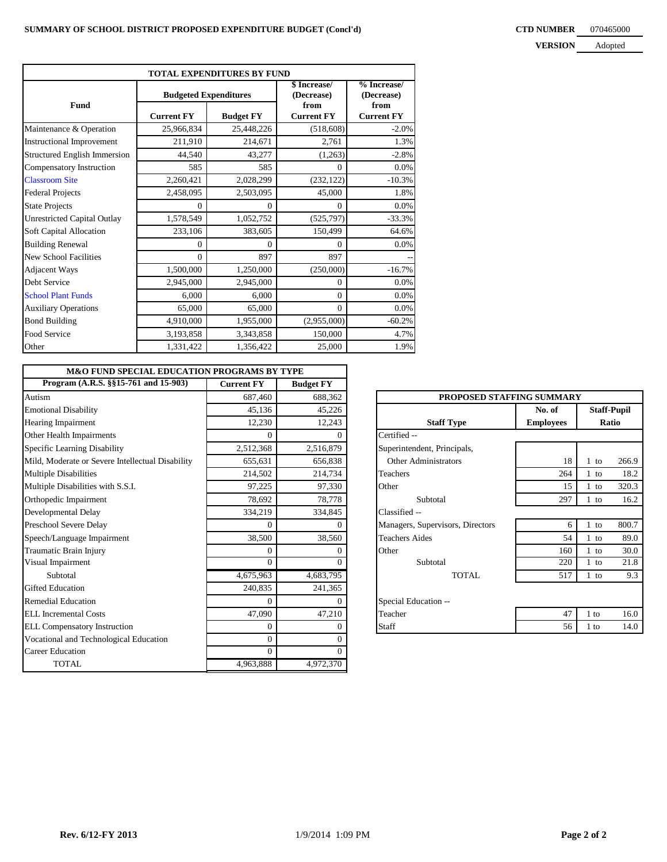#### **CTD NUMBER** 070465000 **VERSION**

| <b>VERSION</b> | Adopted |
|----------------|---------|
|                |         |

| TOTAL EXPENDITURES BY FUND         |                              |                  |                            |                             |  |
|------------------------------------|------------------------------|------------------|----------------------------|-----------------------------|--|
|                                    | <b>Budgeted Expenditures</b> |                  | \$ Increase/<br>(Decrease) | $%$ Increase/<br>(Decrease) |  |
| <b>Fund</b>                        | <b>Current FY</b>            | <b>Budget FY</b> | from<br><b>Current FY</b>  | from<br><b>Current FY</b>   |  |
| Maintenance & Operation            | 25,966,834                   | 25,448,226       | (518,608)                  | $-2.0\%$                    |  |
| <b>Instructional Improvement</b>   | 211,910                      | 214,671          | 2,761                      | 1.3%                        |  |
| Structured English Immersion       | 44,540                       | 43,277           | (1,263)                    | $-2.8%$                     |  |
| Compensatory Instruction           | 585                          | 585              | $\Omega$                   | 0.0%                        |  |
| <b>Classroom Site</b>              | 2,260,421                    | 2,028,299        | (232, 122)                 | $-10.3%$                    |  |
| <b>Federal Projects</b>            | 2,458,095                    | 2,503,095        | 45,000                     | 1.8%                        |  |
| <b>State Projects</b>              | $\Omega$                     | $\Omega$         | $\Omega$                   | 0.0%                        |  |
| <b>Unrestricted Capital Outlay</b> | 1,578,549                    | 1,052,752        | (525, 797)                 | $-33.3%$                    |  |
| Soft Capital Allocation            | 233,106                      | 383,605          | 150,499                    | 64.6%                       |  |
| <b>Building Renewal</b>            | $\Omega$                     | $\theta$         | $\theta$                   | 0.0%                        |  |
| <b>New School Facilities</b>       | $\Omega$                     | 897              | 897                        |                             |  |
| <b>Adjacent Ways</b>               | 1,500,000                    | 1,250,000        | (250,000)                  | $-16.7%$                    |  |
| Debt Service                       | 2,945,000                    | 2,945,000        | $\mathbf{0}$               | 0.0%                        |  |
| <b>School Plant Funds</b>          | 6,000                        | 6,000            | $\theta$                   | 0.0%                        |  |
| <b>Auxiliary Operations</b>        | 65,000                       | 65,000           | $\theta$                   | 0.0%                        |  |
| <b>Bond Building</b>               | 4,910,000                    | 1,955,000        | (2,955,000)                | $-60.2%$                    |  |
| Food Service                       | 3,193,858                    | 3,343,858        | 150,000                    | 4.7%                        |  |
| Other                              | 1,331,422                    | 1,356,422        | 25,000                     | 1.9%                        |  |

| <b>M&amp;O FUND SPECIAL EDUCATION PROGRAMS BY TYPE</b> |                   |                  |                                  |                  |        |                    |
|--------------------------------------------------------|-------------------|------------------|----------------------------------|------------------|--------|--------------------|
| Program (A.R.S. §§15-761 and 15-903)                   | <b>Current FY</b> | <b>Budget FY</b> |                                  |                  |        |                    |
| Autism                                                 | 687,460           | 688,362          | PROPOSED STAFFING SUMMARY        |                  |        |                    |
| <b>Emotional Disability</b>                            | 45.136            | 45,226           |                                  | No. of           |        | <b>Staff-Pupil</b> |
| Hearing Impairment                                     | 12,230            | 12,243           | <b>Staff Type</b>                | <b>Employees</b> |        | Ratio              |
| Other Health Impairments                               |                   |                  | Certified --                     |                  |        |                    |
| Specific Learning Disability                           | 2,512,368         | 2,516,879        | Superintendent, Principals,      |                  |        |                    |
| Mild, Moderate or Severe Intellectual Disability       | 655,631           | 656,838          | <b>Other Administrators</b>      | 18               | $1$ to | 266.9              |
| <b>Multiple Disabilities</b>                           | 214,502           | 214,734          | Teachers                         | 264              | $1$ to | 18.2               |
| Multiple Disabilities with S.S.I.                      | 97,225            | 97,330           | Other                            | 15               | $1$ to | 320.3              |
| Orthopedic Impairment                                  | 78,692            | 78,778           | Subtotal                         | 297              | $1$ to | 16.2               |
| Developmental Delay                                    | 334,219           | 334,845          | Classified --                    |                  |        |                    |
| Preschool Severe Delay                                 | 0                 |                  | Managers, Supervisors, Directors | 6                | $1$ to | 800.7              |
| Speech/Language Impairment                             | 38,500            | 38,560           | <b>Teachers Aides</b>            | 54               | $1$ to | 89.0               |
| Traumatic Brain Injury                                 | 0                 |                  | Other                            | 160              | $1$ to | 30.0               |
| Visual Impairment                                      | $\theta$          |                  | Subtotal                         | 220              | $1$ to | 21.8               |
| Subtotal                                               | 4,675,963         | 4,683,795        | <b>TOTAL</b>                     | 517              | $1$ to | 9.3                |
| <b>Gifted Education</b>                                | 240,835           | 241,365          |                                  |                  |        |                    |
| <b>Remedial Education</b>                              | 0                 | $\theta$         | Special Education --             |                  |        |                    |
| <b>ELL</b> Incremental Costs                           | 47,090            | 47,210           | Teacher                          | 47               | $1$ to | 16.0               |
| <b>ELL Compensatory Instruction</b>                    | $\theta$          |                  | <b>Staff</b>                     | 56               | $1$ to | 14.0               |
| Vocational and Technological Education                 | 0                 |                  |                                  |                  |        |                    |
| <b>Career Education</b>                                | $\theta$          | $\Omega$         |                                  |                  |        |                    |
| <b>TOTAL</b>                                           | 4,963,888         | 4,972,370        |                                  |                  |        |                    |

|                                  | PROPOSED STAFFING SUMMARY |        |       |  |
|----------------------------------|---------------------------|--------|-------|--|
| No. of<br><b>Staff-Pupil</b>     |                           |        |       |  |
| <b>Staff Type</b>                | <b>Employees</b>          |        | Ratio |  |
| Certified --                     |                           |        |       |  |
| Superintendent, Principals,      |                           |        |       |  |
| <b>Other Administrators</b>      | 18                        | $1$ to | 266.9 |  |
| <b>Teachers</b>                  | 264                       | $1$ to | 18.2  |  |
| Other                            | 15                        | $1$ to | 320.3 |  |
| Subtotal                         | 297                       | $1$ to | 16.2  |  |
| Classified --                    |                           |        |       |  |
| Managers, Supervisors, Directors | 6                         | $1$ to | 800.7 |  |
| <b>Teachers Aides</b>            | 54                        | $1$ to | 89.0  |  |
| Other                            | 160                       | $1$ to | 30.0  |  |
| Subtotal                         | 220                       | $1$ to | 21.8  |  |
| TOTAL                            | 517                       | $1$ to | 9.3   |  |
| Special Education --             |                           |        |       |  |
| Teacher                          | 47                        | 1 to   | 16.0  |  |
| Staff                            | 56                        | 1 to   | 14.0  |  |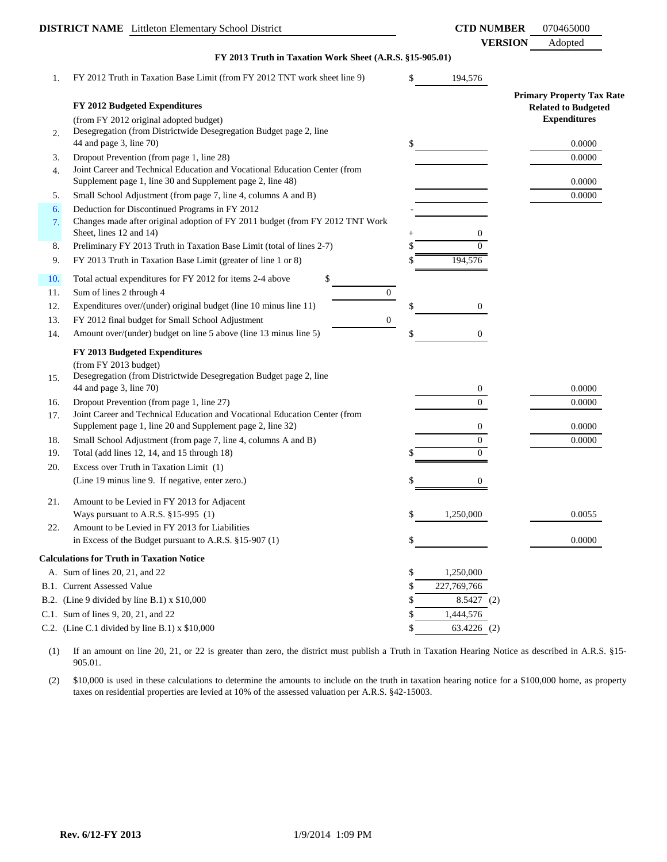|     | <b>DISTRICT NAME</b> Littleton Elementary School District                                                                                |    | <b>CTD NUMBER</b>          | 070465000                                         |
|-----|------------------------------------------------------------------------------------------------------------------------------------------|----|----------------------------|---------------------------------------------------|
|     | FY 2013 Truth in Taxation Work Sheet (A.R.S. §15-905.01)                                                                                 |    | <b>VERSION</b>             | Adopted                                           |
| 1.  | FY 2012 Truth in Taxation Base Limit (from FY 2012 TNT work sheet line 9)                                                                | \$ | 194,576                    |                                                   |
|     |                                                                                                                                          |    |                            | <b>Primary Property Tax Rate</b>                  |
|     | FY 2012 Budgeted Expenditures<br>(from FY 2012 original adopted budget)                                                                  |    |                            | <b>Related to Budgeted</b><br><b>Expenditures</b> |
| 2.  | Desegregation (from Districtwide Desegregation Budget page 2, line<br>44 and page 3, line 70)                                            | \$ |                            | 0.0000                                            |
| 3.  | Dropout Prevention (from page 1, line 28)                                                                                                |    |                            | 0.0000                                            |
| 4.  | Joint Career and Technical Education and Vocational Education Center (from<br>Supplement page 1, line 30 and Supplement page 2, line 48) |    |                            | 0.0000                                            |
| 5.  | Small School Adjustment (from page 7, line 4, columns A and B)                                                                           |    |                            | 0.0000                                            |
| 6.  | Deduction for Discontinued Programs in FY 2012                                                                                           |    |                            |                                                   |
| 7.  | Changes made after original adoption of FY 2011 budget (from FY 2012 TNT Work<br>Sheet, lines 12 and 14)                                 |    | 0                          |                                                   |
| 8.  | Preliminary FY 2013 Truth in Taxation Base Limit (total of lines 2-7)                                                                    |    | 0                          |                                                   |
| 9.  | FY 2013 Truth in Taxation Base Limit (greater of line 1 or 8)                                                                            |    | 194,576                    |                                                   |
| 10. | Total actual expenditures for FY 2012 for items 2-4 above<br>\$                                                                          |    |                            |                                                   |
| 11. | $\boldsymbol{0}$<br>Sum of lines 2 through 4                                                                                             |    |                            |                                                   |
| 12. | Expenditures over/(under) original budget (line 10 minus line 11)                                                                        |    | 0                          |                                                   |
| 13. | FY 2012 final budget for Small School Adjustment<br>$\boldsymbol{0}$                                                                     |    |                            |                                                   |
| 14. | Amount over/(under) budget on line 5 above (line 13 minus line 5)                                                                        |    | 0                          |                                                   |
|     | FY 2013 Budgeted Expenditures                                                                                                            |    |                            |                                                   |
|     | (from FY 2013 budget)                                                                                                                    |    |                            |                                                   |
| 15. | Desegregation (from Districtwide Desegregation Budget page 2, line                                                                       |    |                            |                                                   |
|     | 44 and page 3, line 70)                                                                                                                  |    | 0                          | 0.0000                                            |
| 16. | Dropout Prevention (from page 1, line 27)                                                                                                |    | $\overline{0}$             | 0.0000                                            |
| 17. | Joint Career and Technical Education and Vocational Education Center (from                                                               |    |                            |                                                   |
|     | Supplement page 1, line 20 and Supplement page 2, line 32)                                                                               |    | 0                          | 0.0000                                            |
| 18. | Small School Adjustment (from page 7, line 4, columns A and B)                                                                           |    | $\overline{0}$<br>$\Omega$ | 0.0000                                            |
| 19. | Total (add lines 12, 14, and 15 through 18)                                                                                              |    |                            |                                                   |
| 20. | Excess over Truth in Taxation Limit (1)                                                                                                  |    |                            |                                                   |
|     | (Line 19 minus line 9. If negative, enter zero.)                                                                                         |    | 0                          |                                                   |
| 21. | Amount to be Levied in FY 2013 for Adjacent                                                                                              |    |                            |                                                   |
|     | Ways pursuant to A.R.S. §15-995 (1)                                                                                                      | \$ | 1,250,000                  | 0.0055                                            |
| 22. | Amount to be Levied in FY 2013 for Liabilities                                                                                           |    |                            |                                                   |
|     | in Excess of the Budget pursuant to A.R.S. $§15-907(1)$                                                                                  | \$ |                            | 0.0000                                            |
|     | <b>Calculations for Truth in Taxation Notice</b>                                                                                         |    |                            |                                                   |
|     | A. Sum of lines 20, 21, and 22                                                                                                           | \$ | 1,250,000                  |                                                   |
|     | <b>B.1.</b> Current Assessed Value                                                                                                       | S  | 227,769,766                |                                                   |
|     | B.2. (Line 9 divided by line B.1) $x$ \$10,000                                                                                           | S  | 8.5427(2)                  |                                                   |
|     | C.1. Sum of lines 9, 20, 21, and 22                                                                                                      |    | 1,444,576                  |                                                   |
|     | C.2. (Line C.1 divided by line B.1) $x$ \$10,000                                                                                         |    | 63.4226 (2)                |                                                   |

(1) If an amount on line 20, 21, or 22 is greater than zero, the district must publish a Truth in Taxation Hearing Notice as described in A.R.S. §15- 905.01.

(2) \$10,000 is used in these calculations to determine the amounts to include on the truth in taxation hearing notice for a \$100,000 home, as property taxes on residential properties are levied at 10% of the assessed valuation per A.R.S. §42-15003.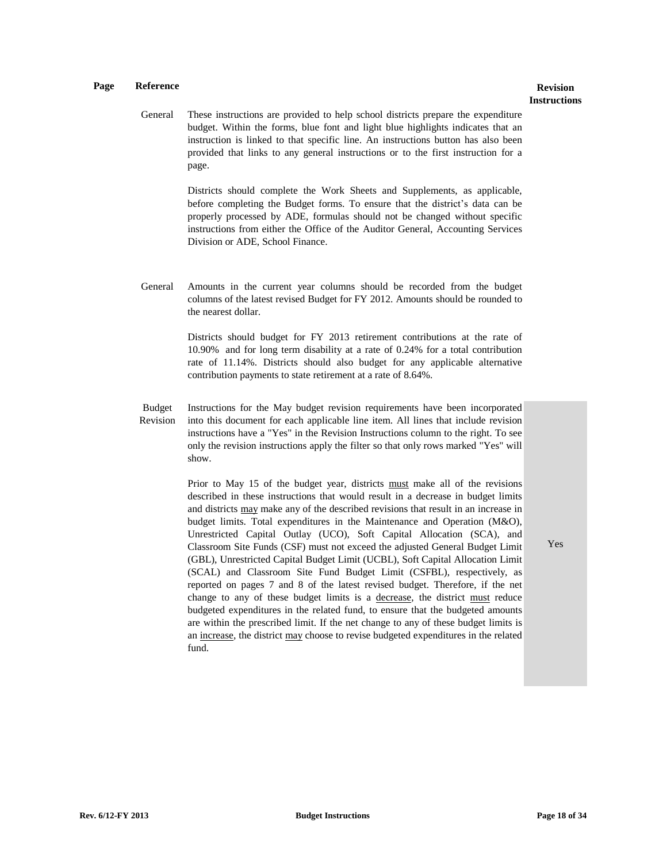# **Instructions**

General These instructions are provided to help school districts prepare the expenditure budget. Within the forms, blue font and light blue highlights indicates that an instruction is linked to that specific line. An instructions button has also been provided that links to any general instructions or to the first instruction for a page.

> Districts should complete the Work Sheets and Supplements, as applicable, before completing the Budget forms. To ensure that the district's data can be properly processed by ADE, formulas should not be changed without specific instructions from either the Office of the Auditor General, Accounting Services Division or ADE, School Finance.

General Amounts in the current year columns should be recorded from the budget columns of the latest revised Budget for FY 2012. Amounts should be rounded to the nearest dollar.

> Districts should budget for FY 2013 retirement contributions at the rate of 10.90% and for long term disability at a rate of 0.24% for a total contribution rate of 11.14%. Districts should also budget for any applicable alternative contribution payments to state retirement at a rate of 8.64%.

Budget Revision Instructions for the May budget revision requirements have been incorporated into this document for each applicable line item. All lines that include revision instructions have a "Yes" in the Revision Instructions column to the right. To see only the revision instructions apply the filter so that only rows marked "Yes" will show.

> Prior to May 15 of the budget year, districts must make all of the revisions described in these instructions that would result in a decrease in budget limits and districts may make any of the described revisions that result in an increase in budget limits. Total expenditures in the Maintenance and Operation (M&O), Unrestricted Capital Outlay (UCO), Soft Capital Allocation (SCA), and Classroom Site Funds (CSF) must not exceed the adjusted General Budget Limit (GBL), Unrestricted Capital Budget Limit (UCBL), Soft Capital Allocation Limit (SCAL) and Classroom Site Fund Budget Limit (CSFBL), respectively, as reported on pages 7 and 8 of the latest revised budget. Therefore, if the net change to any of these budget limits is a decrease, the district must reduce budgeted expenditures in the related fund, to ensure that the budgeted amounts are within the prescribed limit. If the net change to any of these budget limits is an increase, the district may choose to revise budgeted expenditures in the related fund.

Yes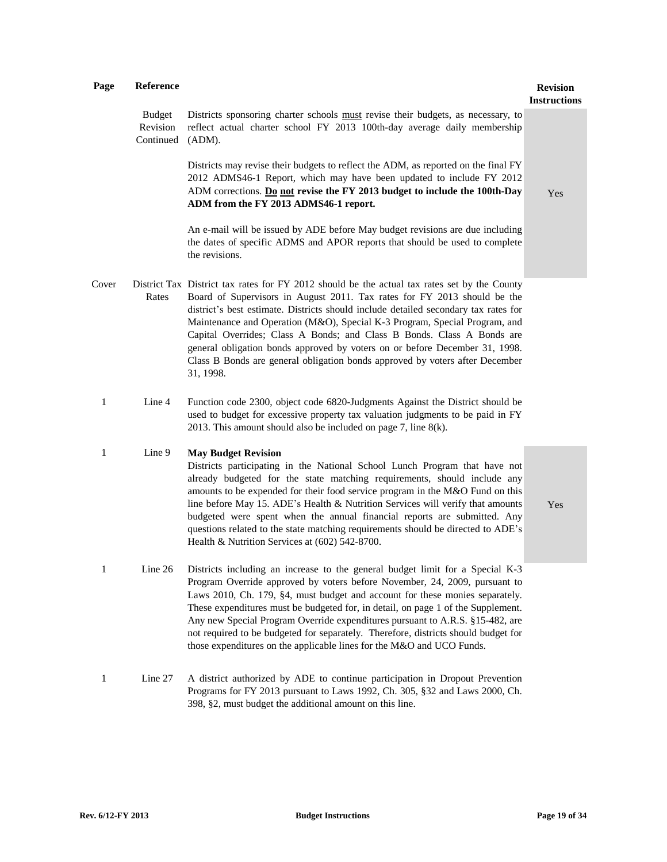### **Instructions**

Budget Revision Continued (ADM). Districts sponsoring charter schools must revise their budgets, as necessary, to reflect actual charter school FY 2013 100th-day average daily membership

> Districts may revise their budgets to reflect the ADM, as reported on the final FY 2012 ADMS46-1 Report, which may have been updated to include FY 2012 ADM corrections. **Do not revise the FY 2013 budget to include the 100th-Day ADM from the FY 2013 ADMS46-1 report.**

Yes

An e-mail will be issued by ADE before May budget revisions are due including the dates of specific ADMS and APOR reports that should be used to complete the revisions.

- Cover District Tax District tax rates for FY 2012 should be the actual tax rates set by the County Rates Board of Supervisors in August 2011. Tax rates for FY 2013 should be the district's best estimate. Districts should include detailed secondary tax rates for Maintenance and Operation (M&O), Special K-3 Program, Special Program, and Capital Overrides; Class A Bonds; and Class B Bonds. Class A Bonds are general obligation bonds approved by voters on or before December 31, 1998. Class B Bonds are general obligation bonds approved by voters after December 31, 1998.
- 1 Line 4 Function code 2300, object code 6820-Judgments Against the District should be used to budget for excessive property tax valuation judgments to be paid in FY 2013. This amount should also be included on page 7, line 8(k).

#### 1 Line 9 **May Budget Revision**

Districts participating in the National School Lunch Program that have not already budgeted for the state matching requirements, should include any amounts to be expended for their food service program in the M&O Fund on this line before May 15. ADE's Health & Nutrition Services will verify that amounts budgeted were spent when the annual financial reports are submitted. Any questions related to the state matching requirements should be directed to ADE's Health & Nutrition Services at (602) 542-8700.

Yes

- 1 Line 26 Districts including an increase to the general budget limit for a Special K-3 Program Override approved by voters before November, 24, 2009, pursuant to Laws 2010, Ch. 179, §4, must budget and account for these monies separately. These expenditures must be budgeted for, in detail, on page 1 of the Supplement. Any new Special Program Override expenditures pursuant to A.R.S. §15-482, are not required to be budgeted for separately. Therefore, districts should budget for those expenditures on the applicable lines for the M&O and UCO Funds.
- 1 Line 27 A district authorized by ADE to continue participation in Dropout Prevention Programs for FY 2013 pursuant to Laws 1992, Ch. 305, §32 and Laws 2000, Ch. 398, §2, must budget the additional amount on this line.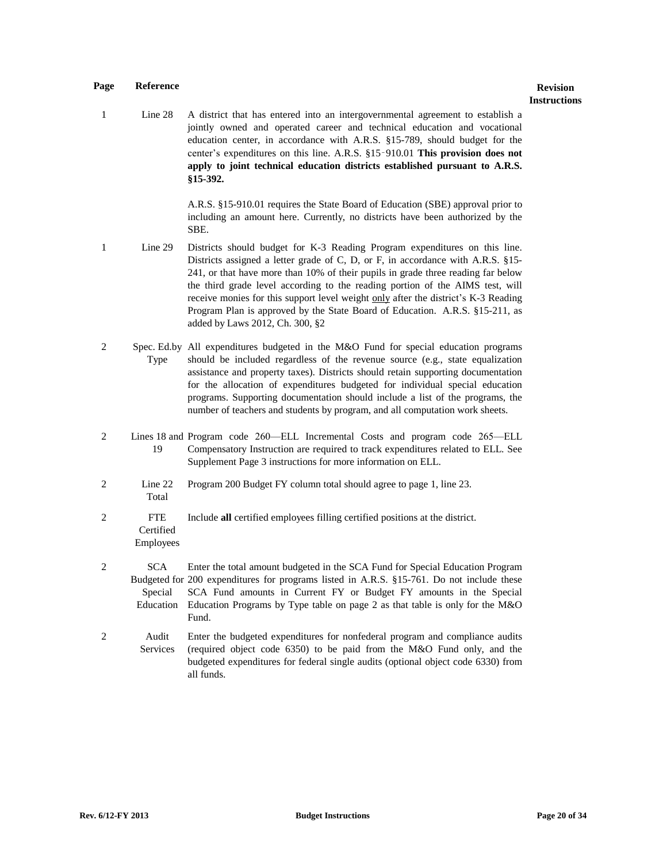1 Line 28 A district that has entered into an intergovernmental agreement to establish a jointly owned and operated career and technical education and vocational education center, in accordance with A.R.S. §15-789, should budget for the center's expenditures on this line. A.R.S. §15‑910.01 **This provision does not apply to joint technical education districts established pursuant to A.R.S. §15-392.** 

> A.R.S. §15-910.01 requires the State Board of Education (SBE) approval prior to including an amount here. Currently, no districts have been authorized by the SBE.

- 1 Line 29 Districts should budget for K-3 Reading Program expenditures on this line. Districts assigned a letter grade of C, D, or F, in accordance with A.R.S. §15- 241, or that have more than 10% of their pupils in grade three reading far below the third grade level according to the reading portion of the AIMS test, will receive monies for this support level weight only after the district's K-3 Reading Program Plan is approved by the State Board of Education. A.R.S. §15-211, as added by Laws 2012, Ch. 300, §2
- 2 Spec. Ed.by All expenditures budgeted in the M&O Fund for special education programs Type should be included regardless of the revenue source (e.g., state equalization assistance and property taxes). Districts should retain supporting documentation for the allocation of expenditures budgeted for individual special education programs. Supporting documentation should include a list of the programs, the number of teachers and students by program, and all computation work sheets.
- 2 Lines 18 and Program code 260—ELL Incremental Costs and program code 265—ELL 19 Compensatory Instruction are required to track expenditures related to ELL. See Supplement Page 3 instructions for more information on ELL.
- 2 Line 22 Total Program 200 Budget FY column total should agree to page 1, line 23.
- 2 FTE **Certified** Employees Include **all** certified employees filling certified positions at the district.
- 2 SCA Budgeted for 200 expenditures for programs listed in A.R.S. §15-761. Do not include these Special Education Enter the total amount budgeted in the SCA Fund for Special Education Program SCA Fund amounts in Current FY or Budget FY amounts in the Special Education Programs by Type table on page 2 as that table is only for the M&O Fund.
- 2 Audit Services Enter the budgeted expenditures for nonfederal program and compliance audits (required object code 6350) to be paid from the M&O Fund only, and the budgeted expenditures for federal single audits (optional object code 6330) from all funds.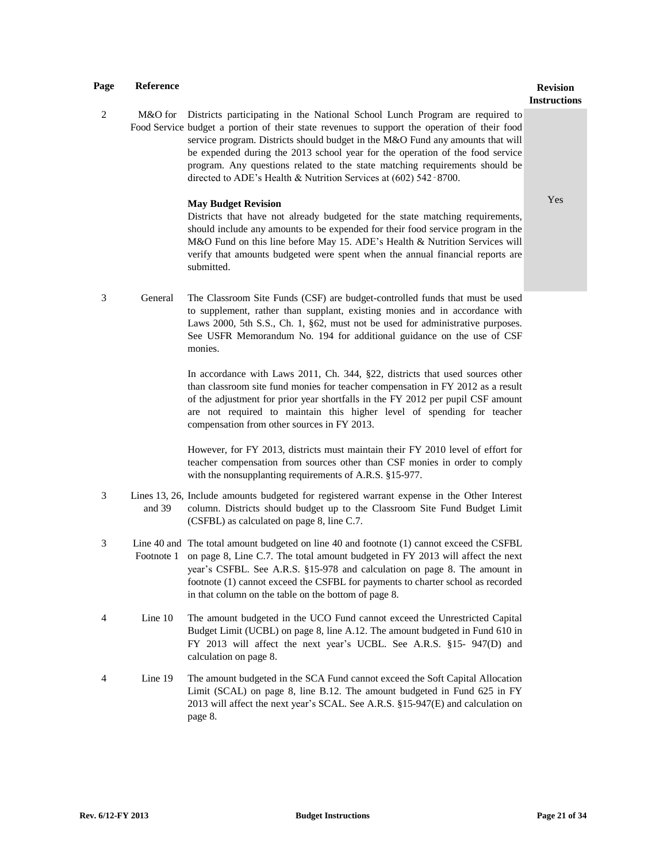## **Instructions**

2 M&O for Districts participating in the National School Lunch Program are required to Food Service budget a portion of their state revenues to support the operation of their food service program. Districts should budget in the M&O Fund any amounts that will be expended during the 2013 school year for the operation of the food service program. Any questions related to the state matching requirements should be directed to ADE's Health & Nutrition Services at (602) 542‑8700.

#### **May Budget Revision**

Yes

Districts that have not already budgeted for the state matching requirements, should include any amounts to be expended for their food service program in the M&O Fund on this line before May 15. ADE's Health & Nutrition Services will verify that amounts budgeted were spent when the annual financial reports are submitted.

3 General The Classroom Site Funds (CSF) are budget-controlled funds that must be used to supplement, rather than supplant, existing monies and in accordance with Laws 2000, 5th S.S., Ch. 1, §62, must not be used for administrative purposes. See USFR Memorandum No. 194 for additional guidance on the use of CSF monies.

> In accordance with Laws 2011, Ch. 344, §22, districts that used sources other than classroom site fund monies for teacher compensation in FY 2012 as a result of the adjustment for prior year shortfalls in the FY 2012 per pupil CSF amount are not required to maintain this higher level of spending for teacher compensation from other sources in FY 2013.

> However, for FY 2013, districts must maintain their FY 2010 level of effort for teacher compensation from sources other than CSF monies in order to comply with the nonsupplanting requirements of A.R.S. §15-977.

- 3 Lines 13, 26, Include amounts budgeted for registered warrant expense in the Other Interest and 39 column. Districts should budget up to the Classroom Site Fund Budget Limit (CSFBL) as calculated on page 8, line C.7.
- 3 Line 40 and The total amount budgeted on line 40 and footnote (1) cannot exceed the CSFBL Footnote 1 on page 8, Line C.7. The total amount budgeted in FY 2013 will affect the next year's CSFBL. See A.R.S. §15-978 and calculation on page 8. The amount in footnote (1) cannot exceed the CSFBL for payments to charter school as recorded in that column on the table on the bottom of page 8.
- 4 Line 10 The amount budgeted in the UCO Fund cannot exceed the Unrestricted Capital Budget Limit (UCBL) on page 8, line A.12. The amount budgeted in Fund 610 in FY 2013 will affect the next year's UCBL. See A.R.S. §15- 947(D) and calculation on page 8.
- 4 Line 19 The amount budgeted in the SCA Fund cannot exceed the Soft Capital Allocation Limit (SCAL) on page 8, line B.12. The amount budgeted in Fund 625 in FY 2013 will affect the next year's SCAL. See A.R.S. §15-947(E) and calculation on page 8.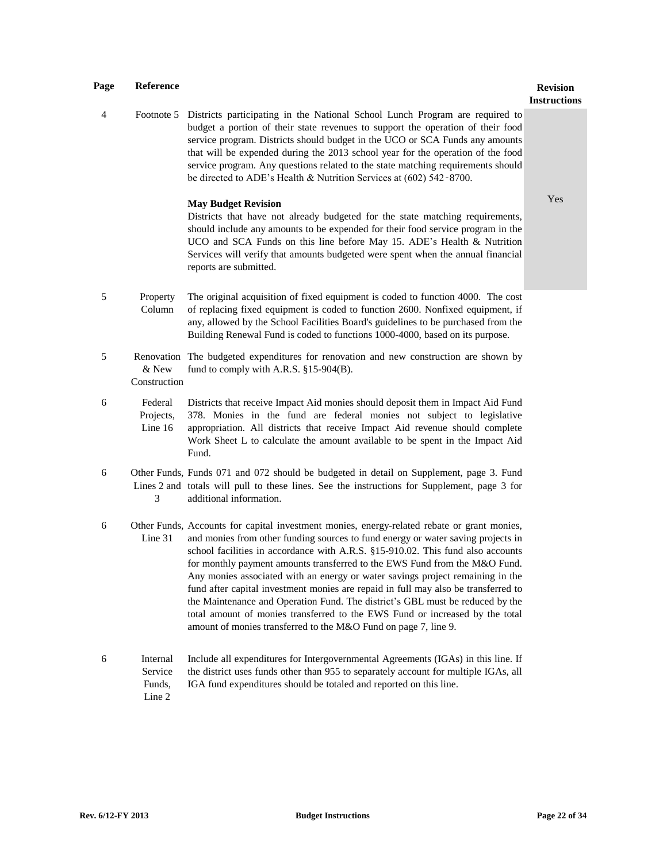### 4 Footnote 5 Districts participating in the National School Lunch Program are required to budget a portion of their state revenues to support the operation of their food service program. Districts should budget in the UCO or SCA Funds any amounts that will be expended during the 2013 school year for the operation of the food service program. Any questions related to the state matching requirements should be directed to ADE's Health & Nutrition Services at (602) 542‑8700.

#### **May Budget Revision**

Yes

**Instructions**

Districts that have not already budgeted for the state matching requirements, should include any amounts to be expended for their food service program in the UCO and SCA Funds on this line before May 15. ADE's Health & Nutrition Services will verify that amounts budgeted were spent when the annual financial reports are submitted.

- 5 Property Column The original acquisition of fixed equipment is coded to function 4000. The cost of replacing fixed equipment is coded to function 2600. Nonfixed equipment, if any, allowed by the School Facilities Board's guidelines to be purchased from the Building Renewal Fund is coded to functions 1000-4000, based on its purpose.
- 5 Renovation The budgeted expenditures for renovation and new construction are shown by & New Construction fund to comply with A.R.S. §15-904(B).
- 6 Federal Projects. Line 16 Districts that receive Impact Aid monies should deposit them in Impact Aid Fund 378. Monies in the fund are federal monies not subject to legislative appropriation. All districts that receive Impact Aid revenue should complete Work Sheet L to calculate the amount available to be spent in the Impact Aid Fund.
- 6 Other Funds, Funds 071 and 072 should be budgeted in detail on Supplement, page 3. Fund Lines 2 and totals will pull to these lines. See the instructions for Supplement, page 3 for 3 additional information.
- 6 Other Funds, Accounts for capital investment monies, energy-related rebate or grant monies, Line 31 and monies from other funding sources to fund energy or water saving projects in school facilities in accordance with A.R.S. §15-910.02. This fund also accounts for monthly payment amounts transferred to the EWS Fund from the M&O Fund. Any monies associated with an energy or water savings project remaining in the fund after capital investment monies are repaid in full may also be transferred to the Maintenance and Operation Fund. The district's GBL must be reduced by the total amount of monies transferred to the EWS Fund or increased by the total amount of monies transferred to the M&O Fund on page 7, line 9.
- 6 Internal Service Funds, Line 2 Include all expenditures for Intergovernmental Agreements (IGAs) in this line. If the district uses funds other than 955 to separately account for multiple IGAs, all IGA fund expenditures should be totaled and reported on this line.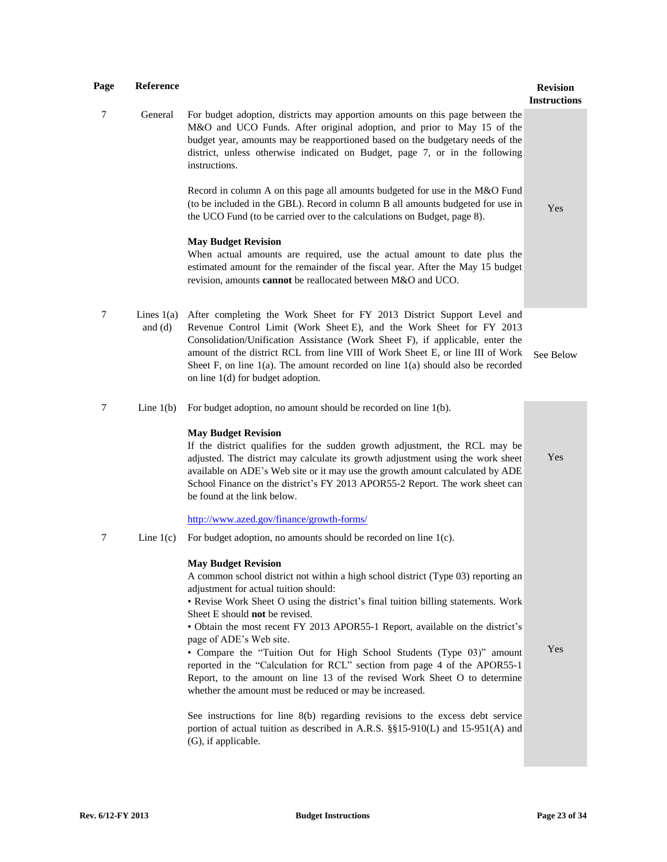| Page | Reference                 |                                                                                                                                                                                                                                                                                                                                                                                                                                                                                                                                                                                                                                                                                           | <b>Revision</b><br><b>Instructions</b> |
|------|---------------------------|-------------------------------------------------------------------------------------------------------------------------------------------------------------------------------------------------------------------------------------------------------------------------------------------------------------------------------------------------------------------------------------------------------------------------------------------------------------------------------------------------------------------------------------------------------------------------------------------------------------------------------------------------------------------------------------------|----------------------------------------|
| 7    | General                   | For budget adoption, districts may apportion amounts on this page between the<br>M&O and UCO Funds. After original adoption, and prior to May 15 of the<br>budget year, amounts may be reapportioned based on the budgetary needs of the<br>district, unless otherwise indicated on Budget, page 7, or in the following<br>instructions.                                                                                                                                                                                                                                                                                                                                                  |                                        |
|      |                           | Record in column A on this page all amounts budgeted for use in the M&O Fund<br>(to be included in the GBL). Record in column B all amounts budgeted for use in<br>the UCO Fund (to be carried over to the calculations on Budget, page 8).                                                                                                                                                                                                                                                                                                                                                                                                                                               | Yes                                    |
|      |                           | <b>May Budget Revision</b><br>When actual amounts are required, use the actual amount to date plus the<br>estimated amount for the remainder of the fiscal year. After the May 15 budget<br>revision, amounts cannot be reallocated between M&O and UCO.                                                                                                                                                                                                                                                                                                                                                                                                                                  |                                        |
| 7    | Lines $1(a)$<br>and $(d)$ | After completing the Work Sheet for FY 2013 District Support Level and<br>Revenue Control Limit (Work Sheet E), and the Work Sheet for FY 2013<br>Consolidation/Unification Assistance (Work Sheet F), if applicable, enter the<br>amount of the district RCL from line VIII of Work Sheet E, or line III of Work<br>Sheet F, on line $1(a)$ . The amount recorded on line $1(a)$ should also be recorded<br>on line $1(d)$ for budget adoption.                                                                                                                                                                                                                                          | See Below                              |
| 7    | Line $1(b)$               | For budget adoption, no amount should be recorded on line 1(b).                                                                                                                                                                                                                                                                                                                                                                                                                                                                                                                                                                                                                           |                                        |
|      |                           | <b>May Budget Revision</b><br>If the district qualifies for the sudden growth adjustment, the RCL may be<br>adjusted. The district may calculate its growth adjustment using the work sheet<br>available on ADE's Web site or it may use the growth amount calculated by ADE<br>School Finance on the district's FY 2013 APOR55-2 Report. The work sheet can<br>be found at the link below.                                                                                                                                                                                                                                                                                               | Yes                                    |
|      |                           | http://www.azed.gov/finance/growth-forms/                                                                                                                                                                                                                                                                                                                                                                                                                                                                                                                                                                                                                                                 |                                        |
| 7    | Line $1(c)$               | For budget adoption, no amounts should be recorded on line $1(c)$ .                                                                                                                                                                                                                                                                                                                                                                                                                                                                                                                                                                                                                       |                                        |
|      |                           | <b>May Budget Revision</b><br>A common school district not within a high school district (Type 03) reporting an<br>adjustment for actual tuition should:<br>• Revise Work Sheet O using the district's final tuition billing statements. Work<br>Sheet E should not be revised.<br>• Obtain the most recent FY 2013 APOR55-1 Report, available on the district's<br>page of ADE's Web site.<br>• Compare the "Tuition Out for High School Students (Type 03)" amount<br>reported in the "Calculation for RCL" section from page 4 of the APOR55-1<br>Report, to the amount on line 13 of the revised Work Sheet O to determine<br>whether the amount must be reduced or may be increased. | Yes                                    |
|      |                           | See instructions for line 8(b) regarding revisions to the excess debt service<br>portion of actual tuition as described in A.R.S. §§15-910(L) and 15-951(A) and<br>(G), if applicable.                                                                                                                                                                                                                                                                                                                                                                                                                                                                                                    |                                        |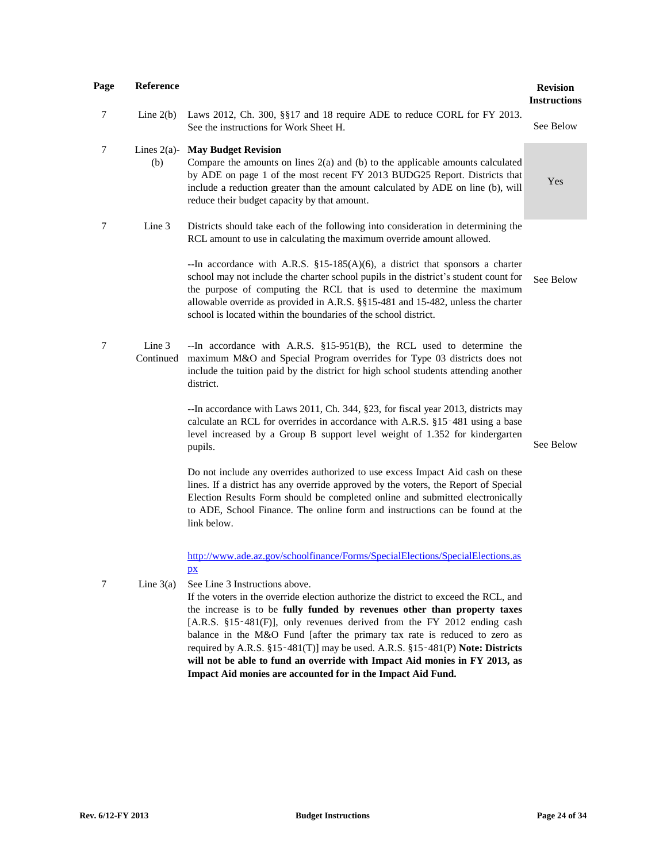| Page           | Reference           |                                                                                                                                                                                                                                                                                                                                                                                                                                             | <b>Revision</b><br><b>Instructions</b> |
|----------------|---------------------|---------------------------------------------------------------------------------------------------------------------------------------------------------------------------------------------------------------------------------------------------------------------------------------------------------------------------------------------------------------------------------------------------------------------------------------------|----------------------------------------|
| 7              | Line $2(b)$         | Laws 2012, Ch. 300, §§17 and 18 require ADE to reduce CORL for FY 2013.<br>See the instructions for Work Sheet H.                                                                                                                                                                                                                                                                                                                           | See Below                              |
| $\tau$         | (b)                 | Lines 2(a)- May Budget Revision<br>Compare the amounts on lines $2(a)$ and (b) to the applicable amounts calculated<br>by ADE on page 1 of the most recent FY 2013 BUDG25 Report. Districts that<br>include a reduction greater than the amount calculated by ADE on line (b), will<br>reduce their budget capacity by that amount.                                                                                                         | Yes                                    |
| 7              | Line 3              | Districts should take each of the following into consideration in determining the<br>RCL amount to use in calculating the maximum override amount allowed.                                                                                                                                                                                                                                                                                  |                                        |
|                |                     | --In accordance with A.R.S. $$15-185(A)(6)$ , a district that sponsors a charter<br>school may not include the charter school pupils in the district's student count for<br>the purpose of computing the RCL that is used to determine the maximum<br>allowable override as provided in A.R.S. §§15-481 and 15-482, unless the charter<br>school is located within the boundaries of the school district.                                   | See Below                              |
| $\overline{7}$ | Line 3<br>Continued | --In accordance with A.R.S. $\S15-951(B)$ , the RCL used to determine the<br>maximum M&O and Special Program overrides for Type 03 districts does not<br>include the tuition paid by the district for high school students attending another<br>district.                                                                                                                                                                                   |                                        |
|                |                     | --In accordance with Laws 2011, Ch. 344, §23, for fiscal year 2013, districts may<br>calculate an RCL for overrides in accordance with A.R.S. §15-481 using a base<br>level increased by a Group B support level weight of 1.352 for kindergarten<br>pupils.                                                                                                                                                                                | See Below                              |
|                |                     | Do not include any overrides authorized to use excess Impact Aid cash on these<br>lines. If a district has any override approved by the voters, the Report of Special<br>Election Results Form should be completed online and submitted electronically<br>to ADE, School Finance. The online form and instructions can be found at the<br>link below.                                                                                       |                                        |
|                |                     | http://www.ade.az.gov/schoolfinance/Forms/SpecialElections/SpecialElections.as<br><u>px</u>                                                                                                                                                                                                                                                                                                                                                 |                                        |
| 7              | Line $3(a)$         | See Line 3 Instructions above.<br>If the voters in the override election authorize the district to exceed the RCL, and<br>the increase is to be fully funded by revenues other than property taxes<br>[A.R.S. §15-481(F)], only revenues derived from the FY 2012 ending cash<br>balance in the M&O Fund [after the primary tax rate is reduced to zero as<br>required by A.R.S. §15-481(T)] may be used. A.R.S. §15-481(P) Note: Districts |                                        |

**will not be able to fund an override with Impact Aid monies in FY 2013, as**

**Impact Aid monies are accounted for in the Impact Aid Fund.**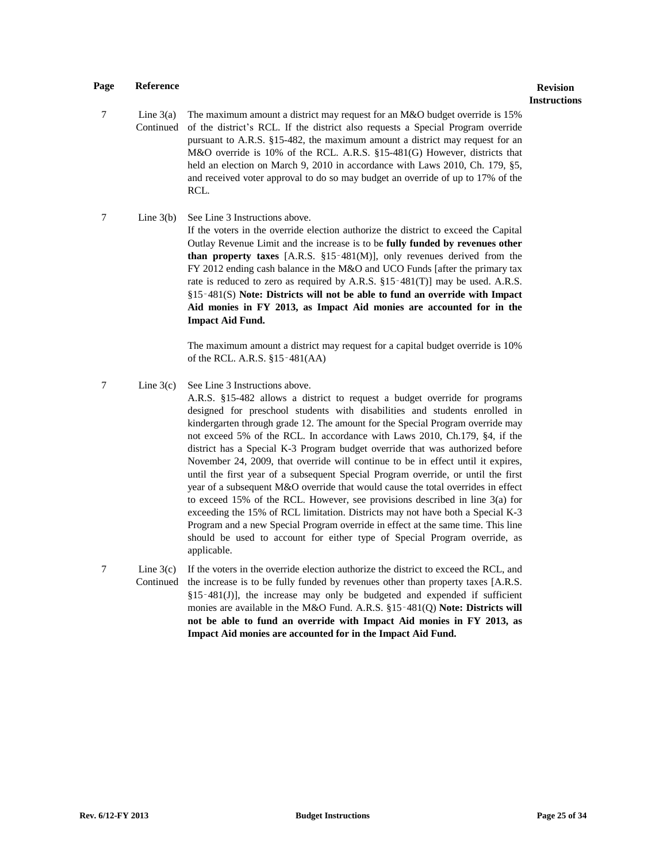# **Instructions**

- $7 \quad \text{Line } 3(a)$ Continued The maximum amount a district may request for an M&O budget override is 15% of the district's RCL. If the district also requests a Special Program override pursuant to A.R.S. §15-482, the maximum amount a district may request for an M&O override is 10% of the RCL. A.R.S. §15-481(G) However, districts that held an election on March 9, 2010 in accordance with Laws 2010, Ch. 179, §5, and received voter approval to do so may budget an override of up to 17% of the RCL.
- 7 Line 3(b) See Line 3 Instructions above. If the voters in the override election authorize the district to exceed the Capital Outlay Revenue Limit and the increase is to be **fully funded by revenues other than property taxes** [A.R.S. §15‑481(M)], only revenues derived from the FY 2012 ending cash balance in the M&O and UCO Funds [after the primary tax rate is reduced to zero as required by A.R.S. §15-481(T)] may be used. A.R.S. §15‑481(S) **Note: Districts will not be able to fund an override with Impact Aid monies in FY 2013, as Impact Aid monies are accounted for in the Impact Aid Fund.**

The maximum amount a district may request for a capital budget override is 10% of the RCL. A.R.S. §15‑481(AA)

7 Line 3(c) See Line 3 Instructions above.

A.R.S. §15-482 allows a district to request a budget override for programs designed for preschool students with disabilities and students enrolled in kindergarten through grade 12. The amount for the Special Program override may not exceed 5% of the RCL. In accordance with Laws 2010, Ch.179, §4, if the district has a Special K-3 Program budget override that was authorized before November 24, 2009, that override will continue to be in effect until it expires, until the first year of a subsequent Special Program override, or until the first year of a subsequent M&O override that would cause the total overrides in effect to exceed 15% of the RCL. However, see provisions described in line 3(a) for exceeding the 15% of RCL limitation. Districts may not have both a Special K-3 Program and a new Special Program override in effect at the same time. This line should be used to account for either type of Special Program override, as applicable.

7 Line 3(c) Continued If the voters in the override election authorize the district to exceed the RCL, and the increase is to be fully funded by revenues other than property taxes [A.R.S.  $§15 - 481(J)$ ], the increase may only be budgeted and expended if sufficient monies are available in the M&O Fund. A.R.S. §15‑481(Q) **Note: Districts will not be able to fund an override with Impact Aid monies in FY 2013, as Impact Aid monies are accounted for in the Impact Aid Fund.**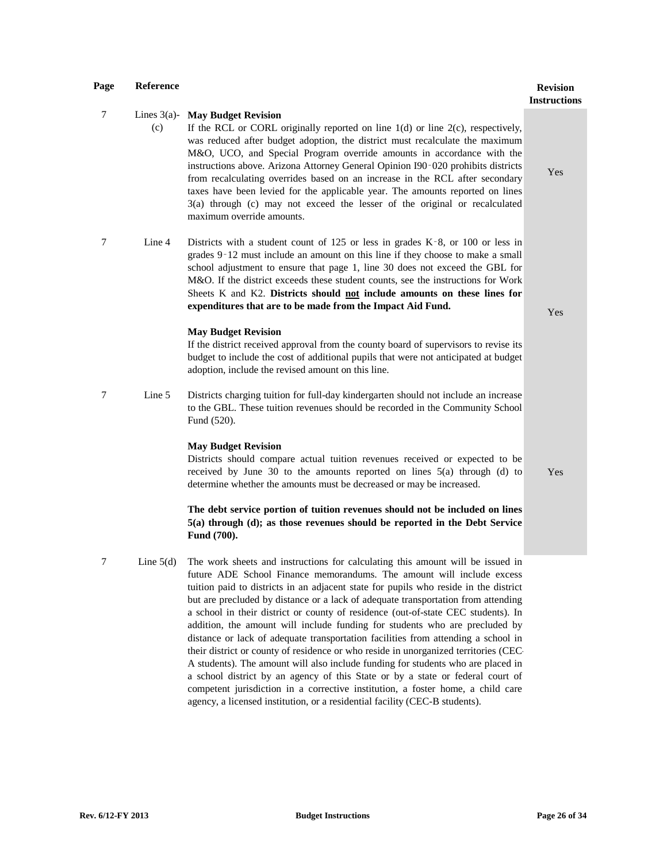$7 \quad$  Lines 3(a)-(c) **May Budget Revision** If the RCL or CORL originally reported on line  $1(d)$  or line  $2(c)$ , respectively, was reduced after budget adoption, the district must recalculate the maximum M&O, UCO, and Special Program override amounts in accordance with the instructions above. Arizona Attorney General Opinion I90‑020 prohibits districts from recalculating overrides based on an increase in the RCL after secondary taxes have been levied for the applicable year. The amounts reported on lines 3(a) through (c) may not exceed the lesser of the original or recalculated maximum override amounts. 7 Line 4 Districts with a student count of 125 or less in grades K‑8, or 100 or less in grades 9‑12 must include an amount on this line if they choose to make a small school adjustment to ensure that page 1, line 30 does not exceed the GBL for M&O. If the district exceeds these student counts, see the instructions for Work Sheets K and K2. **Districts should not include amounts on these lines for expenditures that are to be made from the Impact Aid Fund. May Budget Revision** If the district received approval from the county board of supervisors to revise its budget to include the cost of additional pupils that were not anticipated at budget adoption, include the revised amount on this line. Yes 7 Line 5 Districts charging tuition for full-day kindergarten should not include an increase to the GBL. These tuition revenues should be recorded in the Community School Fund (520).

#### **May Budget Revision**

Districts should compare actual tuition revenues received or expected to be received by June 30 to the amounts reported on lines 5(a) through (d) to determine whether the amounts must be decreased or may be increased.

#### **The debt service portion of tuition revenues should not be included on lines 5(a) through (d); as those revenues should be reported in the Debt Service Fund (700).**

7 Line 5(d) The work sheets and instructions for calculating this amount will be issued in future ADE School Finance memorandums. The amount will include excess tuition paid to districts in an adjacent state for pupils who reside in the district but are precluded by distance or a lack of adequate transportation from attending a school in their district or county of residence (out-of-state CEC students). In addition, the amount will include funding for students who are precluded by distance or lack of adequate transportation facilities from attending a school in their district or county of residence or who reside in unorganized territories (CEC-A students). The amount will also include funding for students who are placed in a school district by an agency of this State or by a state or federal court of competent jurisdiction in a corrective institution, a foster home, a child care agency, a licensed institution, or a residential facility (CEC-B students).

**Instructions**

Yes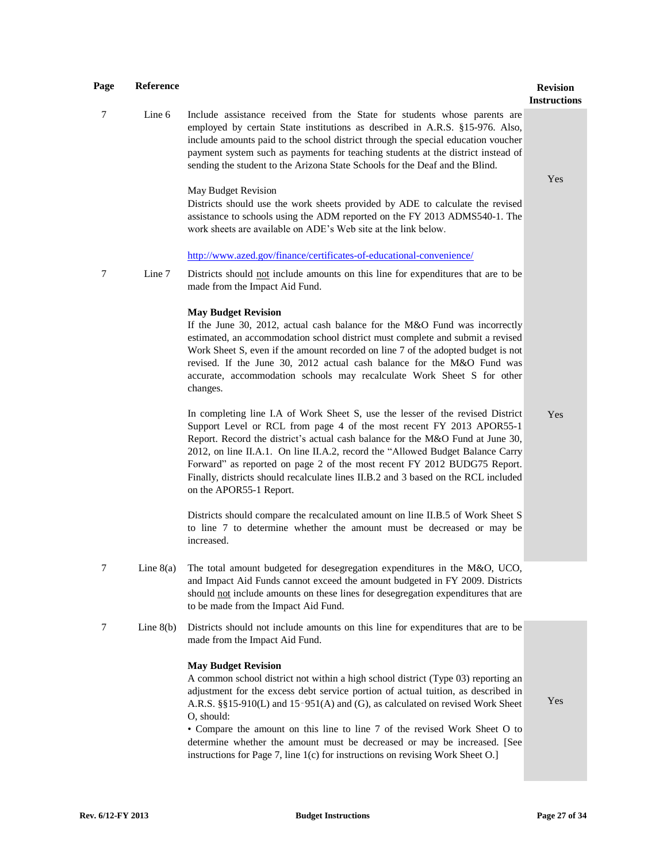| Page             | Reference   |                                                                                                                                                                                                                                                                                                                                                                                                                                                                                                                                                 | <b>Revision</b><br><b>Instructions</b> |
|------------------|-------------|-------------------------------------------------------------------------------------------------------------------------------------------------------------------------------------------------------------------------------------------------------------------------------------------------------------------------------------------------------------------------------------------------------------------------------------------------------------------------------------------------------------------------------------------------|----------------------------------------|
| 7                | Line 6      | Include assistance received from the State for students whose parents are<br>employed by certain State institutions as described in A.R.S. §15-976. Also,<br>include amounts paid to the school district through the special education voucher<br>payment system such as payments for teaching students at the district instead of<br>sending the student to the Arizona State Schools for the Deaf and the Blind.                                                                                                                              | Yes                                    |
|                  |             | May Budget Revision<br>Districts should use the work sheets provided by ADE to calculate the revised<br>assistance to schools using the ADM reported on the FY 2013 ADMS540-1. The<br>work sheets are available on ADE's Web site at the link below.                                                                                                                                                                                                                                                                                            |                                        |
|                  |             | http://www.azed.gov/finance/certificates-of-educational-convenience/                                                                                                                                                                                                                                                                                                                                                                                                                                                                            |                                        |
| 7                | Line 7      | Districts should not include amounts on this line for expenditures that are to be<br>made from the Impact Aid Fund.                                                                                                                                                                                                                                                                                                                                                                                                                             |                                        |
|                  |             | <b>May Budget Revision</b><br>If the June 30, 2012, actual cash balance for the M&O Fund was incorrectly<br>estimated, an accommodation school district must complete and submit a revised<br>Work Sheet S, even if the amount recorded on line 7 of the adopted budget is not<br>revised. If the June 30, 2012 actual cash balance for the M&O Fund was<br>accurate, accommodation schools may recalculate Work Sheet S for other<br>changes.                                                                                                  |                                        |
|                  |             | In completing line I.A of Work Sheet S, use the lesser of the revised District<br>Support Level or RCL from page 4 of the most recent FY 2013 APOR55-1<br>Report. Record the district's actual cash balance for the M&O Fund at June 30,<br>2012, on line II.A.1. On line II.A.2, record the "Allowed Budget Balance Carry<br>Forward" as reported on page 2 of the most recent FY 2012 BUDG75 Report.<br>Finally, districts should recalculate lines II.B.2 and 3 based on the RCL included<br>on the APOR55-1 Report.                         | Yes                                    |
|                  |             | Districts should compare the recalculated amount on line II.B.5 of Work Sheet S<br>to line 7 to determine whether the amount must be decreased or may be<br>increased.                                                                                                                                                                                                                                                                                                                                                                          |                                        |
| $\boldsymbol{7}$ | Line $8(a)$ | The total amount budgeted for desegregation expenditures in the M&O, UCO,<br>and Impact Aid Funds cannot exceed the amount budgeted in FY 2009. Districts<br>should not include amounts on these lines for desegregation expenditures that are<br>to be made from the Impact Aid Fund.                                                                                                                                                                                                                                                          |                                        |
| 7                | Line $8(b)$ | Districts should not include amounts on this line for expenditures that are to be<br>made from the Impact Aid Fund.                                                                                                                                                                                                                                                                                                                                                                                                                             |                                        |
|                  |             | <b>May Budget Revision</b><br>A common school district not within a high school district (Type 03) reporting an<br>adjustment for the excess debt service portion of actual tuition, as described in<br>A.R.S. §§15-910(L) and 15-951(A) and (G), as calculated on revised Work Sheet<br>O, should:<br>• Compare the amount on this line to line 7 of the revised Work Sheet O to<br>determine whether the amount must be decreased or may be increased. [See<br>instructions for Page 7, line 1(c) for instructions on revising Work Sheet O.] | Yes                                    |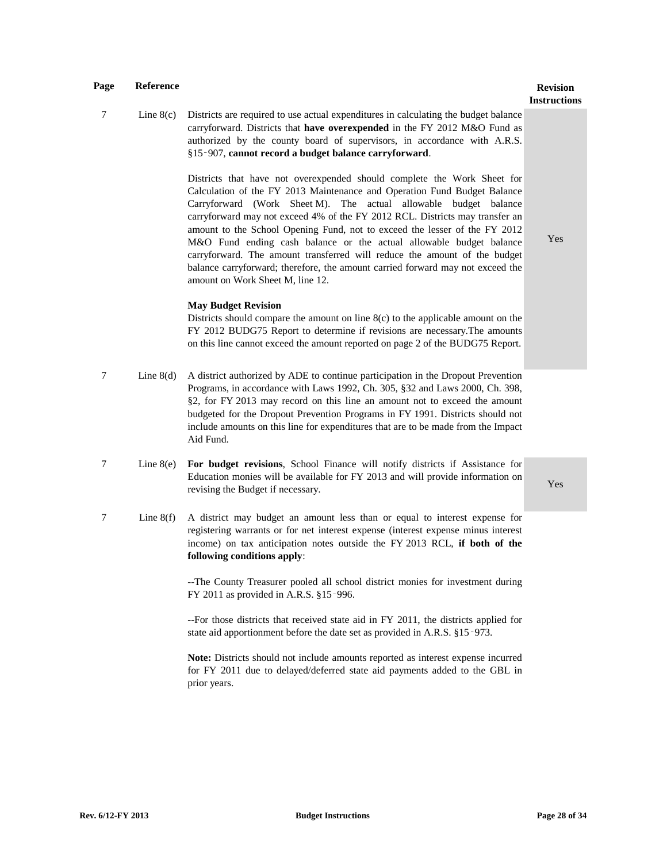## **Instructions**

7 Line 8(c) Districts are required to use actual expenditures in calculating the budget balance carryforward. Districts that **have overexpended** in the FY 2012 M&O Fund as authorized by the county board of supervisors, in accordance with A.R.S. §15‑907, **cannot record a budget balance carryforward**. Districts that have not overexpended should complete the Work Sheet for Calculation of the FY 2013 Maintenance and Operation Fund Budget Balance Carryforward (Work Sheet M). The actual allowable budget balance carryforward may not exceed 4% of the FY 2012 RCL. Districts may transfer an amount to the School Opening Fund, not to exceed the lesser of the FY 2012 M&O Fund ending cash balance or the actual allowable budget balance carryforward. The amount transferred will reduce the amount of the budget balance carryforward; therefore, the amount carried forward may not exceed the amount on Work Sheet M, line 12. **May Budget Revision** Districts should compare the amount on line 8(c) to the applicable amount on the FY 2012 BUDG75 Report to determine if revisions are necessary.The amounts on this line cannot exceed the amount reported on page 2 of the BUDG75 Report. Yes 7 Line 8(d) A district authorized by ADE to continue participation in the Dropout Prevention Programs, in accordance with Laws 1992, Ch. 305, §32 and Laws 2000, Ch. 398, §2, for FY 2013 may record on this line an amount not to exceed the amount budgeted for the Dropout Prevention Programs in FY 1991. Districts should not include amounts on this line for expenditures that are to be made from the Impact Aid Fund. 7 Line 8(e) **For budget revisions**, School Finance will notify districts if Assistance for Education monies will be available for FY 2013 and will provide information on revising the Budget if necessary. 7 Line 8(f) A district may budget an amount less than or equal to interest expense for registering warrants or for net interest expense (interest expense minus interest income) on tax anticipation notes outside the FY 2013 RCL, **if both of the following conditions apply**: --The County Treasurer pooled all school district monies for investment during

FY 2011 as provided in A.R.S. §15‑996.

--For those districts that received state aid in FY 2011, the districts applied for state aid apportionment before the date set as provided in A.R.S. §15‑973.

**Note:** Districts should not include amounts reported as interest expense incurred for FY 2011 due to delayed/deferred state aid payments added to the GBL in prior years.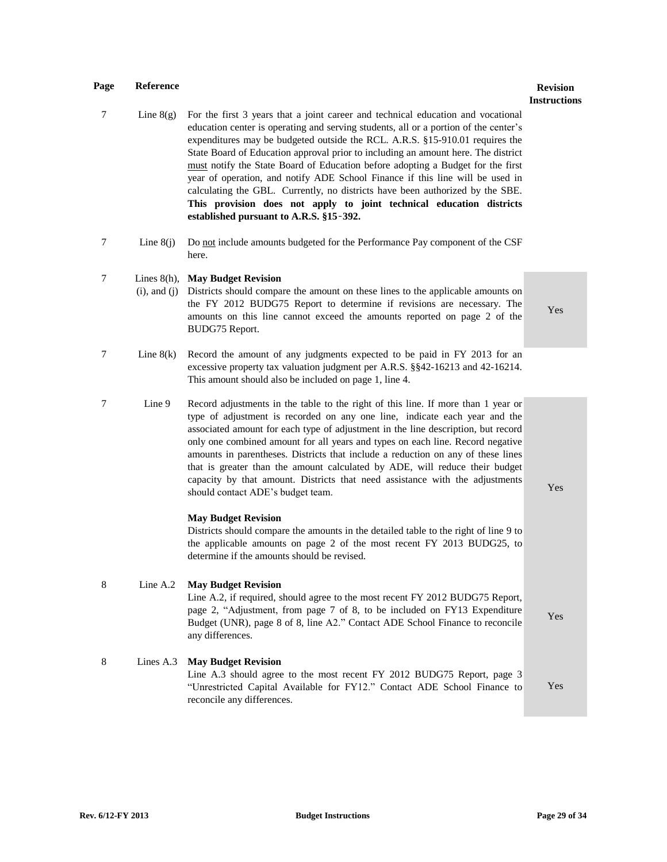# **Instructions**

Yes

Yes

Yes

- 7 Line 8(g) For the first 3 years that a joint career and technical education and vocational education center is operating and serving students, all or a portion of the center's expenditures may be budgeted outside the RCL. A.R.S. §15-910.01 requires the State Board of Education approval prior to including an amount here. The district must notify the State Board of Education before adopting a Budget for the first year of operation, and notify ADE School Finance if this line will be used in calculating the GBL. Currently, no districts have been authorized by the SBE. **This provision does not apply to joint technical education districts established pursuant to A.R.S. §15**‑**392.**
- 7 Line 8(j) Do not include amounts budgeted for the Performance Pay component of the CSF here.

#### 7 Lines 8(h), **May Budget Revision**

- (i), and (j) Districts should compare the amount on these lines to the applicable amounts on the FY 2012 BUDG75 Report to determine if revisions are necessary. The amounts on this line cannot exceed the amounts reported on page 2 of the BUDG75 Report.
- 7 Line 8(k) Record the amount of any judgments expected to be paid in FY 2013 for an excessive property tax valuation judgment per A.R.S. §§42-16213 and 42-16214. This amount should also be included on page 1, line 4.
- 7 Line 9 Record adjustments in the table to the right of this line. If more than 1 year or type of adjustment is recorded on any one line, indicate each year and the associated amount for each type of adjustment in the line description, but record only one combined amount for all years and types on each line. Record negative amounts in parentheses. Districts that include a reduction on any of these lines that is greater than the amount calculated by ADE, will reduce their budget capacity by that amount. Districts that need assistance with the adjustments should contact ADE's budget team.

#### **May Budget Revision**

Districts should compare the amounts in the detailed table to the right of line 9 to the applicable amounts on page 2 of the most recent FY 2013 BUDG25, to determine if the amounts should be revised.

#### 8 Line A.2 **May Budget Revision**

Line A.2, if required, should agree to the most recent FY 2012 BUDG75 Report, page 2, "Adjustment, from page 7 of 8, to be included on FY13 Expenditure Budget (UNR), page 8 of 8, line A2." Contact ADE School Finance to reconcile any differences.

#### 8 Lines A.3 **May Budget Revision** Line A.3 should agree to the most recent FY 2012 BUDG75 Report, page 3 "Unrestricted Capital Available for FY12." Contact ADE School Finance to reconcile any differences. Yes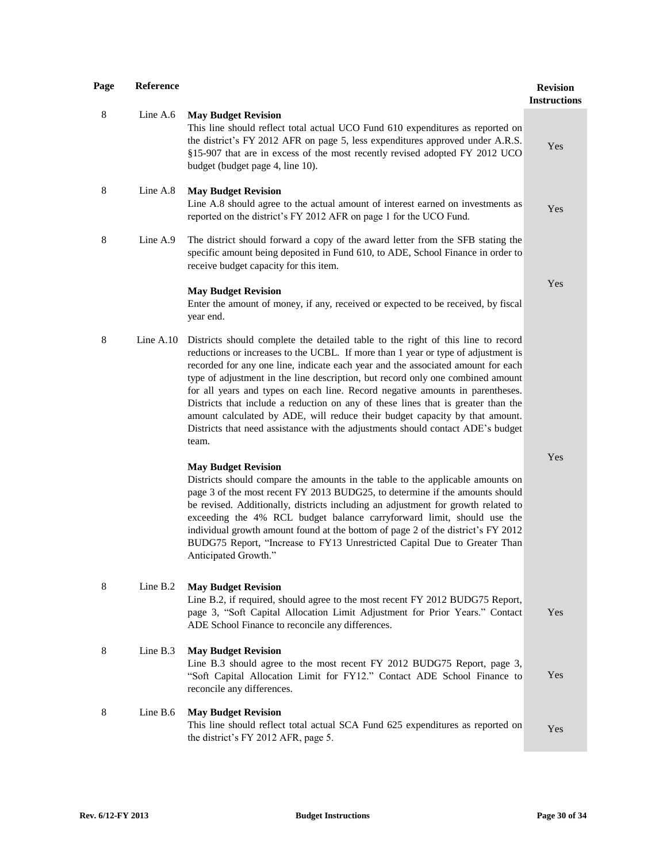| Page | Reference   |                                                                                                                                                                                                                                                                                                                                                                                                                                                                                                                                                                                                                                                                                               | <b>Revision</b><br><b>Instructions</b> |
|------|-------------|-----------------------------------------------------------------------------------------------------------------------------------------------------------------------------------------------------------------------------------------------------------------------------------------------------------------------------------------------------------------------------------------------------------------------------------------------------------------------------------------------------------------------------------------------------------------------------------------------------------------------------------------------------------------------------------------------|----------------------------------------|
| 8    | Line $A.6$  | <b>May Budget Revision</b><br>This line should reflect total actual UCO Fund 610 expenditures as reported on<br>the district's FY 2012 AFR on page 5, less expenditures approved under A.R.S.<br>§15-907 that are in excess of the most recently revised adopted FY 2012 UCO<br>budget (budget page 4, line 10).                                                                                                                                                                                                                                                                                                                                                                              | Yes                                    |
| 8    | Line A.8    | <b>May Budget Revision</b><br>Line A.8 should agree to the actual amount of interest earned on investments as<br>reported on the district's FY 2012 AFR on page 1 for the UCO Fund.                                                                                                                                                                                                                                                                                                                                                                                                                                                                                                           | Yes                                    |
| 8    | Line $A.9$  | The district should forward a copy of the award letter from the SFB stating the<br>specific amount being deposited in Fund 610, to ADE, School Finance in order to<br>receive budget capacity for this item.                                                                                                                                                                                                                                                                                                                                                                                                                                                                                  |                                        |
|      |             | <b>May Budget Revision</b><br>Enter the amount of money, if any, received or expected to be received, by fiscal<br>year end.                                                                                                                                                                                                                                                                                                                                                                                                                                                                                                                                                                  | Yes                                    |
| 8    | Line $A.10$ | Districts should complete the detailed table to the right of this line to record<br>reductions or increases to the UCBL. If more than 1 year or type of adjustment is<br>recorded for any one line, indicate each year and the associated amount for each<br>type of adjustment in the line description, but record only one combined amount<br>for all years and types on each line. Record negative amounts in parentheses.<br>Districts that include a reduction on any of these lines that is greater than the<br>amount calculated by ADE, will reduce their budget capacity by that amount.<br>Districts that need assistance with the adjustments should contact ADE's budget<br>team. |                                        |
|      |             | <b>May Budget Revision</b><br>Districts should compare the amounts in the table to the applicable amounts on<br>page 3 of the most recent FY 2013 BUDG25, to determine if the amounts should<br>be revised. Additionally, districts including an adjustment for growth related to<br>exceeding the 4% RCL budget balance carryforward limit, should use the<br>individual growth amount found at the bottom of page 2 of the district's FY 2012<br>BUDG75 Report, "Increase to FY13 Unrestricted Capital Due to Greater Than<br>Anticipated Growth."                                                                                                                                          | Yes                                    |
| 8    | Line B.2    | <b>May Budget Revision</b><br>Line B.2, if required, should agree to the most recent FY 2012 BUDG75 Report,<br>page 3, "Soft Capital Allocation Limit Adjustment for Prior Years." Contact<br>ADE School Finance to reconcile any differences.                                                                                                                                                                                                                                                                                                                                                                                                                                                | Yes                                    |
| 8    | Line B.3    | <b>May Budget Revision</b><br>Line B.3 should agree to the most recent FY 2012 BUDG75 Report, page 3,<br>"Soft Capital Allocation Limit for FY12." Contact ADE School Finance to<br>reconcile any differences.                                                                                                                                                                                                                                                                                                                                                                                                                                                                                | Yes                                    |
| 8    | Line $B.6$  | <b>May Budget Revision</b><br>This line should reflect total actual SCA Fund 625 expenditures as reported on<br>the district's FY 2012 AFR, page 5.                                                                                                                                                                                                                                                                                                                                                                                                                                                                                                                                           | Yes                                    |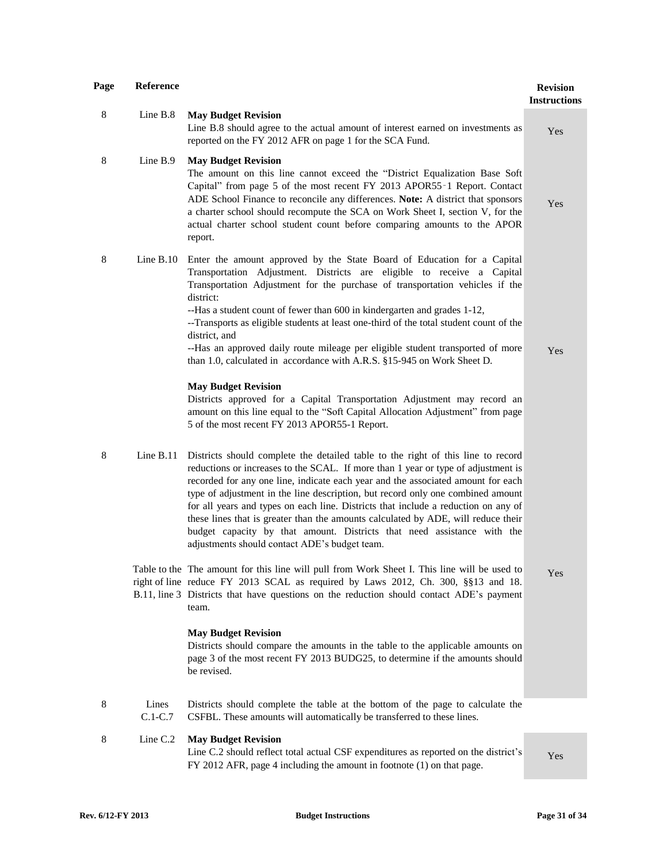| Page | Reference          |                                                                                                                                                                                                                                                                                                                                                                                                                                                                                                                                                                                                                                                     | <b>Revision</b><br><b>Instructions</b> |
|------|--------------------|-----------------------------------------------------------------------------------------------------------------------------------------------------------------------------------------------------------------------------------------------------------------------------------------------------------------------------------------------------------------------------------------------------------------------------------------------------------------------------------------------------------------------------------------------------------------------------------------------------------------------------------------------------|----------------------------------------|
| 8    | Line B.8           | <b>May Budget Revision</b><br>Line B.8 should agree to the actual amount of interest earned on investments as<br>reported on the FY 2012 AFR on page 1 for the SCA Fund.                                                                                                                                                                                                                                                                                                                                                                                                                                                                            | Yes                                    |
| 8    | Line B.9           | <b>May Budget Revision</b><br>The amount on this line cannot exceed the "District Equalization Base Soft<br>Capital" from page 5 of the most recent FY 2013 APOR55-1 Report. Contact<br>ADE School Finance to reconcile any differences. Note: A district that sponsors<br>a charter school should recompute the SCA on Work Sheet I, section V, for the<br>actual charter school student count before comparing amounts to the APOR<br>report.                                                                                                                                                                                                     | Yes                                    |
| 8    | Line $B.10$        | Enter the amount approved by the State Board of Education for a Capital<br>Transportation Adjustment. Districts are eligible to receive a Capital<br>Transportation Adjustment for the purchase of transportation vehicles if the<br>district:<br>--Has a student count of fewer than 600 in kindergarten and grades 1-12,<br>--Transports as eligible students at least one-third of the total student count of the<br>district, and<br>--Has an approved daily route mileage per eligible student transported of more<br>than 1.0, calculated in accordance with A.R.S. §15-945 on Work Sheet D.                                                  | Yes                                    |
|      |                    | <b>May Budget Revision</b><br>Districts approved for a Capital Transportation Adjustment may record an<br>amount on this line equal to the "Soft Capital Allocation Adjustment" from page<br>5 of the most recent FY 2013 APOR55-1 Report.                                                                                                                                                                                                                                                                                                                                                                                                          |                                        |
| 8    | Line $B.11$        | Districts should complete the detailed table to the right of this line to record<br>reductions or increases to the SCAL. If more than 1 year or type of adjustment is<br>recorded for any one line, indicate each year and the associated amount for each<br>type of adjustment in the line description, but record only one combined amount<br>for all years and types on each line. Districts that include a reduction on any of<br>these lines that is greater than the amounts calculated by ADE, will reduce their<br>budget capacity by that amount. Districts that need assistance with the<br>adjustments should contact ADE's budget team. |                                        |
|      |                    | Table to the The amount for this line will pull from Work Sheet I. This line will be used to<br>right of line reduce FY 2013 SCAL as required by Laws 2012, Ch. 300, §§13 and 18.<br>B.11, line 3 Districts that have questions on the reduction should contact ADE's payment<br>team.                                                                                                                                                                                                                                                                                                                                                              | Yes                                    |
|      |                    | <b>May Budget Revision</b><br>Districts should compare the amounts in the table to the applicable amounts on<br>page 3 of the most recent FY 2013 BUDG25, to determine if the amounts should<br>be revised.                                                                                                                                                                                                                                                                                                                                                                                                                                         |                                        |
| 8    | Lines<br>$C.1-C.7$ | Districts should complete the table at the bottom of the page to calculate the<br>CSFBL. These amounts will automatically be transferred to these lines.                                                                                                                                                                                                                                                                                                                                                                                                                                                                                            |                                        |
| 8    | Line C.2           | <b>May Budget Revision</b><br>Line C.2 should reflect total actual CSF expenditures as reported on the district's<br>FY 2012 AFR, page 4 including the amount in footnote (1) on that page.                                                                                                                                                                                                                                                                                                                                                                                                                                                         | Yes                                    |
|      |                    |                                                                                                                                                                                                                                                                                                                                                                                                                                                                                                                                                                                                                                                     |                                        |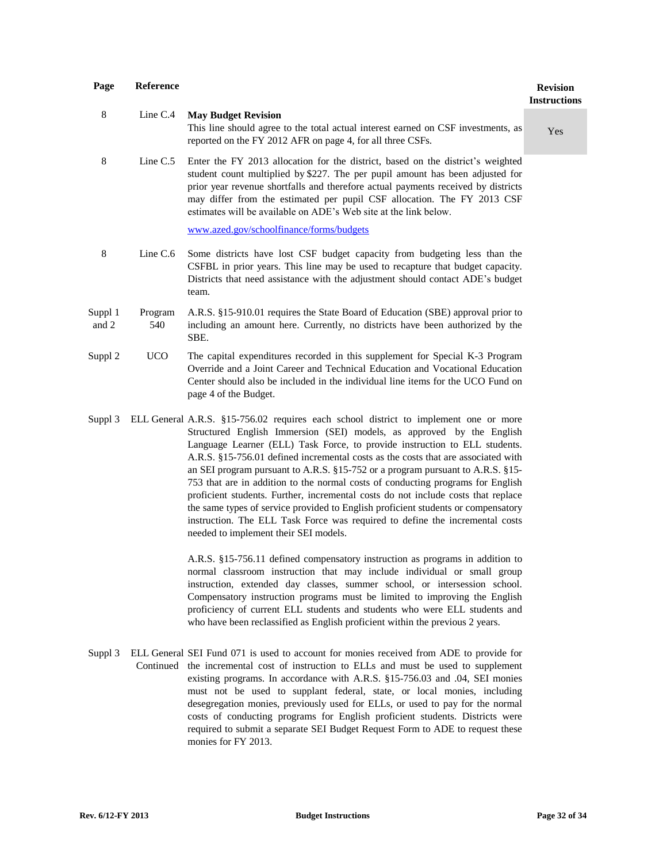| Page             | <b>Reference</b> |                                                                                                                                                                                                                                                                                                                                                                                                      | <b>Revision</b><br><b>Instructions</b> |
|------------------|------------------|------------------------------------------------------------------------------------------------------------------------------------------------------------------------------------------------------------------------------------------------------------------------------------------------------------------------------------------------------------------------------------------------------|----------------------------------------|
| 8                | Line $C.4$       | <b>May Budget Revision</b><br>This line should agree to the total actual interest earned on CSF investments, as<br>reported on the FY 2012 AFR on page 4, for all three CSFs.                                                                                                                                                                                                                        | Yes                                    |
| 8                | Line $C.5$       | Enter the FY 2013 allocation for the district, based on the district's weighted<br>student count multiplied by \$227. The per pupil amount has been adjusted for<br>prior year revenue shortfalls and therefore actual payments received by districts<br>may differ from the estimated per pupil CSF allocation. The FY 2013 CSF<br>estimates will be available on ADE's Web site at the link below. |                                        |
|                  |                  | www.azed.gov/schoolfinance/forms/budgets                                                                                                                                                                                                                                                                                                                                                             |                                        |
| 8                | Line $C.6$       | Some districts have lost CSF budget capacity from budgeting less than the<br>CSFBL in prior years. This line may be used to recapture that budget capacity.<br>Districts that need assistance with the adjustment should contact ADE's budget<br>team.                                                                                                                                               |                                        |
| Suppl 1<br>and 2 | Program<br>540   | A.R.S. §15-910.01 requires the State Board of Education (SBE) approval prior to<br>including an amount here. Currently, no districts have been authorized by the<br>SBE.                                                                                                                                                                                                                             |                                        |
| Suppl 2          | <b>UCO</b>       | The capital expenditures recorded in this supplement for Special K-3 Program<br>Override and a Joint Career and Technical Education and Vocational Education<br>Center should also be included in the individual line items for the UCO Fund on<br>page 4 of the Budget.                                                                                                                             |                                        |
| Suppl 3          |                  | ELL General A.R.S. §15-756.02 requires each school district to implement one or more<br>Structured English Immersion (SEI) models, as approved by the English<br>Language Learner (ELL) Task Force, to provide instruction to ELL students.                                                                                                                                                          |                                        |

Language Learner (ELL) Task Force, to provide instruction to ELL students. A.R.S. §15-756.01 defined incremental costs as the costs that are associated with an SEI program pursuant to A.R.S. §15-752 or a program pursuant to A.R.S. §15- 753 that are in addition to the normal costs of conducting programs for English proficient students. Further, incremental costs do not include costs that replace the same types of service provided to English proficient students or compensatory instruction. The ELL Task Force was required to define the incremental costs needed to implement their SEI models.

> A.R.S. §15-756.11 defined compensatory instruction as programs in addition to normal classroom instruction that may include individual or small group instruction, extended day classes, summer school, or intersession school. Compensatory instruction programs must be limited to improving the English proficiency of current ELL students and students who were ELL students and who have been reclassified as English proficient within the previous 2 years.

Suppl 3 ELL General SEI Fund 071 is used to account for monies received from ADE to provide for Continued the incremental cost of instruction to ELLs and must be used to supplement existing programs. In accordance with A.R.S. §15-756.03 and .04, SEI monies must not be used to supplant federal, state, or local monies, including desegregation monies, previously used for ELLs, or used to pay for the normal costs of conducting programs for English proficient students. Districts were required to submit a separate SEI Budget Request Form to ADE to request these monies for FY 2013.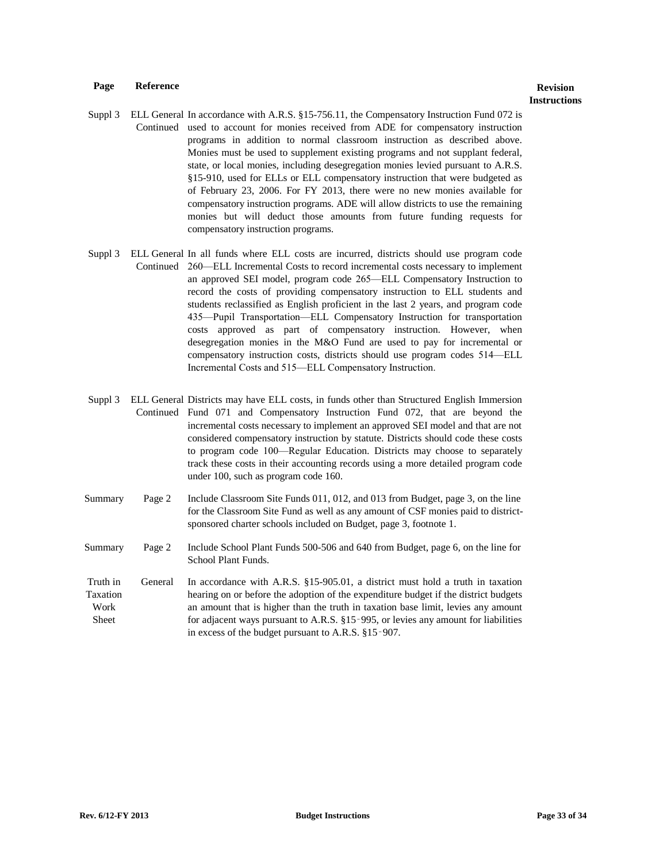- Suppl 3 ELL General In accordance with A.R.S. §15-756.11, the Compensatory Instruction Fund 072 is Continued used to account for monies received from ADE for compensatory instruction programs in addition to normal classroom instruction as described above. Monies must be used to supplement existing programs and not supplant federal, state, or local monies, including desegregation monies levied pursuant to A.R.S. §15-910, used for ELLs or ELL compensatory instruction that were budgeted as of February 23, 2006. For FY 2013, there were no new monies available for compensatory instruction programs. ADE will allow districts to use the remaining monies but will deduct those amounts from future funding requests for compensatory instruction programs.
- Suppl 3 ELL General In all funds where ELL costs are incurred, districts should use program code Continued 260—ELL Incremental Costs to record incremental costs necessary to implement an approved SEI model, program code 265—ELL Compensatory Instruction to record the costs of providing compensatory instruction to ELL students and students reclassified as English proficient in the last 2 years, and program code 435—Pupil Transportation—ELL Compensatory Instruction for transportation costs approved as part of compensatory instruction. However, when desegregation monies in the M&O Fund are used to pay for incremental or compensatory instruction costs, districts should use program codes 514—ELL Incremental Costs and 515—ELL Compensatory Instruction.
- Suppl 3 ELL General Districts may have ELL costs, in funds other than Structured English Immersion Continued Fund 071 and Compensatory Instruction Fund 072, that are beyond the incremental costs necessary to implement an approved SEI model and that are not considered compensatory instruction by statute. Districts should code these costs to program code 100—Regular Education. Districts may choose to separately track these costs in their accounting records using a more detailed program code under 100, such as program code 160.
- Summary Page 2 Include Classroom Site Funds 011, 012, and 013 from Budget, page 3, on the line for the Classroom Site Fund as well as any amount of CSF monies paid to districtsponsored charter schools included on Budget, page 3, footnote 1.
- Summary Page 2 Include School Plant Funds 500-506 and 640 from Budget, page 6, on the line for School Plant Funds.
- Truth in Taxation Work Sheet General In accordance with A.R.S. §15-905.01, a district must hold a truth in taxation hearing on or before the adoption of the expenditure budget if the district budgets an amount that is higher than the truth in taxation base limit, levies any amount for adjacent ways pursuant to A.R.S. §15‑995, or levies any amount for liabilities in excess of the budget pursuant to A.R.S. §15‑907.